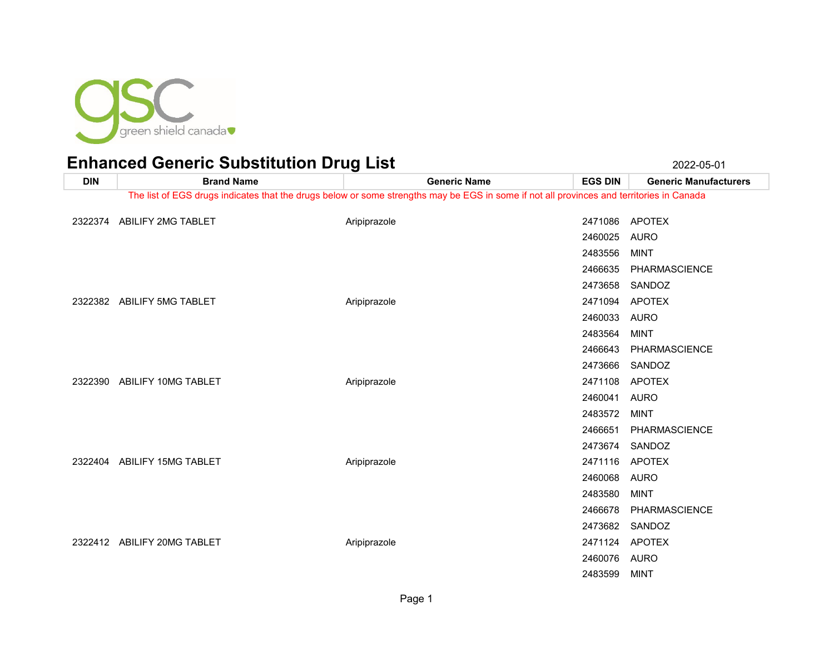

| <b>DIN</b> | <b>Brand Name</b>           | <b>Generic Name</b>                                                                                                                      | <b>EGS DIN</b> | <b>Generic Manufacturers</b> |
|------------|-----------------------------|------------------------------------------------------------------------------------------------------------------------------------------|----------------|------------------------------|
|            |                             | The list of EGS drugs indicates that the drugs below or some strengths may be EGS in some if not all provinces and territories in Canada |                |                              |
|            | 2322374 ABILIFY 2MG TABLET  | Aripiprazole                                                                                                                             |                | 2471086 APOTEX               |
|            |                             |                                                                                                                                          | 2460025        | AURO                         |
|            |                             |                                                                                                                                          |                |                              |
|            |                             |                                                                                                                                          | 2483556        | <b>MINT</b>                  |
|            |                             |                                                                                                                                          | 2466635        | <b>PHARMASCIENCE</b>         |
|            |                             |                                                                                                                                          | 2473658        | SANDOZ                       |
|            | 2322382 ABILIFY 5MG TABLET  | Aripiprazole                                                                                                                             | 2471094        | <b>APOTEX</b>                |
|            |                             |                                                                                                                                          | 2460033        | AURO                         |
|            |                             |                                                                                                                                          | 2483564        | <b>MINT</b>                  |
|            |                             |                                                                                                                                          | 2466643        | <b>PHARMASCIENCE</b>         |
|            |                             |                                                                                                                                          | 2473666        | SANDOZ                       |
| 2322390    | ABILIFY 10MG TABLET         | Aripiprazole                                                                                                                             | 2471108        | <b>APOTEX</b>                |
|            |                             |                                                                                                                                          | 2460041        | <b>AURO</b>                  |
|            |                             |                                                                                                                                          | 2483572        | <b>MINT</b>                  |
|            |                             |                                                                                                                                          | 2466651        | PHARMASCIENCE                |
|            |                             |                                                                                                                                          | 2473674        | SANDOZ                       |
| 2322404    | ABILIFY 15MG TABLET         | Aripiprazole                                                                                                                             |                | 2471116 APOTEX               |
|            |                             |                                                                                                                                          | 2460068        | <b>AURO</b>                  |
|            |                             |                                                                                                                                          | 2483580        | MINT                         |
|            |                             |                                                                                                                                          | 2466678        | PHARMASCIENCE                |
|            |                             |                                                                                                                                          |                | 2473682 SANDOZ               |
|            | 2322412 ABILIFY 20MG TABLET | Aripiprazole                                                                                                                             | 2471124        | APOTEX                       |
|            |                             |                                                                                                                                          | 2460076        | AURO                         |
|            |                             |                                                                                                                                          | 2483599        | <b>MINT</b>                  |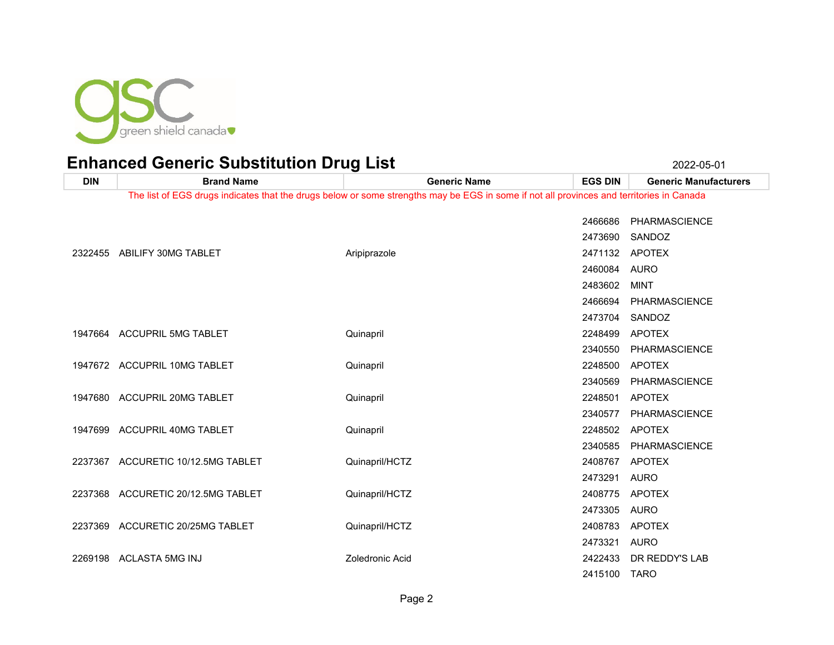

**DIN Brand Name Generic Name EGS DIN Generic Manufacturers** The list of EGS drugs indicates that the drugs below or some strengths may be EGS in some if not all provinces and territories in Canada PHARMASCIENCE SANDOZ 2322455 ABILIFY 30MG TABLET Aripiprazole 2471132 APOTEX AURO MINT PHARMASCIENCE SANDOZ ACCUPRIL 5MG TABLET Quinapril 2248499 APOTEX PHARMASCIENCE ACCUPRIL 10MG TABLET Quinapril 2248500 APOTEX PHARMASCIENCE ACCUPRIL 20MG TABLET Quinapril 2248501 APOTEX PHARMASCIENCE ACCUPRIL 40MG TABLET Quinapril 2248502 APOTEX PHARMASCIENCE ACCURETIC 10/12.5MG TABLET Quinapril/HCTZ 2408767 APOTEX AURO ACCURETIC 20/12.5MG TABLET Quinapril/HCTZ 2408775 APOTEX AURO 2237369 ACCURETIC 20/25MG TABLET A Cuinapril/HCTZ CONTROLLED 2408783 APOTEX AURO ACLASTA 5MG INJ Zoledronic Acid 2422433 DR REDDY'S LAB TARO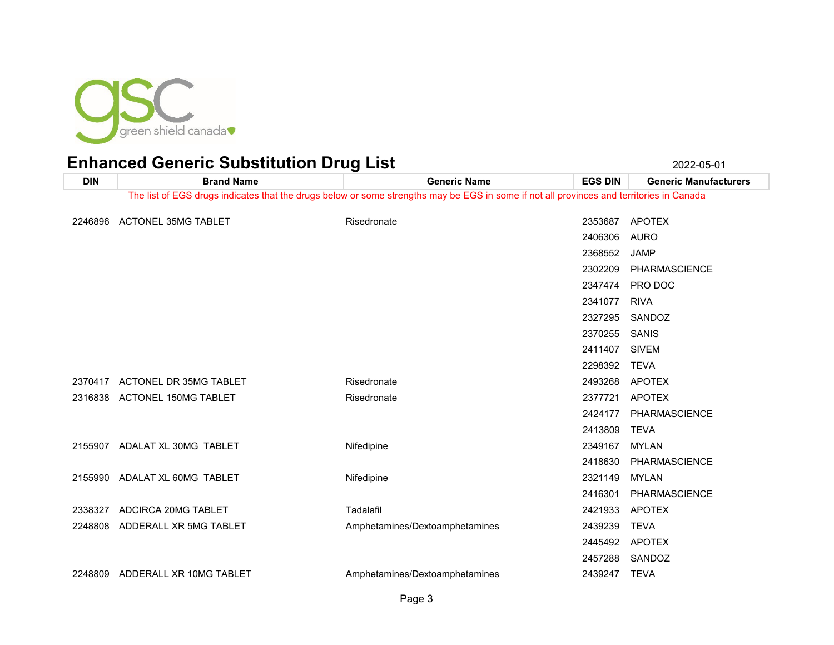

| <b>DIN</b> | <b>Brand Name</b>             | <b>Generic Name</b>                                                                                                                      | <b>EGS DIN</b> | <b>Generic Manufacturers</b> |
|------------|-------------------------------|------------------------------------------------------------------------------------------------------------------------------------------|----------------|------------------------------|
|            |                               | The list of EGS drugs indicates that the drugs below or some strengths may be EGS in some if not all provinces and territories in Canada |                |                              |
|            | <b>ACTONEL 35MG TABLET</b>    | Risedronate                                                                                                                              | 2353687        | <b>APOTEX</b>                |
| 2246896    |                               |                                                                                                                                          |                |                              |
|            |                               |                                                                                                                                          | 2406306        | <b>AURO</b>                  |
|            |                               |                                                                                                                                          | 2368552        | <b>JAMP</b>                  |
|            |                               |                                                                                                                                          | 2302209        | PHARMASCIENCE                |
|            |                               |                                                                                                                                          | 2347474        | PRO DOC                      |
|            |                               |                                                                                                                                          | 2341077        | <b>RIVA</b>                  |
|            |                               |                                                                                                                                          | 2327295        | SANDOZ                       |
|            |                               |                                                                                                                                          | 2370255        | SANIS                        |
|            |                               |                                                                                                                                          | 2411407        | <b>SIVEM</b>                 |
|            |                               |                                                                                                                                          | 2298392        | <b>TEVA</b>                  |
| 2370417    | <b>ACTONEL DR 35MG TABLET</b> | Risedronate                                                                                                                              | 2493268        | <b>APOTEX</b>                |
|            | 2316838 ACTONEL 150MG TABLET  | Risedronate                                                                                                                              | 2377721        | <b>APOTEX</b>                |
|            |                               |                                                                                                                                          | 2424177        | <b>PHARMASCIENCE</b>         |
|            |                               |                                                                                                                                          | 2413809        | <b>TEVA</b>                  |
|            | 2155907 ADALAT XL 30MG TABLET | Nifedipine                                                                                                                               | 2349167        | <b>MYLAN</b>                 |
|            |                               |                                                                                                                                          | 2418630        | PHARMASCIENCE                |
|            | 2155990 ADALAT XL 60MG TABLET | Nifedipine                                                                                                                               | 2321149        | <b>MYLAN</b>                 |
|            |                               |                                                                                                                                          | 2416301        | PHARMASCIENCE                |
| 2338327    | ADCIRCA 20MG TABLET           | Tadalafil                                                                                                                                | 2421933        | <b>APOTEX</b>                |
| 2248808    | ADDERALL XR 5MG TABLET        | Amphetamines/Dextoamphetamines                                                                                                           | 2439239        | <b>TEVA</b>                  |
|            |                               |                                                                                                                                          | 2445492        | <b>APOTEX</b>                |
|            |                               |                                                                                                                                          | 2457288        | SANDOZ                       |
| 2248809    | ADDERALL XR 10MG TABLET       | Amphetamines/Dextoamphetamines                                                                                                           | 2439247        | TEVA                         |
|            |                               |                                                                                                                                          |                |                              |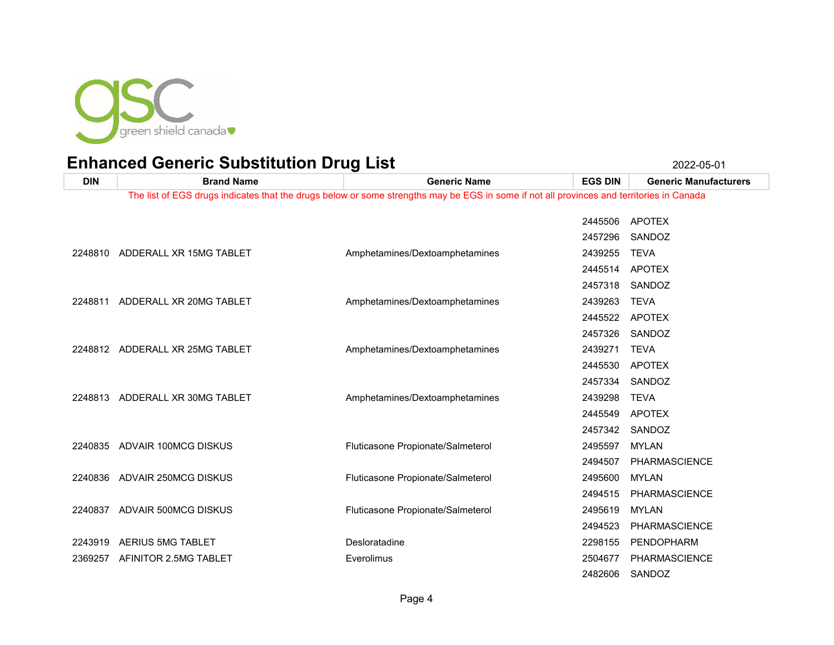

| <b>DIN</b> | <b>Brand Name</b>               | <b>Generic Name</b>                                                                                                                      | <b>EGS DIN</b> | <b>Generic Manufacturers</b> |
|------------|---------------------------------|------------------------------------------------------------------------------------------------------------------------------------------|----------------|------------------------------|
|            |                                 | The list of EGS drugs indicates that the drugs below or some strengths may be EGS in some if not all provinces and territories in Canada |                |                              |
|            |                                 |                                                                                                                                          | 2445506        | <b>APOTEX</b>                |
|            |                                 |                                                                                                                                          | 2457296        | SANDOZ                       |
| 2248810    | ADDERALL XR 15MG TABLET         | Amphetamines/Dextoamphetamines                                                                                                           | 2439255        | <b>TEVA</b>                  |
|            |                                 |                                                                                                                                          | 2445514        | <b>APOTEX</b>                |
|            |                                 |                                                                                                                                          | 2457318        | SANDOZ                       |
| 2248811    | ADDERALL XR 20MG TABLET         | Amphetamines/Dextoamphetamines                                                                                                           | 2439263        | <b>TEVA</b>                  |
|            |                                 |                                                                                                                                          | 2445522        | <b>APOTEX</b>                |
|            |                                 |                                                                                                                                          | 2457326        | SANDOZ                       |
|            | 2248812 ADDERALL XR 25MG TABLET | Amphetamines/Dextoamphetamines                                                                                                           | 2439271        | <b>TEVA</b>                  |
|            |                                 |                                                                                                                                          | 2445530        | <b>APOTEX</b>                |
|            |                                 |                                                                                                                                          | 2457334        | SANDOZ                       |
|            | 2248813 ADDERALL XR 30MG TABLET | Amphetamines/Dextoamphetamines                                                                                                           | 2439298        | <b>TEVA</b>                  |
|            |                                 |                                                                                                                                          | 2445549        | <b>APOTEX</b>                |
|            |                                 |                                                                                                                                          | 2457342        | SANDOZ                       |
| 2240835    | ADVAIR 100MCG DISKUS            | Fluticasone Propionate/Salmeterol                                                                                                        | 2495597        | <b>MYLAN</b>                 |
|            |                                 |                                                                                                                                          | 2494507        | PHARMASCIENCE                |
| 2240836    | ADVAIR 250MCG DISKUS            | Fluticasone Propionate/Salmeterol                                                                                                        | 2495600        | <b>MYLAN</b>                 |
|            |                                 |                                                                                                                                          | 2494515        | <b>PHARMASCIENCE</b>         |
| 2240837    | ADVAIR 500MCG DISKUS            | Fluticasone Propionate/Salmeterol                                                                                                        | 2495619        | MYLAN                        |
|            |                                 |                                                                                                                                          | 2494523        | <b>PHARMASCIENCE</b>         |
| 2243919    | AERIUS 5MG TABLET               | Desloratadine                                                                                                                            | 2298155        | PENDOPHARM                   |
| 2369257    | AFINITOR 2.5MG TABLET           | Everolimus                                                                                                                               | 2504677        | <b>PHARMASCIENCE</b>         |
|            |                                 |                                                                                                                                          | 2482606        | SANDOZ                       |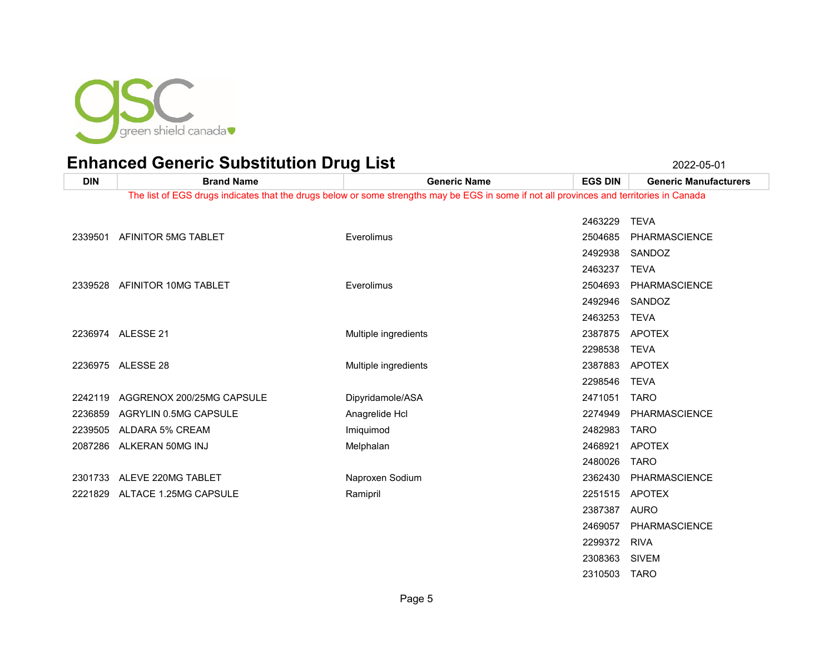

 SIVEM TARO

| <b>DIN</b> | <b>Brand Name</b>                 | <b>Generic Name</b>                                                                                                                      | <b>EGS DIN</b> | <b>Generic Manufacturers</b> |
|------------|-----------------------------------|------------------------------------------------------------------------------------------------------------------------------------------|----------------|------------------------------|
|            |                                   | The list of EGS drugs indicates that the drugs below or some strengths may be EGS in some if not all provinces and territories in Canada |                |                              |
|            |                                   |                                                                                                                                          |                |                              |
|            |                                   |                                                                                                                                          | 2463229        | <b>TEVA</b>                  |
| 2339501    | AFINITOR 5MG TABLET               | Everolimus                                                                                                                               | 2504685        | <b>PHARMASCIENCE</b>         |
|            |                                   |                                                                                                                                          | 2492938        | SANDOZ                       |
|            |                                   |                                                                                                                                          | 2463237        | <b>TEVA</b>                  |
|            | 2339528 AFINITOR 10MG TABLET      | Everolimus                                                                                                                               | 2504693        | <b>PHARMASCIENCE</b>         |
|            |                                   |                                                                                                                                          | 2492946        | SANDOZ                       |
|            |                                   |                                                                                                                                          | 2463253        | <b>TEVA</b>                  |
|            | 2236974 ALESSE 21                 | Multiple ingredients                                                                                                                     | 2387875        | APOTEX                       |
|            |                                   |                                                                                                                                          | 2298538        | <b>TEVA</b>                  |
|            | 2236975 ALESSE 28                 | Multiple ingredients                                                                                                                     | 2387883        | APOTEX                       |
|            |                                   |                                                                                                                                          | 2298546        | <b>TEVA</b>                  |
|            | 2242119 AGGRENOX 200/25MG CAPSULE | Dipyridamole/ASA                                                                                                                         | 2471051        | <b>TARO</b>                  |
| 2236859    | AGRYLIN 0.5MG CAPSULE             | Anagrelide Hcl                                                                                                                           | 2274949        | PHARMASCIENCE                |
| 2239505    | ALDARA 5% CREAM                   | Imiquimod                                                                                                                                | 2482983        | <b>TARO</b>                  |
|            | 2087286 ALKERAN 50MG INJ          | Melphalan                                                                                                                                | 2468921        | <b>APOTEX</b>                |
|            |                                   |                                                                                                                                          | 2480026        | <b>TARO</b>                  |
|            | 2301733 ALEVE 220MG TABLET        | Naproxen Sodium                                                                                                                          | 2362430        | PHARMASCIENCE                |
| 2221829    | ALTACE 1.25MG CAPSULE             | Ramipril                                                                                                                                 | 2251515        | APOTEX                       |
|            |                                   |                                                                                                                                          | 2387387        | AURO                         |
|            |                                   |                                                                                                                                          | 2469057        | <b>PHARMASCIENCE</b>         |
|            |                                   |                                                                                                                                          | 2299372        | <b>RIVA</b>                  |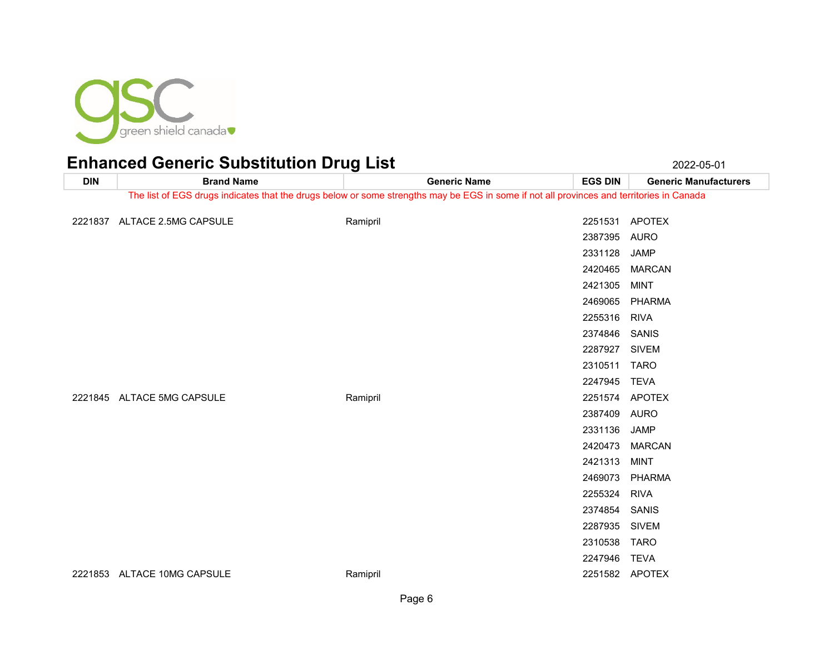

| <b>DIN</b> | <b>Brand Name</b>                                                                                                                        | ັ<br><b>Generic Name</b> | <b>EGS DIN</b> | <b>Generic Manufacturers</b> |
|------------|------------------------------------------------------------------------------------------------------------------------------------------|--------------------------|----------------|------------------------------|
|            | The list of EGS drugs indicates that the drugs below or some strengths may be EGS in some if not all provinces and territories in Canada |                          |                |                              |
|            |                                                                                                                                          |                          |                |                              |
|            | 2221837 ALTACE 2.5MG CAPSULE                                                                                                             | Ramipril                 |                | 2251531 APOTEX               |
|            |                                                                                                                                          |                          | 2387395        | AURO                         |
|            |                                                                                                                                          |                          | 2331128        | <b>JAMP</b>                  |
|            |                                                                                                                                          |                          | 2420465        | <b>MARCAN</b>                |
|            |                                                                                                                                          |                          | 2421305        | <b>MINT</b>                  |
|            |                                                                                                                                          |                          | 2469065        | <b>PHARMA</b>                |
|            |                                                                                                                                          |                          | 2255316        | <b>RIVA</b>                  |
|            |                                                                                                                                          |                          | 2374846        | SANIS                        |
|            |                                                                                                                                          |                          | 2287927        | <b>SIVEM</b>                 |
|            |                                                                                                                                          |                          | 2310511 TARO   |                              |
|            |                                                                                                                                          |                          | 2247945        | <b>TEVA</b>                  |
|            | 2221845 ALTACE 5MG CAPSULE                                                                                                               | Ramipril                 |                | 2251574 APOTEX               |
|            |                                                                                                                                          |                          | 2387409 AURO   |                              |
|            |                                                                                                                                          |                          | 2331136        | JAMP                         |
|            |                                                                                                                                          |                          | 2420473        | <b>MARCAN</b>                |
|            |                                                                                                                                          |                          | 2421313        | <b>MINT</b>                  |
|            |                                                                                                                                          |                          | 2469073        | <b>PHARMA</b>                |
|            |                                                                                                                                          |                          | 2255324        | <b>RIVA</b>                  |
|            |                                                                                                                                          |                          | 2374854        | SANIS                        |
|            |                                                                                                                                          |                          | 2287935        | <b>SIVEM</b>                 |
|            |                                                                                                                                          |                          | 2310538        | <b>TARO</b>                  |
|            |                                                                                                                                          |                          | 2247946        | <b>TEVA</b>                  |
|            | 2221853 ALTACE 10MG CAPSULE                                                                                                              | Ramipril                 |                | 2251582 APOTEX               |
|            |                                                                                                                                          |                          |                |                              |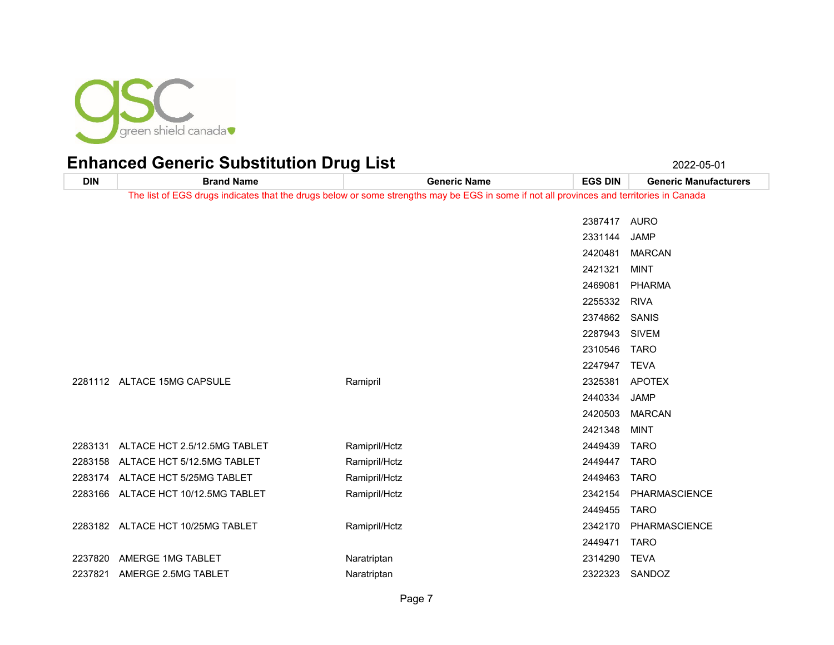

| <b>DIN</b> | <b>Brand Name</b>                                                                                                                        | <b>Generic Name</b> | <b>EGS DIN</b> | <b>Generic Manufacturers</b> |
|------------|------------------------------------------------------------------------------------------------------------------------------------------|---------------------|----------------|------------------------------|
|            | The list of EGS drugs indicates that the drugs below or some strengths may be EGS in some if not all provinces and territories in Canada |                     |                |                              |
|            |                                                                                                                                          |                     |                |                              |
|            |                                                                                                                                          |                     | 2387417 AURO   |                              |
|            |                                                                                                                                          |                     | 2331144        | <b>JAMP</b>                  |
|            |                                                                                                                                          |                     | 2420481        | <b>MARCAN</b>                |
|            |                                                                                                                                          |                     | 2421321        | <b>MINT</b>                  |
|            |                                                                                                                                          |                     | 2469081        | PHARMA                       |
|            |                                                                                                                                          |                     | 2255332        | RIVA                         |
|            |                                                                                                                                          |                     | 2374862 SANIS  |                              |
|            |                                                                                                                                          |                     | 2287943        | <b>SIVEM</b>                 |
|            |                                                                                                                                          |                     | 2310546        | TARO                         |
|            |                                                                                                                                          |                     | 2247947 TEVA   |                              |
|            | 2281112 ALTACE 15MG CAPSULE                                                                                                              | Ramipril            | 2325381        | APOTEX                       |
|            |                                                                                                                                          |                     | 2440334        | JAMP                         |
|            |                                                                                                                                          |                     | 2420503        | <b>MARCAN</b>                |
|            |                                                                                                                                          |                     | 2421348        | <b>MINT</b>                  |
|            | 2283131 ALTACE HCT 2.5/12.5MG TABLET                                                                                                     | Ramipril/Hctz       | 2449439        | <b>TARO</b>                  |
|            | 2283158 ALTACE HCT 5/12.5MG TABLET                                                                                                       | Ramipril/Hctz       | 2449447 TARO   |                              |
|            | 2283174 ALTACE HCT 5/25MG TABLET                                                                                                         | Ramipril/Hctz       | 2449463        | <b>TARO</b>                  |
|            | 2283166 ALTACE HCT 10/12.5MG TABLET                                                                                                      | Ramipril/Hctz       |                | 2342154 PHARMASCIENCE        |
|            |                                                                                                                                          |                     | 2449455        | <b>TARO</b>                  |
|            | 2283182 ALTACE HCT 10/25MG TABLET                                                                                                        | Ramipril/Hctz       | 2342170        | PHARMASCIENCE                |
|            |                                                                                                                                          |                     | 2449471        | <b>TARO</b>                  |
|            | 2237820 AMERGE 1MG TABLET                                                                                                                | Naratriptan         | 2314290        | <b>TEVA</b>                  |
| 2237821    | AMERGE 2.5MG TABLET                                                                                                                      | Naratriptan         | 2322323        | SANDOZ                       |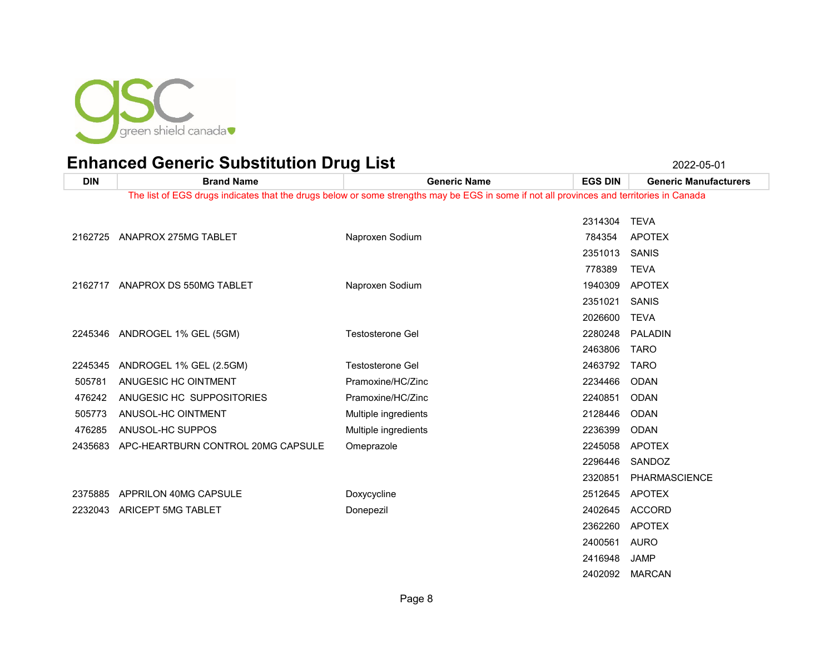

| <b>DIN</b> | <b>Brand Name</b>                  | <b>Generic Name</b>                                                                                                                      | <b>EGS DIN</b> | <b>Generic Manufacturers</b> |
|------------|------------------------------------|------------------------------------------------------------------------------------------------------------------------------------------|----------------|------------------------------|
|            |                                    | The list of EGS drugs indicates that the drugs below or some strengths may be EGS in some if not all provinces and territories in Canada |                |                              |
|            |                                    |                                                                                                                                          | 2314304        | <b>TEVA</b>                  |
| 2162725    | ANAPROX 275MG TABLET               | Naproxen Sodium                                                                                                                          | 784354         | <b>APOTEX</b>                |
|            |                                    |                                                                                                                                          | 2351013        | SANIS                        |
|            |                                    |                                                                                                                                          | 778389         | <b>TEVA</b>                  |
| 2162717    | ANAPROX DS 550MG TABLET            | Naproxen Sodium                                                                                                                          | 1940309        | <b>APOTEX</b>                |
|            |                                    |                                                                                                                                          |                |                              |
|            |                                    |                                                                                                                                          | 2351021        | SANIS                        |
|            |                                    |                                                                                                                                          | 2026600        | <b>TEVA</b>                  |
|            | 2245346 ANDROGEL 1% GEL (5GM)      | <b>Testosterone Gel</b>                                                                                                                  | 2280248        | <b>PALADIN</b>               |
|            |                                    |                                                                                                                                          | 2463806        | <b>TARO</b>                  |
| 2245345    | ANDROGEL 1% GEL (2.5GM)            | <b>Testosterone Gel</b>                                                                                                                  | 2463792        | <b>TARO</b>                  |
| 505781     | ANUGESIC HC OINTMENT               | Pramoxine/HC/Zinc                                                                                                                        | 2234466        | ODAN                         |
| 476242     | ANUGESIC HC SUPPOSITORIES          | Pramoxine/HC/Zinc                                                                                                                        | 2240851        | <b>ODAN</b>                  |
| 505773     | ANUSOL-HC OINTMENT                 | Multiple ingredients                                                                                                                     | 2128446        | ODAN                         |
| 476285     | ANUSOL-HC SUPPOS                   | Multiple ingredients                                                                                                                     | 2236399        | ODAN                         |
| 2435683    | APC-HEARTBURN CONTROL 20MG CAPSULE | Omeprazole                                                                                                                               | 2245058        | <b>APOTEX</b>                |
|            |                                    |                                                                                                                                          | 2296446        | SANDOZ                       |
|            |                                    |                                                                                                                                          | 2320851        | PHARMASCIENCE                |
| 2375885    | APPRILON 40MG CAPSULE              | Doxycycline                                                                                                                              | 2512645        | <b>APOTEX</b>                |
| 2232043    | ARICEPT 5MG TABLET                 | Donepezil                                                                                                                                | 2402645        | <b>ACCORD</b>                |
|            |                                    |                                                                                                                                          | 2362260        | <b>APOTEX</b>                |
|            |                                    |                                                                                                                                          | 2400561        | AURO                         |
|            |                                    |                                                                                                                                          | 2416948        | <b>JAMP</b>                  |
|            |                                    |                                                                                                                                          | 2402092        | <b>MARCAN</b>                |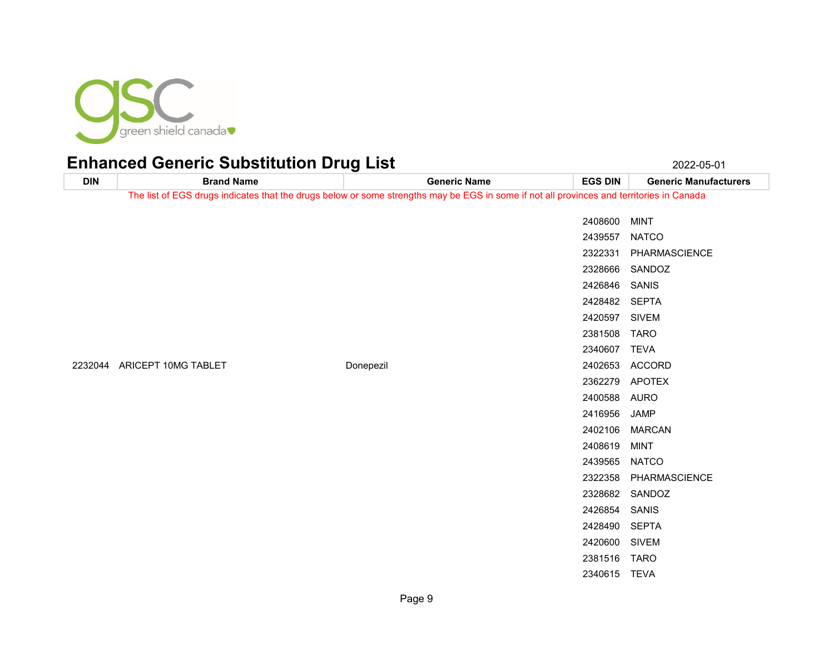

**DIN Brand Name Generic Name EGS DIN Generic Manufacturers** The list of EGS drugs indicates that the drugs below or some strengths may be EGS in some if not all provinces and territories in Canada MINT NATCO PHARMASCIENCE SANDOZ SANIS SEPTA SIVEM TARO TEVA ARICEPT 10MG TABLET Donepezil 2402653 ACCORD APOTEX AURO JAMP MARCAN MINT NATCO PHARMASCIENCE SANDOZ SANIS SEPTA SIVEM TARO TEVA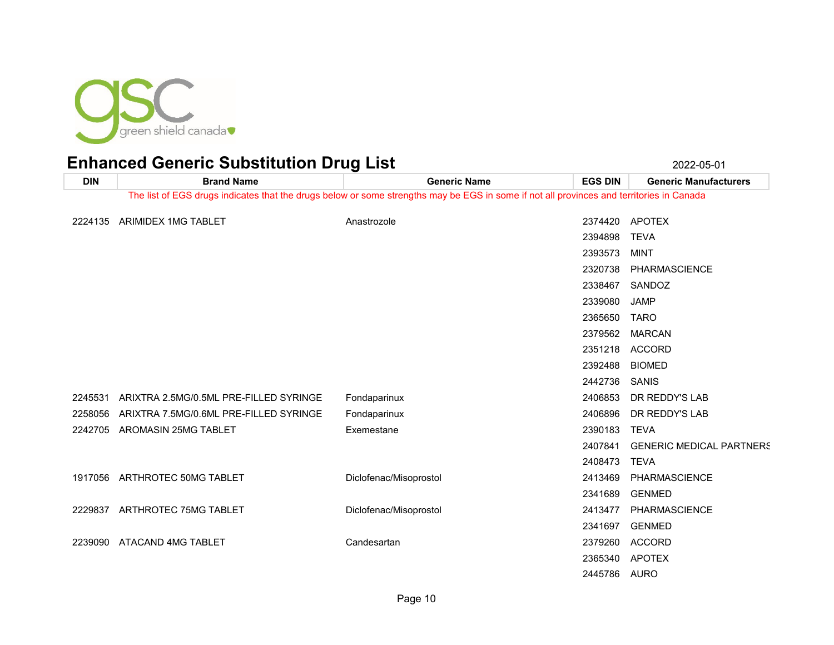

**DIN Brand Name Generic Name EGS DIN Generic Manufacturers** The list of EGS drugs indicates that the drugs below or some strengths may be EGS in some if not all provinces and territories in Canada 2224135 ARIMIDEX 1MG TABLET Anastrozole Anastrozole 2374420 APOTEX TEVA MINT PHARMASCIENCE SANDOZ JAMP TARO MARCAN ACCORD BIOMED SANIS ARIXTRA 2.5MG/0.5ML PRE-FILLED SYRINGE Fondaparinux 2406853 DR REDDY'S LAB ARIXTRA 7.5MG/0.6ML PRE-FILLED SYRINGE Fondaparinux 2406896 DR REDDY'S LAB AROMASIN 25MG TABLET Exemestane 2390183 TEVA GENERIC MEDICAL PARTNERS TEVA ARTHROTEC 50MG TABLET Diclofenac/Misoprostol 2413469 PHARMASCIENCE GENMED ARTHROTEC 75MG TABLET Diclofenac/Misoprostol 2413477 PHARMASCIENCE GENMED ATACAND 4MG TABLET Candesartan 2379260 ACCORD APOTEX AURO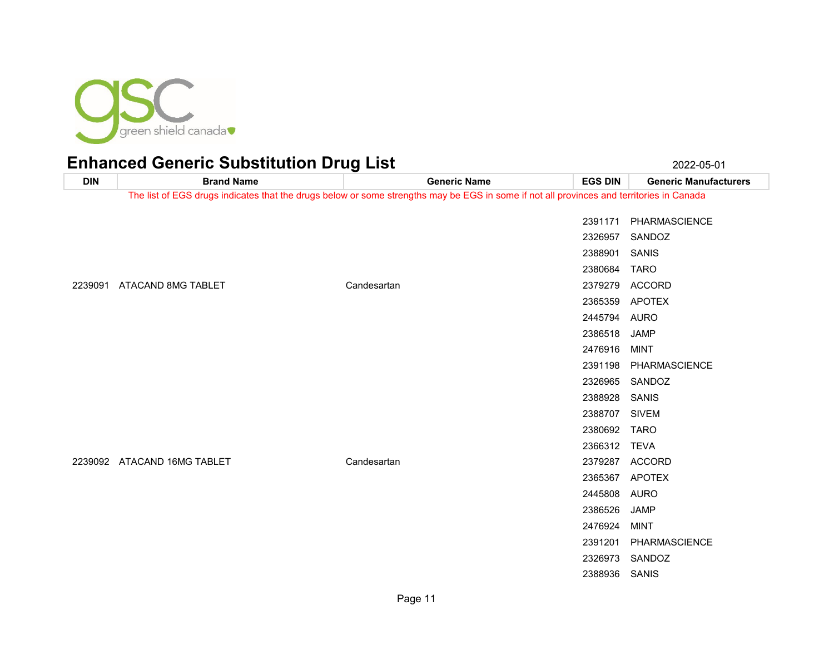

**DIN Brand Name Generic Name EGS DIN Generic Manufacturers** The list of EGS drugs indicates that the drugs below or some strengths may be EGS in some if not all provinces and territories in Canada PHARMASCIENCE SANDOZ SANIS TARO ATACAND 8MG TABLET Candesartan 2379279 ACCORD APOTEX AURO JAMP MINT PHARMASCIENCE SANDOZ SANIS SIVEM TARO TEVA ATACAND 16MG TABLET Candesartan 2379287 ACCORD APOTEX AURO JAMP MINT PHARMASCIENCE SANDOZ SANIS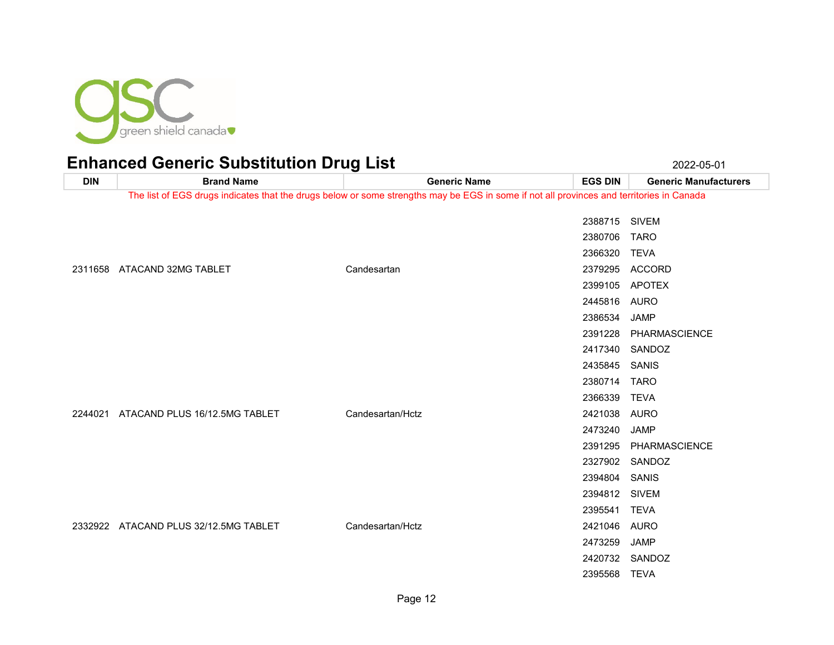

**DIN Brand Name Generic Name EGS DIN Generic Manufacturers** The list of EGS drugs indicates that the drugs below or some strengths may be EGS in some if not all provinces and territories in Canada SIVEM TARO TEVA ATACAND 32MG TABLET Candesartan 2379295 ACCORD APOTEX AURO JAMP PHARMASCIENCE SANDOZ SANIS TARO TEVA ATACAND PLUS 16/12.5MG TABLET Candesartan/Hctz 2421038 AURO JAMP PHARMASCIENCE SANDOZ SANIS SIVEM TEVA ATACAND PLUS 32/12.5MG TABLET Candesartan/Hctz 2421046 AURO JAMP SANDOZ TEVA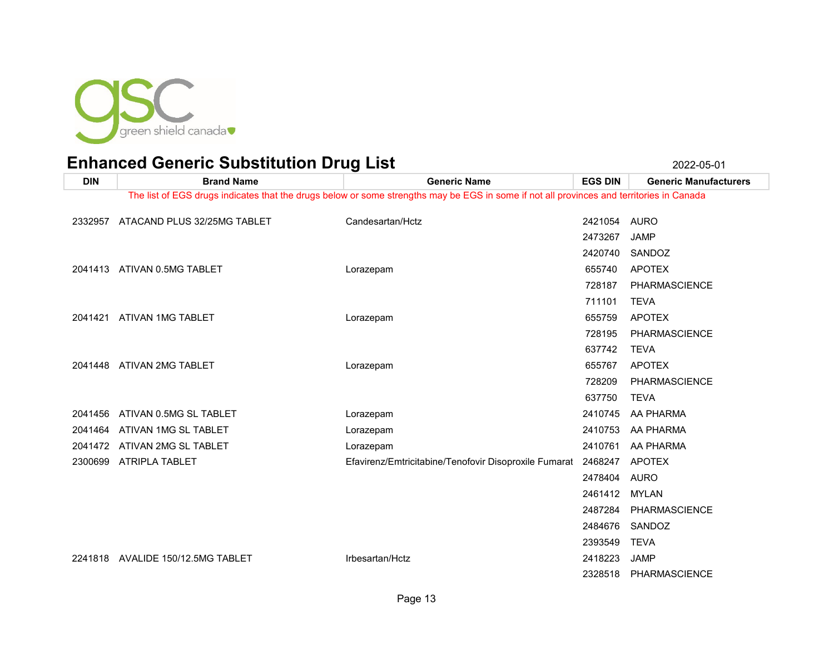

| <b>DIN</b> | <b>Brand Name</b>                 | <b>Generic Name</b>                                                                                                                      | <b>EGS DIN</b> | <b>Generic Manufacturers</b> |
|------------|-----------------------------------|------------------------------------------------------------------------------------------------------------------------------------------|----------------|------------------------------|
|            |                                   | The list of EGS drugs indicates that the drugs below or some strengths may be EGS in some if not all provinces and territories in Canada |                |                              |
| 2332957    | ATACAND PLUS 32/25MG TABLET       | Candesartan/Hctz                                                                                                                         | 2421054        | AURO                         |
|            |                                   |                                                                                                                                          | 2473267        | <b>JAMP</b>                  |
|            |                                   |                                                                                                                                          | 2420740        | SANDOZ                       |
|            | 2041413 ATIVAN 0.5MG TABLET       | Lorazepam                                                                                                                                | 655740         | <b>APOTEX</b>                |
|            |                                   |                                                                                                                                          | 728187         | <b>PHARMASCIENCE</b>         |
|            |                                   |                                                                                                                                          | 711101         | <b>TEVA</b>                  |
|            | 2041421 ATIVAN 1MG TABLET         | Lorazepam                                                                                                                                | 655759         | <b>APOTEX</b>                |
|            |                                   |                                                                                                                                          | 728195         | <b>PHARMASCIENCE</b>         |
|            |                                   |                                                                                                                                          | 637742         | <b>TEVA</b>                  |
|            | 2041448 ATIVAN 2MG TABLET         | Lorazepam                                                                                                                                | 655767         | <b>APOTEX</b>                |
|            |                                   |                                                                                                                                          | 728209         | PHARMASCIENCE                |
|            |                                   |                                                                                                                                          | 637750         | <b>TEVA</b>                  |
| 2041456    | ATIVAN 0.5MG SL TABLET            | Lorazepam                                                                                                                                | 2410745        | AA PHARMA                    |
| 2041464    | ATIVAN 1MG SL TABLET              | Lorazepam                                                                                                                                | 2410753        | AA PHARMA                    |
| 2041472    | ATIVAN 2MG SL TABLET              | Lorazepam                                                                                                                                | 2410761        | AA PHARMA                    |
|            | 2300699 ATRIPLA TABLET            | Efavirenz/Emtricitabine/Tenofovir Disoproxile Fumarat                                                                                    | 2468247        | APOTEX                       |
|            |                                   |                                                                                                                                          | 2478404        | <b>AURO</b>                  |
|            |                                   |                                                                                                                                          | 2461412        | <b>MYLAN</b>                 |
|            |                                   |                                                                                                                                          | 2487284        | PHARMASCIENCE                |
|            |                                   |                                                                                                                                          | 2484676        | SANDOZ                       |
|            |                                   |                                                                                                                                          | 2393549        | <b>TEVA</b>                  |
|            | 2241818 AVALIDE 150/12.5MG TABLET | Irbesartan/Hctz                                                                                                                          | 2418223        | <b>JAMP</b>                  |
|            |                                   |                                                                                                                                          | 2328518        | PHARMASCIENCE                |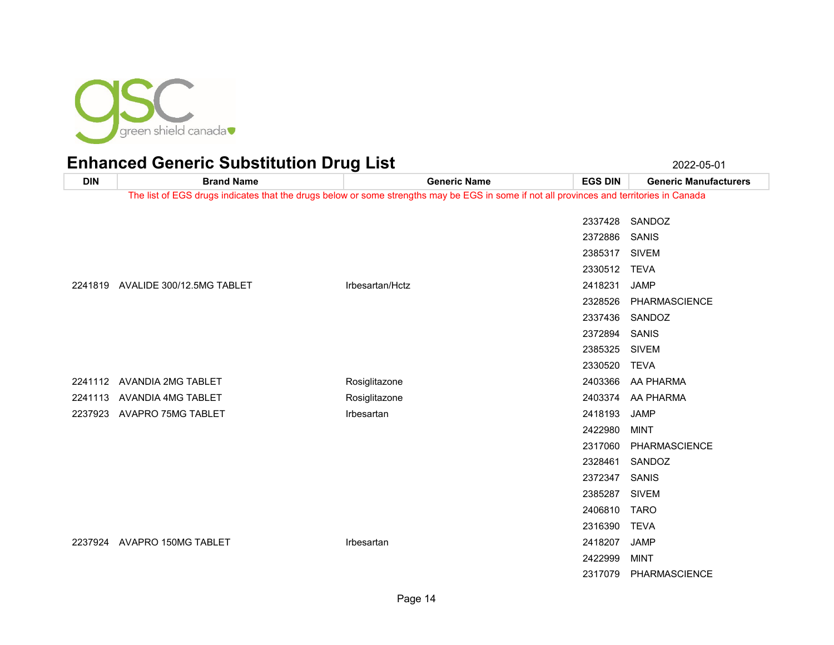

| <b>DIN</b> | <b>Brand Name</b>                 | <b>Generic Name</b>                                                                                                                      | <b>EGS DIN</b> | <b>Generic Manufacturers</b> |
|------------|-----------------------------------|------------------------------------------------------------------------------------------------------------------------------------------|----------------|------------------------------|
|            |                                   | The list of EGS drugs indicates that the drugs below or some strengths may be EGS in some if not all provinces and territories in Canada |                |                              |
|            |                                   |                                                                                                                                          | 2337428        | SANDOZ                       |
|            |                                   |                                                                                                                                          | 2372886        | SANIS                        |
|            |                                   |                                                                                                                                          | 2385317        | <b>SIVEM</b>                 |
|            |                                   |                                                                                                                                          | 2330512 TEVA   |                              |
|            | 2241819 AVALIDE 300/12.5MG TABLET | Irbesartan/Hctz                                                                                                                          | 2418231        | <b>JAMP</b>                  |
|            |                                   |                                                                                                                                          | 2328526        | <b>PHARMASCIENCE</b>         |
|            |                                   |                                                                                                                                          | 2337436        | SANDOZ                       |
|            |                                   |                                                                                                                                          | 2372894        | SANIS                        |
|            |                                   |                                                                                                                                          | 2385325        | <b>SIVEM</b>                 |
|            |                                   |                                                                                                                                          | 2330520        | TEVA                         |
|            | 2241112 AVANDIA 2MG TABLET        | Rosiglitazone                                                                                                                            | 2403366        | AA PHARMA                    |
|            | 2241113 AVANDIA 4MG TABLET        | Rosiglitazone                                                                                                                            |                | 2403374 AA PHARMA            |
|            | 2237923 AVAPRO 75MG TABLET        | Irbesartan                                                                                                                               | 2418193        | <b>JAMP</b>                  |
|            |                                   |                                                                                                                                          | 2422980        | MINT                         |
|            |                                   |                                                                                                                                          | 2317060        | PHARMASCIENCE                |
|            |                                   |                                                                                                                                          | 2328461        | SANDOZ                       |
|            |                                   |                                                                                                                                          | 2372347        | SANIS                        |
|            |                                   |                                                                                                                                          | 2385287        | <b>SIVEM</b>                 |
|            |                                   |                                                                                                                                          | 2406810        | <b>TARO</b>                  |
|            |                                   |                                                                                                                                          | 2316390        | <b>TEVA</b>                  |
|            | 2237924 AVAPRO 150MG TABLET       | Irbesartan                                                                                                                               | 2418207        | <b>JAMP</b>                  |
|            |                                   |                                                                                                                                          | 2422999        | <b>MINT</b>                  |
|            |                                   |                                                                                                                                          | 2317079        | PHARMASCIENCE                |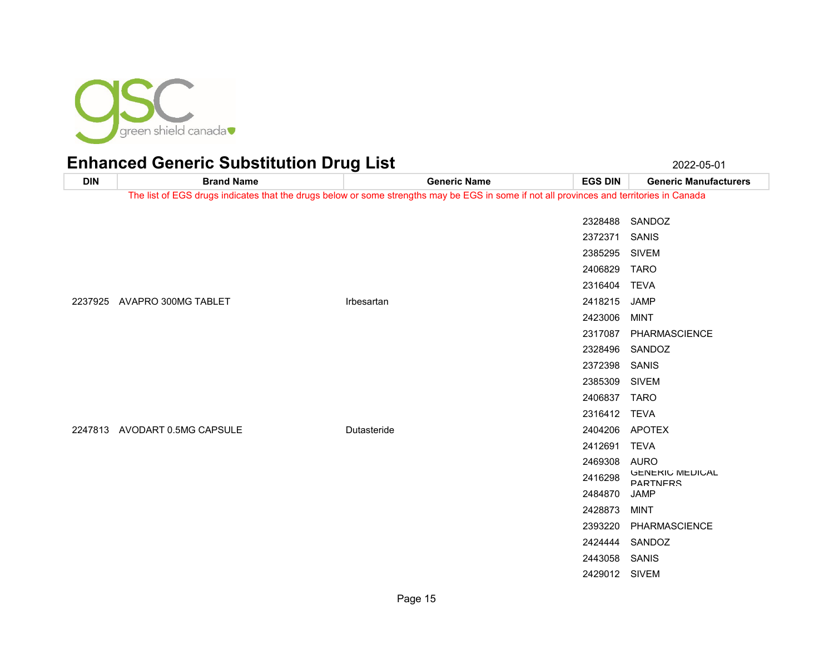

**DIN Brand Name Generic Name EGS DIN Generic Manufacturers** The list of EGS drugs indicates that the drugs below or some strengths may be EGS in some if not all provinces and territories in Canada SANDOZ SANIS SIVEM TARO TEVA AVAPRO 300MG TABLET Irbesartan 2418215 JAMP MINT PHARMASCIENCE SANDOZ SANIS SIVEM TARO TEVA AVODART 0.5MG CAPSULE Dutasteride 2404206 APOTEX TEVA AURO 2416298 GENERIC MEDICAL PARTNERS JAMP MINT PHARMASCIENCE

 SANDOZ SANIS SIVEM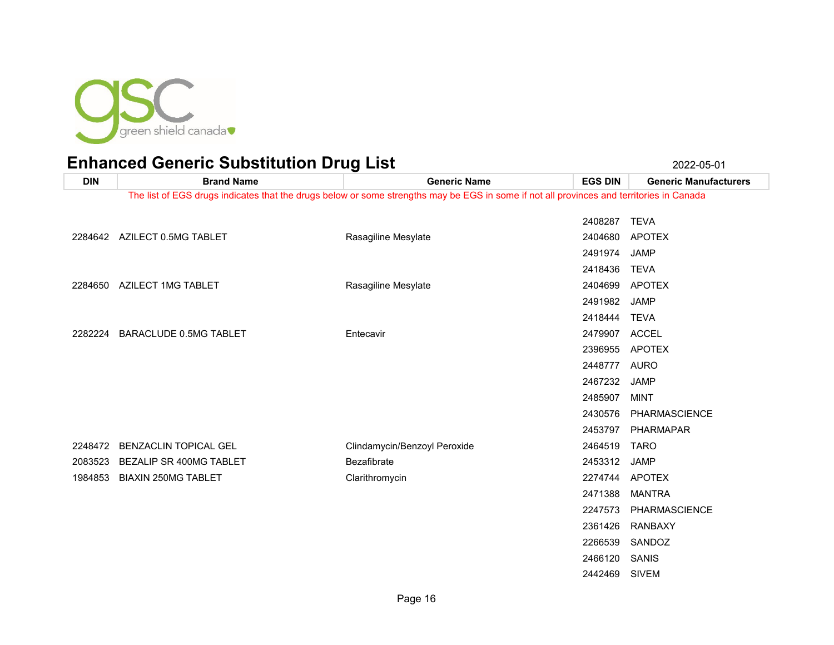

SIVEM

| The list of EGS drugs indicates that the drugs below or some strengths may be EGS in some if not all provinces and territories in Canada<br>2408287 TEVA<br>2284642 AZILECT 0.5MG TABLET<br>Rasagiline Mesylate<br>2404680<br><b>APOTEX</b><br>2491974<br><b>JAMP</b><br><b>TEVA</b><br>2418436<br>Rasagiline Mesylate<br><b>APOTEX</b><br>2284650 AZILECT 1MG TABLET<br>2404699<br>2491982<br><b>JAMP</b><br>2418444<br><b>TEVA</b><br><b>ACCEL</b><br><b>BARACLUDE 0.5MG TABLET</b><br>Entecavir<br>2479907<br>2282224<br><b>APOTEX</b><br>2396955<br>2448777<br>AURO | <b>DIN</b> | <b>Brand Name</b> | <b>Generic Name</b> | <b>EGS DIN</b> | <b>Generic Manufacturers</b> |
|-------------------------------------------------------------------------------------------------------------------------------------------------------------------------------------------------------------------------------------------------------------------------------------------------------------------------------------------------------------------------------------------------------------------------------------------------------------------------------------------------------------------------------------------------------------------------|------------|-------------------|---------------------|----------------|------------------------------|
|                                                                                                                                                                                                                                                                                                                                                                                                                                                                                                                                                                         |            |                   |                     |                |                              |
|                                                                                                                                                                                                                                                                                                                                                                                                                                                                                                                                                                         |            |                   |                     |                |                              |
|                                                                                                                                                                                                                                                                                                                                                                                                                                                                                                                                                                         |            |                   |                     |                |                              |
|                                                                                                                                                                                                                                                                                                                                                                                                                                                                                                                                                                         |            |                   |                     |                |                              |
|                                                                                                                                                                                                                                                                                                                                                                                                                                                                                                                                                                         |            |                   |                     |                |                              |
|                                                                                                                                                                                                                                                                                                                                                                                                                                                                                                                                                                         |            |                   |                     |                |                              |
|                                                                                                                                                                                                                                                                                                                                                                                                                                                                                                                                                                         |            |                   |                     |                |                              |
|                                                                                                                                                                                                                                                                                                                                                                                                                                                                                                                                                                         |            |                   |                     |                |                              |
|                                                                                                                                                                                                                                                                                                                                                                                                                                                                                                                                                                         |            |                   |                     |                |                              |
|                                                                                                                                                                                                                                                                                                                                                                                                                                                                                                                                                                         |            |                   |                     |                |                              |
|                                                                                                                                                                                                                                                                                                                                                                                                                                                                                                                                                                         |            |                   |                     |                |                              |
|                                                                                                                                                                                                                                                                                                                                                                                                                                                                                                                                                                         |            |                   |                     |                |                              |
|                                                                                                                                                                                                                                                                                                                                                                                                                                                                                                                                                                         |            |                   |                     | 2467232        | <b>JAMP</b>                  |
| 2485907<br><b>MINT</b>                                                                                                                                                                                                                                                                                                                                                                                                                                                                                                                                                  |            |                   |                     |                |                              |
| PHARMASCIENCE<br>2430576                                                                                                                                                                                                                                                                                                                                                                                                                                                                                                                                                |            |                   |                     |                |                              |
|                                                                                                                                                                                                                                                                                                                                                                                                                                                                                                                                                                         |            |                   |                     |                |                              |
| 2453797 PHARMAPAR                                                                                                                                                                                                                                                                                                                                                                                                                                                                                                                                                       |            |                   |                     |                |                              |
| <b>BENZACLIN TOPICAL GEL</b><br>Clindamycin/Benzoyl Peroxide<br>2464519<br><b>TARO</b><br>2248472                                                                                                                                                                                                                                                                                                                                                                                                                                                                       |            |                   |                     |                |                              |
| Bezafibrate<br>BEZALIP SR 400MG TABLET<br>2453312<br><b>JAMP</b><br>2083523                                                                                                                                                                                                                                                                                                                                                                                                                                                                                             |            |                   |                     |                |                              |
| <b>BIAXIN 250MG TABLET</b><br>2274744 APOTEX<br>1984853<br>Clarithromycin                                                                                                                                                                                                                                                                                                                                                                                                                                                                                               |            |                   |                     |                |                              |
| <b>MANTRA</b><br>2471388                                                                                                                                                                                                                                                                                                                                                                                                                                                                                                                                                |            |                   |                     |                |                              |
| 2247573<br>PHARMASCIENCE                                                                                                                                                                                                                                                                                                                                                                                                                                                                                                                                                |            |                   |                     |                |                              |
| RANBAXY<br>2361426                                                                                                                                                                                                                                                                                                                                                                                                                                                                                                                                                      |            |                   |                     |                |                              |
| SANDOZ<br>2266539                                                                                                                                                                                                                                                                                                                                                                                                                                                                                                                                                       |            |                   |                     |                |                              |
| 2466120<br>SANIS                                                                                                                                                                                                                                                                                                                                                                                                                                                                                                                                                        |            |                   |                     |                |                              |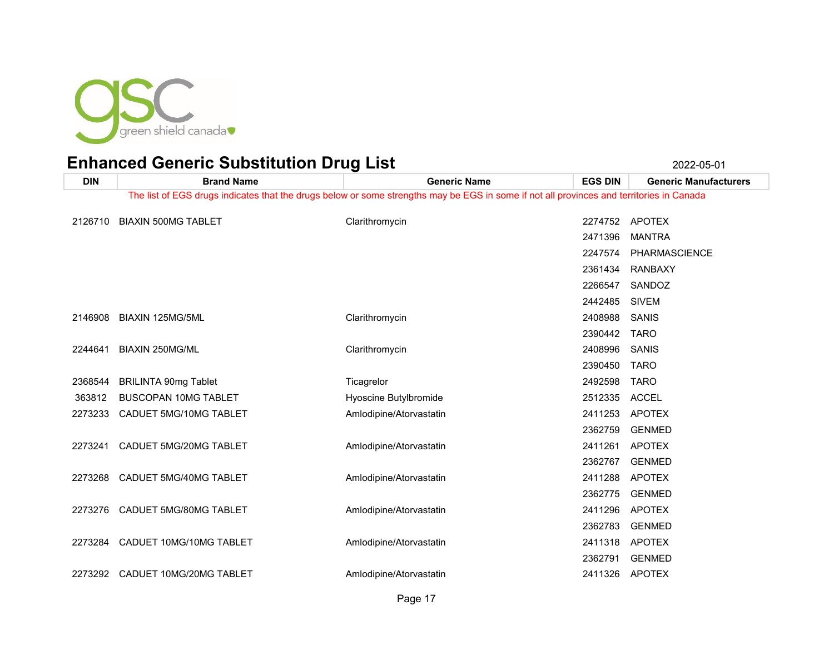

| <b>DIN</b> | <b>Brand Name</b>               | <b>Generic Name</b>                                                                                                                      | <b>EGS DIN</b> | <b>Generic Manufacturers</b> |
|------------|---------------------------------|------------------------------------------------------------------------------------------------------------------------------------------|----------------|------------------------------|
|            |                                 | The list of EGS drugs indicates that the drugs below or some strengths may be EGS in some if not all provinces and territories in Canada |                |                              |
| 2126710    | <b>BIAXIN 500MG TABLET</b>      | Clarithromycin                                                                                                                           |                | 2274752 APOTEX               |
|            |                                 |                                                                                                                                          | 2471396        | <b>MANTRA</b>                |
|            |                                 |                                                                                                                                          |                |                              |
|            |                                 |                                                                                                                                          | 2247574        | PHARMASCIENCE                |
|            |                                 |                                                                                                                                          | 2361434        | <b>RANBAXY</b>               |
|            |                                 |                                                                                                                                          | 2266547        | SANDOZ                       |
|            |                                 |                                                                                                                                          | 2442485        | <b>SIVEM</b>                 |
| 2146908    | BIAXIN 125MG/5ML                | Clarithromycin                                                                                                                           | 2408988        | SANIS                        |
|            |                                 |                                                                                                                                          | 2390442 TARO   |                              |
| 2244641    | BIAXIN 250MG/ML                 | Clarithromycin                                                                                                                           | 2408996        | SANIS                        |
|            |                                 |                                                                                                                                          | 2390450 TARO   |                              |
| 2368544    | <b>BRILINTA 90mg Tablet</b>     | Ticagrelor                                                                                                                               | 2492598        | <b>TARO</b>                  |
| 363812     | <b>BUSCOPAN 10MG TABLET</b>     | Hyoscine Butylbromide                                                                                                                    | 2512335 ACCEL  |                              |
| 2273233    | CADUET 5MG/10MG TABLET          | Amlodipine/Atorvastatin                                                                                                                  | 2411253        | APOTEX                       |
|            |                                 |                                                                                                                                          | 2362759        | <b>GENMED</b>                |
| 2273241    | CADUET 5MG/20MG TABLET          | Amlodipine/Atorvastatin                                                                                                                  | 2411261        | <b>APOTEX</b>                |
|            |                                 |                                                                                                                                          | 2362767        | <b>GENMED</b>                |
| 2273268    | CADUET 5MG/40MG TABLET          | Amlodipine/Atorvastatin                                                                                                                  | 2411288        | APOTEX                       |
|            |                                 |                                                                                                                                          | 2362775        | <b>GENMED</b>                |
| 2273276    | CADUET 5MG/80MG TABLET          | Amlodipine/Atorvastatin                                                                                                                  | 2411296        | APOTEX                       |
|            |                                 |                                                                                                                                          | 2362783        | <b>GENMED</b>                |
|            | 2273284 CADUET 10MG/10MG TABLET | Amlodipine/Atorvastatin                                                                                                                  |                | 2411318 APOTEX               |
|            |                                 |                                                                                                                                          | 2362791        | <b>GENMED</b>                |
| 2273292    | CADUET 10MG/20MG TABLET         | Amlodipine/Atorvastatin                                                                                                                  | 2411326 APOTEX |                              |
|            |                                 |                                                                                                                                          |                |                              |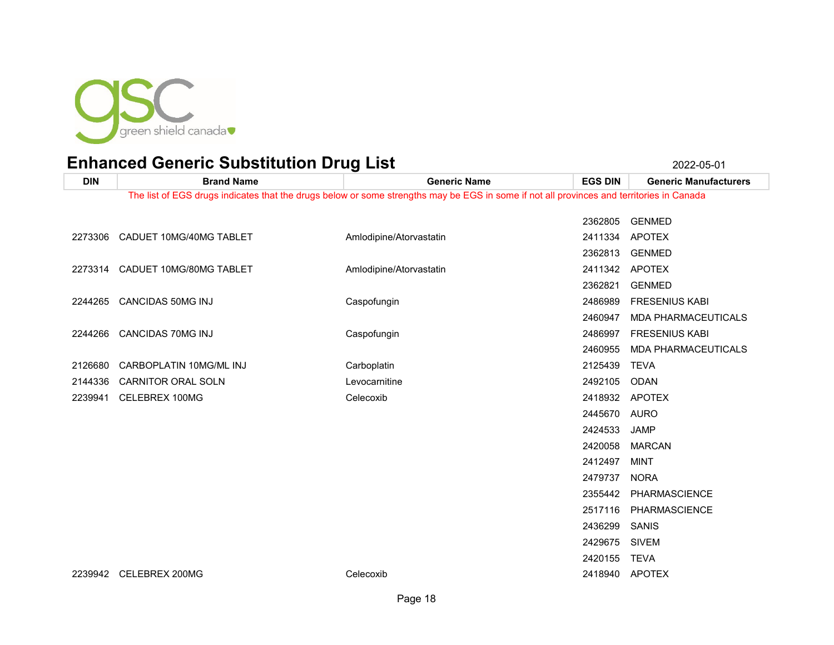

| <b>DIN</b> | <b>Brand Name</b>               | <b>Generic Name</b>                                                                                                                      | <b>EGS DIN</b> | <b>Generic Manufacturers</b> |
|------------|---------------------------------|------------------------------------------------------------------------------------------------------------------------------------------|----------------|------------------------------|
|            |                                 | The list of EGS drugs indicates that the drugs below or some strengths may be EGS in some if not all provinces and territories in Canada |                |                              |
|            |                                 |                                                                                                                                          | 2362805        | <b>GENMED</b>                |
|            | 2273306 CADUET 10MG/40MG TABLET | Amlodipine/Atorvastatin                                                                                                                  | 2411334        | <b>APOTEX</b>                |
|            |                                 |                                                                                                                                          | 2362813        | <b>GENMED</b>                |
|            | 2273314 CADUET 10MG/80MG TABLET | Amlodipine/Atorvastatin                                                                                                                  |                | 2411342 APOTEX               |
|            |                                 |                                                                                                                                          | 2362821        | <b>GENMED</b>                |
|            | 2244265 CANCIDAS 50MG INJ       | Caspofungin                                                                                                                              | 2486989        | <b>FRESENIUS KABI</b>        |
|            |                                 |                                                                                                                                          | 2460947        | MDA PHARMACEUTICALS          |
|            | 2244266 CANCIDAS 70MG INJ       | Caspofungin                                                                                                                              | 2486997        | <b>FRESENIUS KABI</b>        |
|            |                                 |                                                                                                                                          | 2460955        | <b>MDA PHARMACEUTICALS</b>   |
| 2126680    | CARBOPLATIN 10MG/ML INJ         | Carboplatin                                                                                                                              | 2125439        | <b>TEVA</b>                  |
| 2144336    | <b>CARNITOR ORAL SOLN</b>       | Levocarnitine                                                                                                                            | 2492105        | ODAN                         |
| 2239941    | CELEBREX 100MG                  | Celecoxib                                                                                                                                |                | 2418932 APOTEX               |
|            |                                 |                                                                                                                                          | 2445670        | AURO                         |
|            |                                 |                                                                                                                                          | 2424533        | <b>JAMP</b>                  |
|            |                                 |                                                                                                                                          | 2420058        | <b>MARCAN</b>                |
|            |                                 |                                                                                                                                          | 2412497        | <b>MINT</b>                  |
|            |                                 |                                                                                                                                          | 2479737        | <b>NORA</b>                  |
|            |                                 |                                                                                                                                          |                | 2355442 PHARMASCIENCE        |
|            |                                 |                                                                                                                                          | 2517116        | PHARMASCIENCE                |
|            |                                 |                                                                                                                                          | 2436299        | SANIS                        |
|            |                                 |                                                                                                                                          | 2429675        | <b>SIVEM</b>                 |
|            |                                 |                                                                                                                                          | 2420155 TEVA   |                              |
| 2239942    | CELEBREX 200MG                  | Celecoxib                                                                                                                                |                | 2418940 APOTEX               |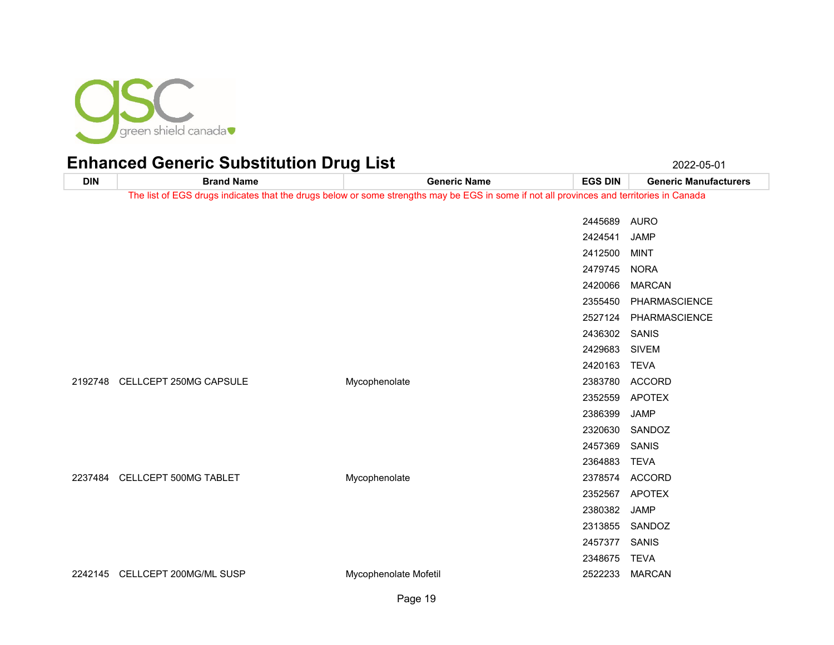

**DIN Brand Name Generic Name EGS DIN Generic Manufacturers** The list of EGS drugs indicates that the drugs below or some strengths may be EGS in some if not all provinces and territories in Canada AURO JAMP MINT NORA MARCAN PHARMASCIENCE PHARMASCIENCE SANIS SIVEM TEVA CELLCEPT 250MG CAPSULE Mycophenolate 2383780 ACCORD APOTEX JAMP SANDOZ SANIS TEVA CELLCEPT 500MG TABLET Mycophenolate 2378574 ACCORD APOTEX JAMP SANDOZ SANIS TEVA CELLCEPT 200MG/ML SUSP Mycophenolate Mofetil 2522233 MARCAN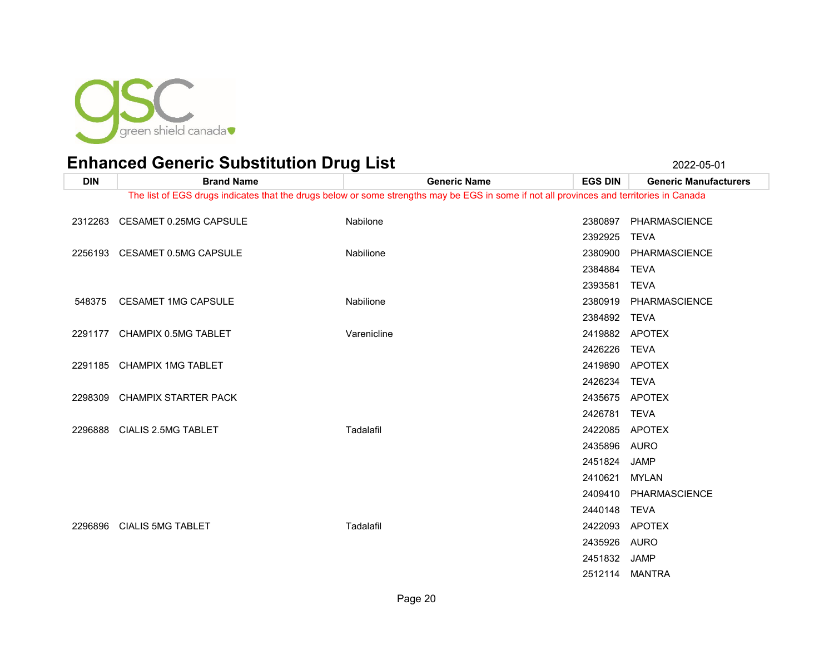

**DIN Brand Name Generic Name EGS DIN Generic Manufacturers** The list of EGS drugs indicates that the drugs below or some strengths may be EGS in some if not all provinces and territories in Canada CESAMET 0.25MG CAPSULE Nabilone 2380897 PHARMASCIENCE TEVA CESAMET 0.5MG CAPSULE Nabilione 2380900 PHARMASCIENCE TEVA TEVA CESAMET 1MG CAPSULE Nabilione 2380919 PHARMASCIENCE TEVA 2291177 CHAMPIX 0.5MG TABLET 2291177 CHAMPIX 0.5MG TABLET TEVA CHAMPIX 1MG TABLET 2419890 APOTEX TEVA CHAMPIX STARTER PACK 2435675 APOTEX TEVA CIALIS 2.5MG TABLET Tadalafil 2422085 APOTEX AURO JAMP MYLAN PHARMASCIENCE TEVA CIALIS 5MG TABLET Tadalafil 2422093 APOTEX AURO JAMP MANTRA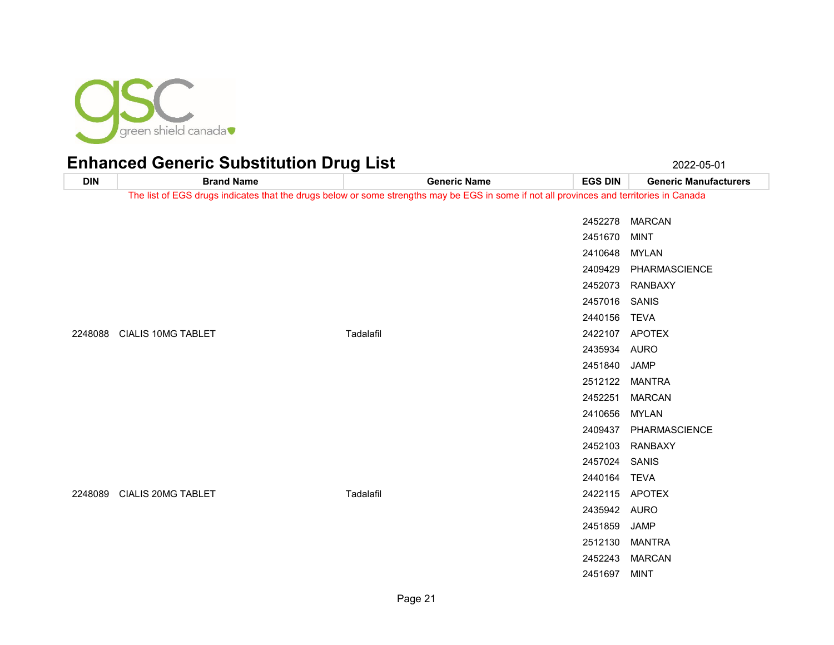

**DIN Brand Name Generic Name EGS DIN Generic Manufacturers** The list of EGS drugs indicates that the drugs below or some strengths may be EGS in some if not all provinces and territories in Canada MARCAN MINT MYLAN PHARMASCIENCE RANBAXY SANIS TEVA CIALIS 10MG TABLET Tadalafil 2422107 APOTEX AURO JAMP MANTRA MARCAN MYLAN PHARMASCIENCE RANBAXY SANIS TEVA CIALIS 20MG TABLET Tadalafil 2422115 APOTEX AURO JAMP MANTRA MARCAN MINT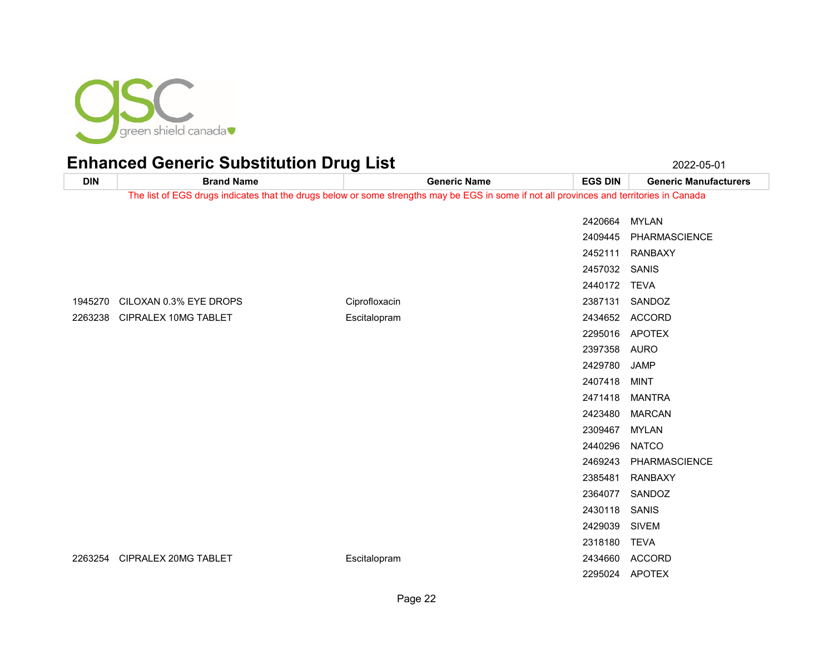

| <b>DIN</b> | <b>Brand Name</b>      | <b>Generic Name</b>                                                                                                                      | <b>EGS DIN</b> | <b>Generic Manufacturers</b> |
|------------|------------------------|------------------------------------------------------------------------------------------------------------------------------------------|----------------|------------------------------|
|            |                        | The list of EGS drugs indicates that the drugs below or some strengths may be EGS in some if not all provinces and territories in Canada |                |                              |
|            |                        |                                                                                                                                          | 2420664        | <b>MYLAN</b>                 |
|            |                        |                                                                                                                                          | 2409445        | PHARMASCIENCE                |
|            |                        |                                                                                                                                          | 2452111        | <b>RANBAXY</b>               |
|            |                        |                                                                                                                                          | 2457032 SANIS  |                              |
|            |                        |                                                                                                                                          | 2440172        | <b>TEVA</b>                  |
| 1945270    | CILOXAN 0.3% EYE DROPS | Ciprofloxacin                                                                                                                            | 2387131        | SANDOZ                       |
| 2263238    | CIPRALEX 10MG TABLET   | Escitalopram                                                                                                                             | 2434652        | <b>ACCORD</b>                |
|            |                        |                                                                                                                                          | 2295016        | <b>APOTEX</b>                |
|            |                        |                                                                                                                                          | 2397358        | <b>AURO</b>                  |
|            |                        |                                                                                                                                          | 2429780        | <b>JAMP</b>                  |
|            |                        |                                                                                                                                          | 2407418        | <b>MINT</b>                  |
|            |                        |                                                                                                                                          | 2471418        | <b>MANTRA</b>                |
|            |                        |                                                                                                                                          | 2423480        | <b>MARCAN</b>                |
|            |                        |                                                                                                                                          | 2309467        | <b>MYLAN</b>                 |
|            |                        |                                                                                                                                          | 2440296        | <b>NATCO</b>                 |
|            |                        |                                                                                                                                          | 2469243        | PHARMASCIENCE                |
|            |                        |                                                                                                                                          | 2385481        | <b>RANBAXY</b>               |
|            |                        |                                                                                                                                          | 2364077        | SANDOZ                       |
|            |                        |                                                                                                                                          | 2430118        | <b>SANIS</b>                 |
|            |                        |                                                                                                                                          | 2429039        | <b>SIVEM</b>                 |
|            |                        |                                                                                                                                          | 2318180        | <b>TEVA</b>                  |
| 2263254    | CIPRALEX 20MG TABLET   | Escitalopram                                                                                                                             | 2434660        | <b>ACCORD</b>                |
|            |                        |                                                                                                                                          | 2295024        | <b>APOTEX</b>                |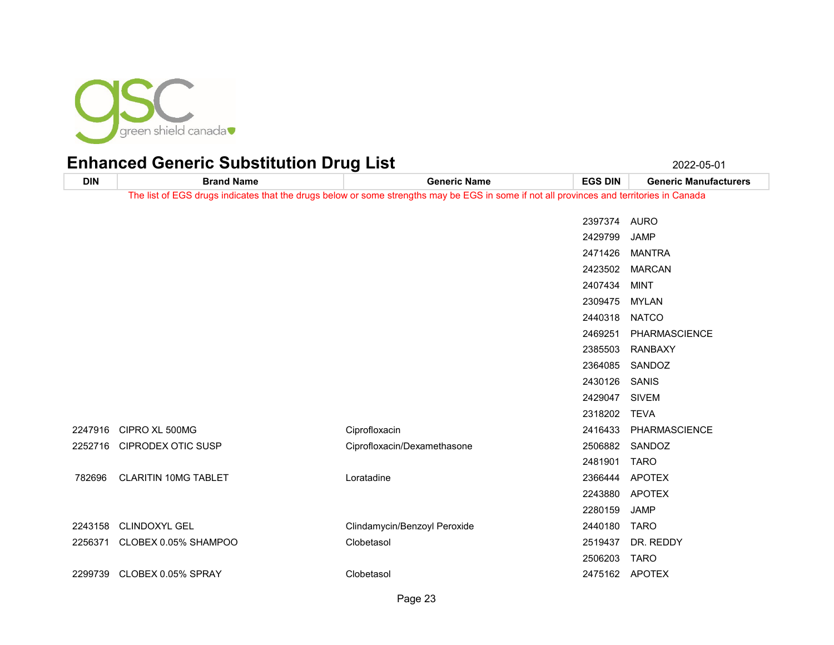

**DIN Brand Name Generic Name EGS DIN Generic Manufacturers** The list of EGS drugs indicates that the drugs below or some strengths may be EGS in some if not all provinces and territories in Canada AURO JAMP MANTRA MARCAN MINT MYLAN NATCO PHARMASCIENCE RANBAXY SANDOZ SANIS SIVEM TEVA CIPRO XL 500MG Ciprofloxacin 2416433 PHARMASCIENCE CIPRODEX OTIC SUSP Ciprofloxacin/Dexamethasone 2506882 SANDOZ TARO CLARITIN 10MG TABLET Loratadine 2366444 APOTEX APOTEX JAMP CLINDOXYL GEL Clindamycin/Benzoyl Peroxide 2440180 TARO CLOBEX 0.05% SHAMPOO Clobetasol 2519437 DR. REDDY TARO CLOBEX 0.05% SPRAY Clobetasol 2475162 APOTEX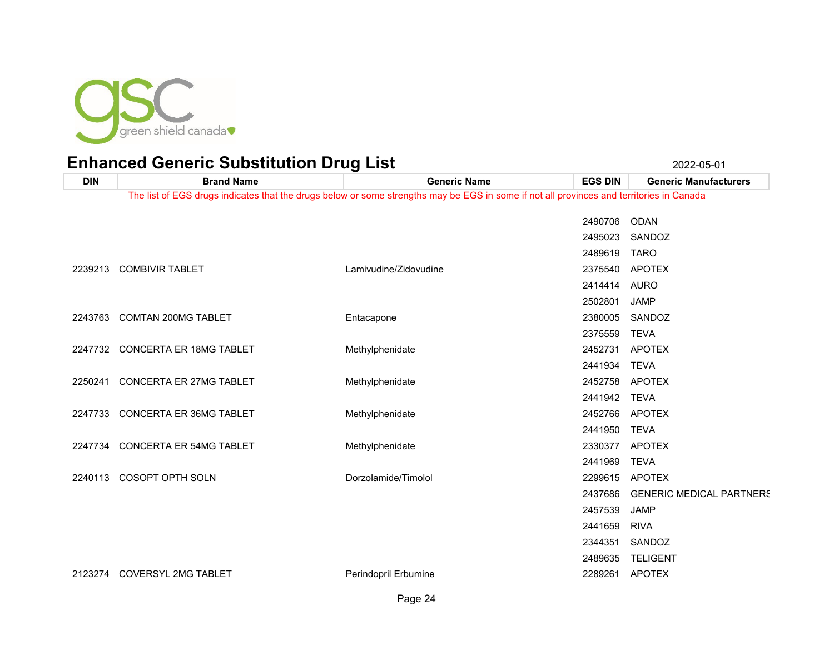

**DIN Brand Name Generic Name EGS DIN Generic Manufacturers** The list of EGS drugs indicates that the drugs below or some strengths may be EGS in some if not all provinces and territories in Canada ODAN SANDOZ TARO 2239213 COMBIVIR TABLET COMBIVIR TABLET COMBINING COMBINING APOTEX AURO JAMP 2243763 COMTAN 200MG TABLET **Entacapone** Entacapone 238005 SANDOZ TEVA 2247732 CONCERTA ER 18MG TABLET Methylphenidate **2452731 APOTEX**  TEVA 2250241 CONCERTA ER 27MG TABLET **Methylphenidate** 2452758 APOTEX TEVA

TEVA

TEVA

 JAMP RIVA SANDOZ TELIGENT

GENERIC MEDICAL PARTNERS

2247733 CONCERTA ER 36MG TABLET Methylphenidate 2452766 APOTEX

2247734 CONCERTA ER 54MG TABLET Methylphenidate 2330377 APOTEX

COSOPT OPTH SOLN Dorzolamide/Timolol 2299615 APOTEX

COVERSYL 2MG TABLET Perindopril Erbumine 2289261 APOTEX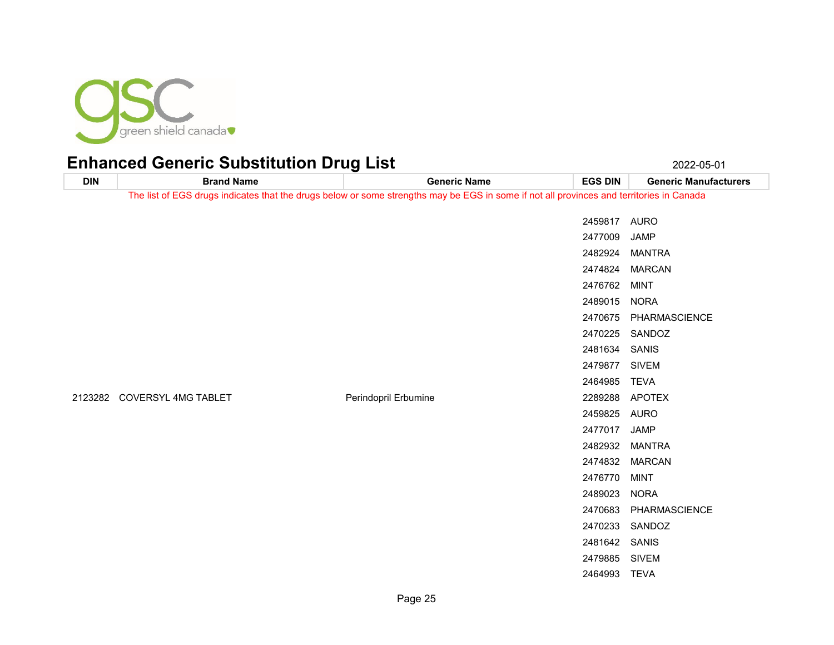

| <b>DIN</b> | <b>Brand Name</b>           | <b>Generic Name</b>                                                                                                                      | <b>EGS DIN</b> | <b>Generic Manufacturers</b> |
|------------|-----------------------------|------------------------------------------------------------------------------------------------------------------------------------------|----------------|------------------------------|
|            |                             | The list of EGS drugs indicates that the drugs below or some strengths may be EGS in some if not all provinces and territories in Canada |                |                              |
|            |                             |                                                                                                                                          | 2459817 AURO   |                              |
|            |                             |                                                                                                                                          | 2477009        | JAMP                         |
|            |                             |                                                                                                                                          |                |                              |
|            |                             |                                                                                                                                          |                | 2482924 MANTRA               |
|            |                             |                                                                                                                                          |                | 2474824 MARCAN               |
|            |                             |                                                                                                                                          | 2476762 MINT   |                              |
|            |                             |                                                                                                                                          | 2489015 NORA   |                              |
|            |                             |                                                                                                                                          |                | 2470675 PHARMASCIENCE        |
|            |                             |                                                                                                                                          |                | 2470225 SANDOZ               |
|            |                             |                                                                                                                                          | 2481634 SANIS  |                              |
|            |                             |                                                                                                                                          | 2479877 SIVEM  |                              |
|            |                             |                                                                                                                                          | 2464985 TEVA   |                              |
|            | 2123282 COVERSYL 4MG TABLET | Perindopril Erbumine                                                                                                                     |                | 2289288 APOTEX               |
|            |                             |                                                                                                                                          | 2459825 AURO   |                              |
|            |                             |                                                                                                                                          | 2477017 JAMP   |                              |
|            |                             |                                                                                                                                          |                | 2482932 MANTRA               |
|            |                             |                                                                                                                                          |                | 2474832 MARCAN               |
|            |                             |                                                                                                                                          | 2476770 MINT   |                              |
|            |                             |                                                                                                                                          | 2489023 NORA   |                              |
|            |                             |                                                                                                                                          |                | 2470683 PHARMASCIENCE        |
|            |                             |                                                                                                                                          |                | 2470233 SANDOZ               |
|            |                             |                                                                                                                                          | 2481642 SANIS  |                              |
|            |                             |                                                                                                                                          | 2479885 SIVEM  |                              |
|            |                             |                                                                                                                                          | 2464993 TEVA   |                              |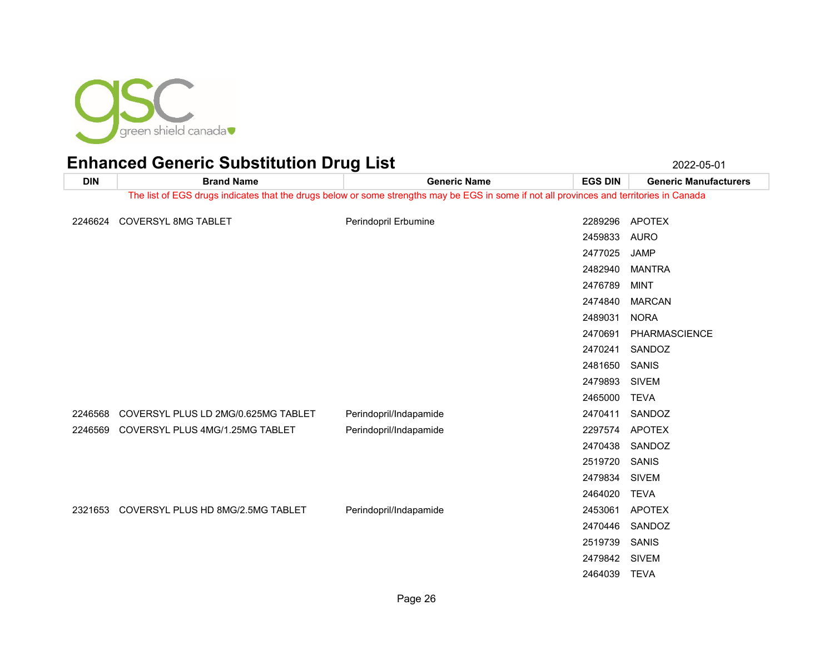

**DIN Brand Name Generic Name EGS DIN Generic Manufacturers** The list of EGS drugs indicates that the drugs below or some strengths may be EGS in some if not all provinces and territories in Canada COVERSYL 8MG TABLET Perindopril Erbumine 2289296 APOTEX AURO JAMP MANTRA MINT MARCAN NORA PHARMASCIENCE SANDOZ SANIS SIVEM TEVA 2246568 COVERSYL PLUS LD 2MG/0.625MG TABLET Perindopril/Indapamide 2000 2470411 SANDOZ COVERSYL PLUS 4MG/1.25MG TABLET Perindopril/Indapamide 2297574 APOTEX SANDOZ SANIS SIVEM TEVA COVERSYL PLUS HD 8MG/2.5MG TABLET Perindopril/Indapamide 2453061 APOTEX SANDOZ SANIS SIVEM TEVA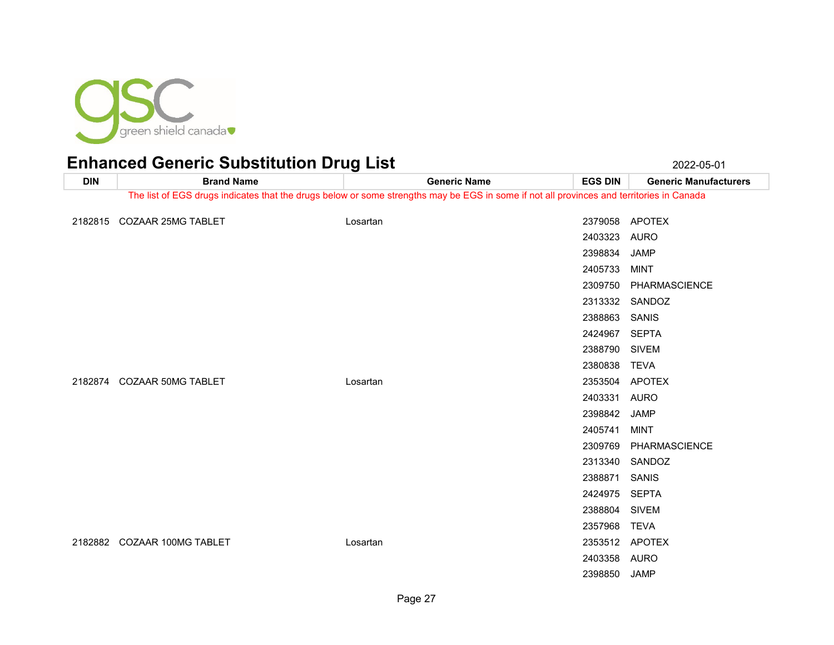

**DIN Brand Name Generic Name EGS DIN Generic Manufacturers** The list of EGS drugs indicates that the drugs below or some strengths may be EGS in some if not all provinces and territories in Canada COZAAR 25MG TABLET Losartan 2379058 APOTEX AURO JAMP MINT PHARMASCIENCE SANDOZ SANIS SEPTA SIVEM TEVA COZAAR 50MG TABLET Losartan 2353504 APOTEX AURO JAMP MINT PHARMASCIENCE SANDOZ SANIS SEPTA SIVEM TEVA COZAAR 100MG TABLET Losartan 2353512 APOTEX AURO JAMP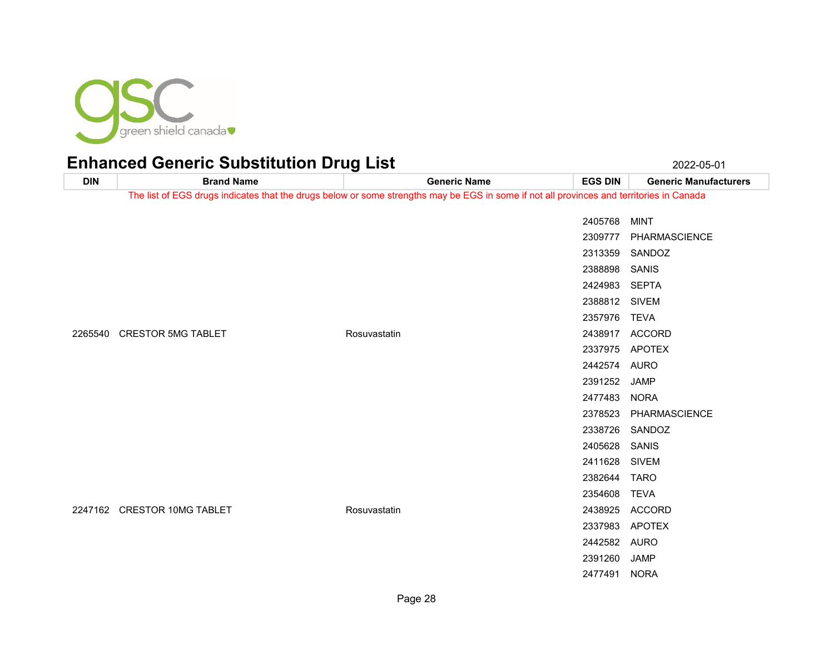

| <b>DIN</b> | <b>Brand Name</b>           | <b>Generic Name</b>                                                                                                                      | <b>EGS DIN</b> | <b>Generic Manufacturers</b> |
|------------|-----------------------------|------------------------------------------------------------------------------------------------------------------------------------------|----------------|------------------------------|
|            |                             | The list of EGS drugs indicates that the drugs below or some strengths may be EGS in some if not all provinces and territories in Canada |                |                              |
|            |                             |                                                                                                                                          | 2405768        | <b>MINT</b>                  |
|            |                             |                                                                                                                                          | 2309777        | PHARMASCIENCE                |
|            |                             |                                                                                                                                          | 2313359        | SANDOZ                       |
|            |                             |                                                                                                                                          | 2388898        | SANIS                        |
|            |                             |                                                                                                                                          | 2424983        | SEPTA                        |
|            |                             |                                                                                                                                          | 2388812 SIVEM  |                              |
|            |                             |                                                                                                                                          | 2357976        | <b>TEVA</b>                  |
|            | 2265540 CRESTOR 5MG TABLET  | Rosuvastatin                                                                                                                             | 2438917        | <b>ACCORD</b>                |
|            | 2247162 CRESTOR 10MG TABLET |                                                                                                                                          |                | 2337975 APOTEX               |
|            |                             |                                                                                                                                          | 2442574 AURO   |                              |
|            |                             |                                                                                                                                          | 2391252 JAMP   |                              |
|            |                             |                                                                                                                                          | 2477483 NORA   |                              |
|            |                             |                                                                                                                                          | 2378523        | PHARMASCIENCE                |
|            |                             |                                                                                                                                          |                | 2338726 SANDOZ               |
|            |                             |                                                                                                                                          | 2405628        | SANIS                        |
|            |                             |                                                                                                                                          | 2411628        | <b>SIVEM</b>                 |
|            |                             |                                                                                                                                          | 2382644        | TARO                         |
|            |                             |                                                                                                                                          | 2354608        | <b>TEVA</b>                  |
|            |                             | Rosuvastatin                                                                                                                             | 2438925        | <b>ACCORD</b>                |
|            |                             |                                                                                                                                          |                | 2337983 APOTEX               |
|            |                             |                                                                                                                                          | 2442582 AURO   |                              |
|            |                             |                                                                                                                                          | 2391260        | <b>JAMP</b>                  |
|            |                             |                                                                                                                                          | 2477491        | <b>NORA</b>                  |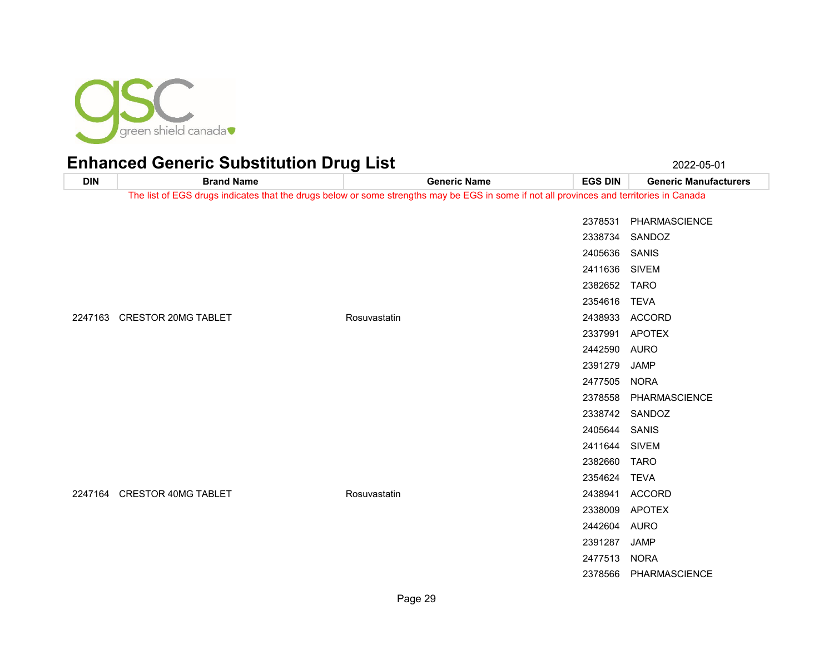

|            | $\alpha$ contribution of $\alpha$ |                                                                                                                                          |                | LULL VU VI                   |
|------------|-----------------------------------|------------------------------------------------------------------------------------------------------------------------------------------|----------------|------------------------------|
| <b>DIN</b> | <b>Brand Name</b>                 | <b>Generic Name</b>                                                                                                                      | <b>EGS DIN</b> | <b>Generic Manufacturers</b> |
|            |                                   | The list of EGS drugs indicates that the drugs below or some strengths may be EGS in some if not all provinces and territories in Canada |                |                              |
|            |                                   |                                                                                                                                          |                |                              |
|            |                                   |                                                                                                                                          |                | 2378531 PHARMASCIENCE        |
|            |                                   |                                                                                                                                          | 2338734        | SANDOZ                       |
|            |                                   |                                                                                                                                          | 2405636 SANIS  |                              |
|            |                                   |                                                                                                                                          | 2411636 SIVEM  |                              |
|            |                                   |                                                                                                                                          | 2382652 TARO   |                              |
|            |                                   |                                                                                                                                          | 2354616        | TEVA                         |
|            | 2247163 CRESTOR 20MG TABLET       | Rosuvastatin                                                                                                                             |                | 2438933 ACCORD               |
|            |                                   |                                                                                                                                          |                | 2337991 APOTEX               |
|            |                                   |                                                                                                                                          | 2442590 AURO   |                              |
|            |                                   |                                                                                                                                          | 2391279        | <b>JAMP</b>                  |
|            |                                   |                                                                                                                                          | 2477505 NORA   |                              |
|            |                                   |                                                                                                                                          | 2378558        | PHARMASCIENCE                |
|            |                                   |                                                                                                                                          |                | 2338742 SANDOZ               |
|            |                                   |                                                                                                                                          | 2405644 SANIS  |                              |
|            |                                   |                                                                                                                                          | 2411644 SIVEM  |                              |
|            |                                   |                                                                                                                                          | 2382660 TARO   |                              |
|            |                                   |                                                                                                                                          | 2354624        | <b>TEVA</b>                  |
|            | 2247164 CRESTOR 40MG TABLET       | Rosuvastatin                                                                                                                             |                | 2438941 ACCORD               |
|            |                                   |                                                                                                                                          | 2338009        | <b>APOTEX</b>                |
|            |                                   |                                                                                                                                          | 2442604 AURO   |                              |
|            |                                   |                                                                                                                                          | 2391287 JAMP   |                              |
|            |                                   |                                                                                                                                          | 2477513 NORA   |                              |
|            |                                   |                                                                                                                                          |                | 2378566 PHARMASCIENCE        |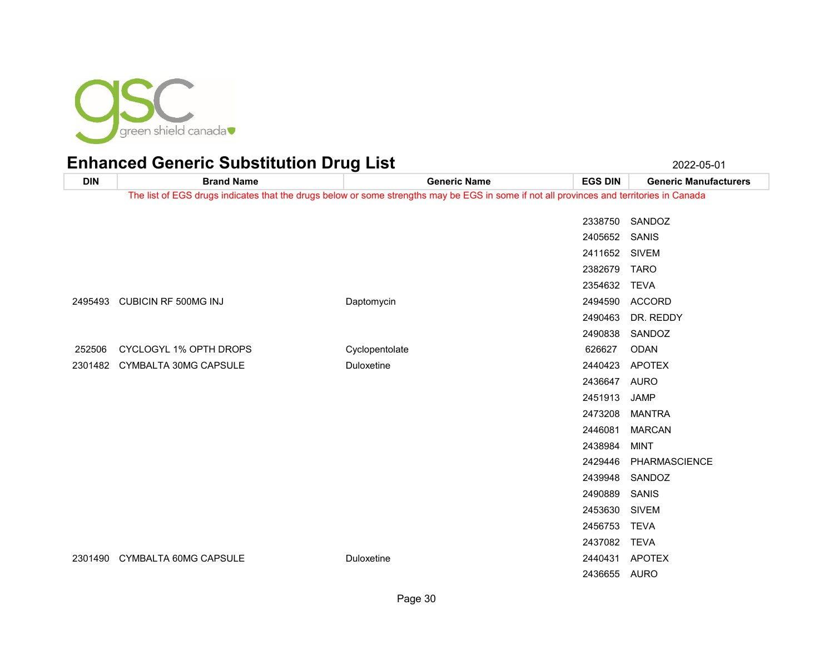

| <b>DIN</b> | <b>Brand Name</b>                                                                                                                        | <b>Generic Name</b> | <b>EGS DIN</b> | <b>Generic Manufacturers</b> |  |
|------------|------------------------------------------------------------------------------------------------------------------------------------------|---------------------|----------------|------------------------------|--|
|            | The list of EGS drugs indicates that the drugs below or some strengths may be EGS in some if not all provinces and territories in Canada |                     |                |                              |  |
|            |                                                                                                                                          |                     | 2338750        | SANDOZ                       |  |
|            |                                                                                                                                          |                     | 2405652 SANIS  |                              |  |
|            |                                                                                                                                          |                     | 2411652 SIVEM  |                              |  |
|            |                                                                                                                                          |                     | 2382679 TARO   |                              |  |
|            |                                                                                                                                          |                     | 2354632        | <b>TEVA</b>                  |  |
|            | 2495493 CUBICIN RF 500MG INJ                                                                                                             | Daptomycin          | 2494590        | <b>ACCORD</b>                |  |
|            |                                                                                                                                          |                     | 2490463        | DR. REDDY                    |  |
|            |                                                                                                                                          |                     | 2490838        | SANDOZ                       |  |
| 252506     | CYCLOGYL 1% OPTH DROPS                                                                                                                   | Cyclopentolate      | 626627         | <b>ODAN</b>                  |  |
| 2301482    | CYMBALTA 30MG CAPSULE                                                                                                                    | Duloxetine          | 2440423        | <b>APOTEX</b>                |  |
|            |                                                                                                                                          |                     | 2436647        | <b>AURO</b>                  |  |
|            |                                                                                                                                          |                     | 2451913        | <b>JAMP</b>                  |  |
|            |                                                                                                                                          |                     | 2473208        | <b>MANTRA</b>                |  |
|            |                                                                                                                                          |                     | 2446081        | <b>MARCAN</b>                |  |
|            |                                                                                                                                          |                     | 2438984        | <b>MINT</b>                  |  |
|            |                                                                                                                                          |                     | 2429446        | PHARMASCIENCE                |  |
|            |                                                                                                                                          |                     | 2439948        | SANDOZ                       |  |
|            |                                                                                                                                          |                     | 2490889        | SANIS                        |  |
|            |                                                                                                                                          |                     | 2453630        | <b>SIVEM</b>                 |  |
|            |                                                                                                                                          |                     | 2456753        | <b>TEVA</b>                  |  |
|            |                                                                                                                                          |                     | 2437082 TEVA   |                              |  |
| 2301490    | CYMBALTA 60MG CAPSULE                                                                                                                    | Duloxetine          | 2440431        | <b>APOTEX</b>                |  |
|            |                                                                                                                                          |                     | 2436655 AURO   |                              |  |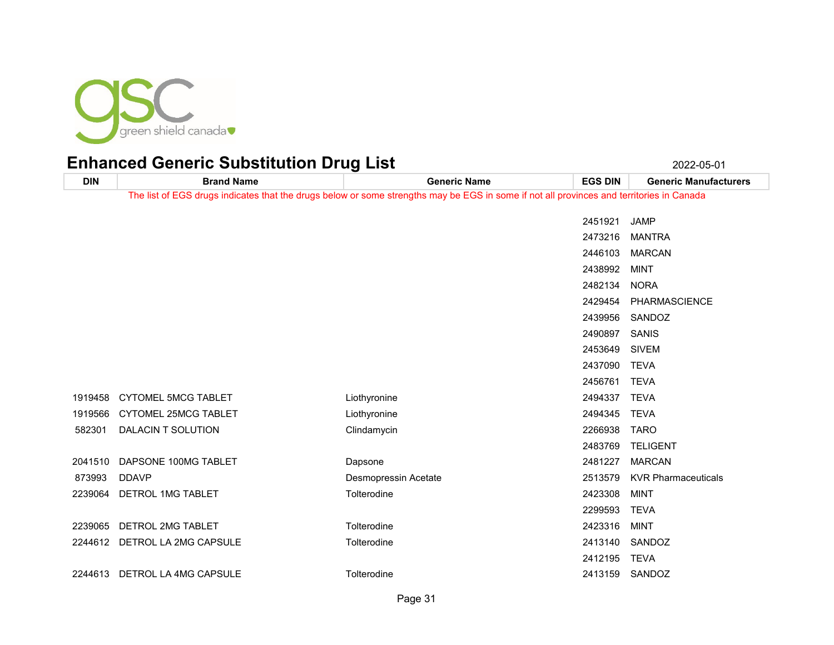

**DIN Brand Name Generic Name EGS DIN Generic Manufacturers** The list of EGS drugs indicates that the drugs below or some strengths may be EGS in some if not all provinces and territories in Canada JAMP MANTRA MARCAN MINT NORA PHARMASCIENCE SANDOZ SANIS SIVEM TEVA TEVA 1919458 CYTOMEL 5MCG TABLET Liothyronine Liothyronine 2494337 TEVA CYTOMEL 25MCG TABLET Liothyronine 2494345 TEVA DALACIN T SOLUTION Clindamycin 2266938 TARO TELIGENT DAPSONE 100MG TABLET Dapsone 2481227 MARCAN DDAVP Desmopressin Acetate 2513579 KVR Pharmaceuticals DETROL 1MG TABLET Tolterodine 2423308 MINT TEVA DETROL 2MG TABLET Tolterodine 2423316 MINT DETROL LA 2MG CAPSULE Tolterodine 2413140 SANDOZ TEVA DETROL LA 4MG CAPSULE Tolterodine 2413159 SANDOZ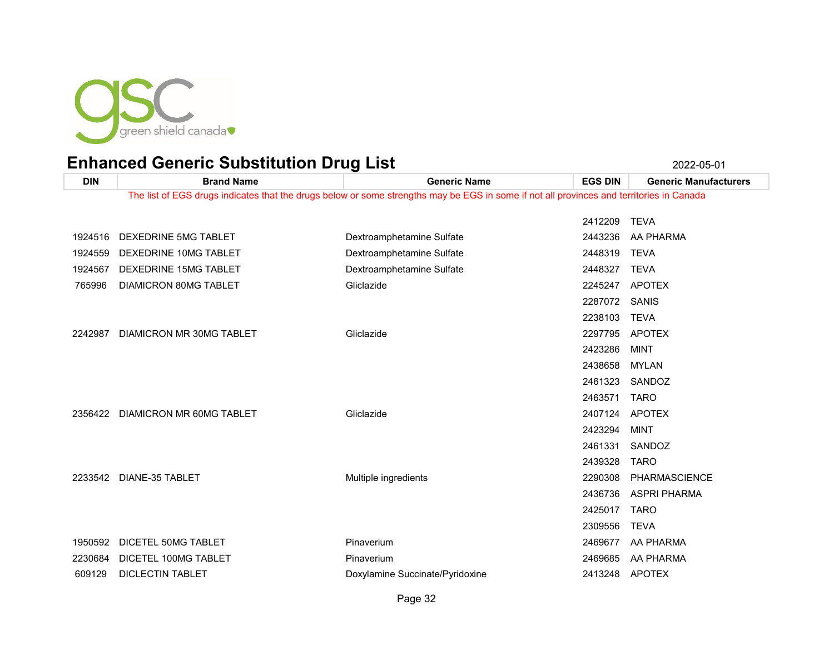

**DIN Brand Name Generic Name EGS DIN Generic Manufacturers** The list of EGS drugs indicates that the drugs below or some strengths may be EGS in some if not all provinces and territories in Canada TEVA DEXEDRINE 5MG TABLET Dextroamphetamine Sulfate 2443236 AA PHARMA 1924559 DEXEDRINE 10MG TABLET DEXTROM Dextroamphetamine Sulfate 2448319 TEVA DEXEDRINE 15MG TABLET Dextroamphetamine Sulfate 2448327 TEVA DIAMICRON 80MG TABLET Gliclazide 2245247 APOTEX SANIS TEVA DIAMICRON MR 30MG TABLET Gliclazide 2297795 APOTEX MINT MYLAN SANDOZ TARO DIAMICRON MR 60MG TABLET Gliclazide 2407124 APOTEX MINT SANDOZ TARO DIANE-35 TABLET Multiple ingredients 2290308 PHARMASCIENCE ASPRI PHARMA TARO TEVA DICETEL 50MG TABLET Pinaverium 2469677 AA PHARMA DICETEL 100MG TABLET Pinaverium 2469685 AA PHARMA DICLECTIN TABLET Doxylamine Succinate/Pyridoxine 2413248 APOTEX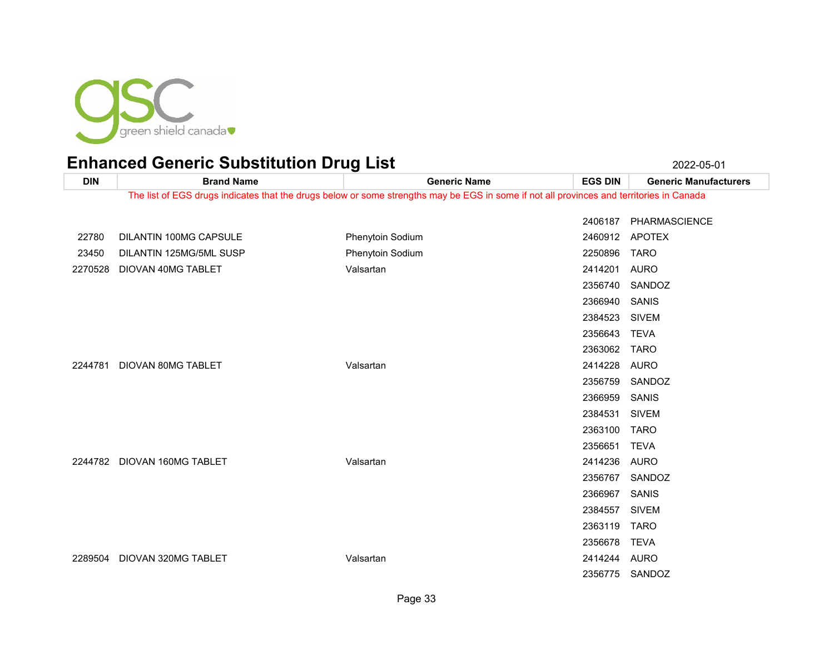

**DIN Brand Name Generic Name EGS DIN Generic Manufacturers** The list of EGS drugs indicates that the drugs below or some strengths may be EGS in some if not all provinces and territories in Canada PHARMASCIENCE DILANTIN 100MG CAPSULE Phenytoin Sodium 2460912 APOTEX DILANTIN 125MG/5ML SUSP Phenytoin Sodium 2250896 TARO DIOVAN 40MG TABLET Valsartan 2414201 AURO SANDOZ SANIS SIVEM TEVA TARO DIOVAN 80MG TABLET Valsartan 2414228 AURO SANDOZ SANIS SIVEM TARO TEVA DIOVAN 160MG TABLET Valsartan 2414236 AURO SANDOZ SANIS SIVEM TARO TEVA DIOVAN 320MG TABLET Valsartan 2414244 AURO SANDOZ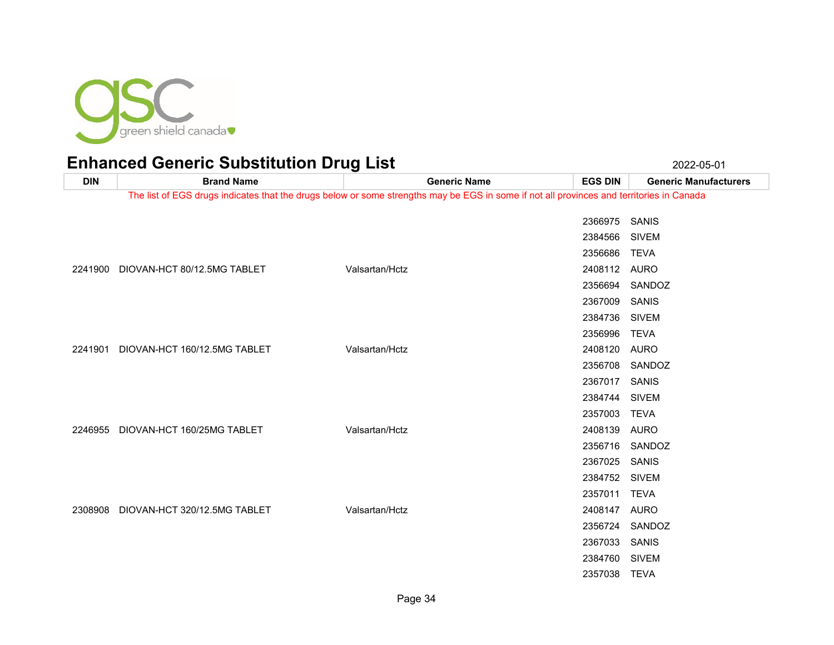

| <b>DIN</b> | <b>Brand Name</b>                    | <b>Generic Name</b>                                                                                                                      | <b>EGS DIN</b> | <b>Generic Manufacturers</b> |
|------------|--------------------------------------|------------------------------------------------------------------------------------------------------------------------------------------|----------------|------------------------------|
|            |                                      | The list of EGS drugs indicates that the drugs below or some strengths may be EGS in some if not all provinces and territories in Canada |                |                              |
|            |                                      |                                                                                                                                          | 2366975 SANIS  |                              |
|            |                                      |                                                                                                                                          | 2384566 SIVEM  |                              |
|            |                                      |                                                                                                                                          | 2356686        | TEVA                         |
|            | 2241900 DIOVAN-HCT 80/12.5MG TABLET  | Valsartan/Hctz                                                                                                                           | 2408112 AURO   |                              |
|            |                                      |                                                                                                                                          | 2356694        | SANDOZ                       |
|            |                                      |                                                                                                                                          | 2367009 SANIS  |                              |
|            |                                      |                                                                                                                                          | 2384736 SIVEM  |                              |
|            |                                      |                                                                                                                                          | 2356996 TEVA   |                              |
| 2241901    | DIOVAN-HCT 160/12.5MG TABLET         | Valsartan/Hctz                                                                                                                           | 2408120 AURO   |                              |
|            |                                      |                                                                                                                                          |                | 2356708 SANDOZ               |
|            |                                      |                                                                                                                                          | 2367017 SANIS  |                              |
|            |                                      |                                                                                                                                          | 2384744 SIVEM  |                              |
|            |                                      |                                                                                                                                          | 2357003        | <b>TEVA</b>                  |
|            | 2246955 DIOVAN-HCT 160/25MG TABLET   | Valsartan/Hctz                                                                                                                           | 2408139 AURO   |                              |
|            |                                      |                                                                                                                                          |                | 2356716 SANDOZ               |
|            |                                      |                                                                                                                                          | 2367025 SANIS  |                              |
|            |                                      |                                                                                                                                          | 2384752 SIVEM  |                              |
|            |                                      |                                                                                                                                          | 2357011 TEVA   |                              |
|            | 2308908 DIOVAN-HCT 320/12.5MG TABLET | Valsartan/Hctz                                                                                                                           | 2408147 AURO   |                              |
|            |                                      |                                                                                                                                          |                | 2356724 SANDOZ               |
|            |                                      |                                                                                                                                          | 2367033 SANIS  |                              |
|            |                                      |                                                                                                                                          | 2384760 SIVEM  |                              |
|            |                                      |                                                                                                                                          | 2357038 TEVA   |                              |
|            |                                      |                                                                                                                                          |                |                              |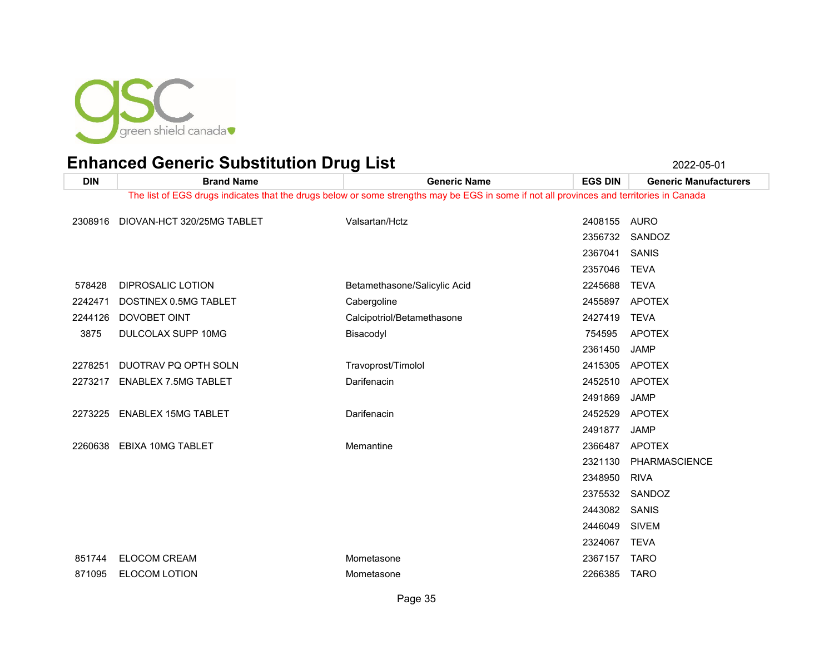

| <b>DIN</b> | <b>Brand Name</b>                                                                                                                        | <b>Generic Name</b>          | <b>EGS DIN</b> | <b>Generic Manufacturers</b> |  |
|------------|------------------------------------------------------------------------------------------------------------------------------------------|------------------------------|----------------|------------------------------|--|
|            | The list of EGS drugs indicates that the drugs below or some strengths may be EGS in some if not all provinces and territories in Canada |                              |                |                              |  |
| 2308916    | DIOVAN-HCT 320/25MG TABLET                                                                                                               | Valsartan/Hctz               | 2408155        | <b>AURO</b>                  |  |
|            |                                                                                                                                          |                              | 2356732        | SANDOZ                       |  |
|            |                                                                                                                                          |                              | 2367041        | <b>SANIS</b>                 |  |
|            |                                                                                                                                          |                              | 2357046        | <b>TEVA</b>                  |  |
| 578428     | DIPROSALIC LOTION                                                                                                                        | Betamethasone/Salicylic Acid | 2245688        | <b>TEVA</b>                  |  |
| 2242471    | DOSTINEX 0.5MG TABLET                                                                                                                    | Cabergoline                  | 2455897        | APOTEX                       |  |
| 2244126    | DOVOBET OINT                                                                                                                             | Calcipotriol/Betamethasone   | 2427419        | <b>TEVA</b>                  |  |
| 3875       | DULCOLAX SUPP 10MG                                                                                                                       | Bisacodyl                    | 754595         | <b>APOTEX</b>                |  |
|            |                                                                                                                                          |                              | 2361450        | <b>JAMP</b>                  |  |
| 2278251    | DUOTRAV PQ OPTH SOLN                                                                                                                     | Travoprost/Timolol           | 2415305        | APOTEX                       |  |
| 2273217    | <b>ENABLEX 7.5MG TABLET</b>                                                                                                              | Darifenacin                  | 2452510        | APOTEX                       |  |
|            |                                                                                                                                          |                              | 2491869        | <b>JAMP</b>                  |  |
| 2273225    | <b>ENABLEX 15MG TABLET</b>                                                                                                               | Darifenacin                  | 2452529        | APOTEX                       |  |
|            |                                                                                                                                          |                              | 2491877        | <b>JAMP</b>                  |  |
| 2260638    | EBIXA 10MG TABLET                                                                                                                        | Memantine                    | 2366487        | <b>APOTEX</b>                |  |
|            |                                                                                                                                          |                              | 2321130        | PHARMASCIENCE                |  |
|            |                                                                                                                                          |                              | 2348950        | <b>RIVA</b>                  |  |
|            |                                                                                                                                          |                              | 2375532        | SANDOZ                       |  |
|            |                                                                                                                                          |                              | 2443082        | SANIS                        |  |
|            |                                                                                                                                          |                              | 2446049        | <b>SIVEM</b>                 |  |
|            |                                                                                                                                          |                              | 2324067        | <b>TEVA</b>                  |  |
| 851744     | <b>ELOCOM CREAM</b>                                                                                                                      | Mometasone                   | 2367157        | <b>TARO</b>                  |  |
| 871095     | <b>ELOCOM LOTION</b>                                                                                                                     | Mometasone                   | 2266385        | <b>TARO</b>                  |  |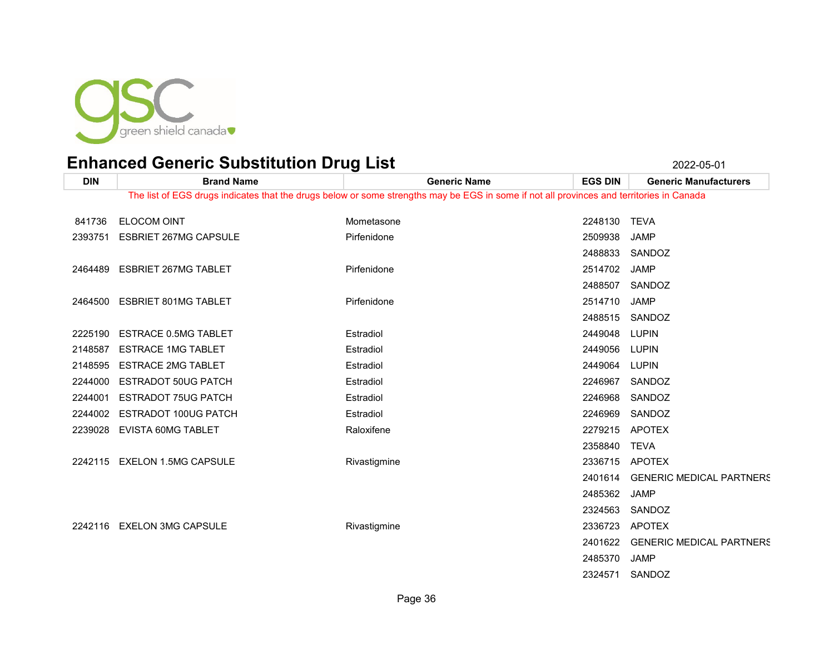

| <b>DIN</b>                                                                                                                               | <b>Brand Name</b>             | <b>Generic Name</b> | <b>EGS DIN</b> | <b>Generic Manufacturers</b>    |  |
|------------------------------------------------------------------------------------------------------------------------------------------|-------------------------------|---------------------|----------------|---------------------------------|--|
| The list of EGS drugs indicates that the drugs below or some strengths may be EGS in some if not all provinces and territories in Canada |                               |                     |                |                                 |  |
| 841736                                                                                                                                   | <b>ELOCOM OINT</b>            | Mometasone          | 2248130 TEVA   |                                 |  |
|                                                                                                                                          | 2393751 ESBRIET 267MG CAPSULE | Pirfenidone         | 2509938        | JAMP                            |  |
|                                                                                                                                          |                               |                     |                | 2488833 SANDOZ                  |  |
| 2464489                                                                                                                                  | <b>ESBRIET 267MG TABLET</b>   | Pirfenidone         | 2514702        | <b>JAMP</b>                     |  |
|                                                                                                                                          |                               |                     |                | 2488507 SANDOZ                  |  |
|                                                                                                                                          | 2464500 ESBRIET 801MG TABLET  | Pirfenidone         | 2514710        | <b>JAMP</b>                     |  |
|                                                                                                                                          |                               |                     |                | 2488515 SANDOZ                  |  |
|                                                                                                                                          | 2225190 ESTRACE 0.5MG TABLET  | Estradiol           | 2449048        | LUPIN                           |  |
| 2148587                                                                                                                                  | <b>ESTRACE 1MG TABLET</b>     | Estradiol           | 2449056        | LUPIN                           |  |
| 2148595                                                                                                                                  | <b>ESTRACE 2MG TABLET</b>     | Estradiol           | 2449064        | <b>LUPIN</b>                    |  |
| 2244000                                                                                                                                  | <b>ESTRADOT 50UG PATCH</b>    | Estradiol           | 2246967        | SANDOZ                          |  |
| 2244001                                                                                                                                  | <b>ESTRADOT 75UG PATCH</b>    | Estradiol           | 2246968        | SANDOZ                          |  |
| 2244002                                                                                                                                  | ESTRADOT 100UG PATCH          | Estradiol           | 2246969        | SANDOZ                          |  |
| 2239028                                                                                                                                  | EVISTA 60MG TABLET            | Raloxifene          | 2279215        | APOTEX                          |  |
|                                                                                                                                          |                               |                     | 2358840        | <b>TEVA</b>                     |  |
|                                                                                                                                          | 2242115 EXELON 1.5MG CAPSULE  | Rivastigmine        |                | 2336715 APOTEX                  |  |
|                                                                                                                                          |                               |                     | 2401614        | <b>GENERIC MEDICAL PARTNERS</b> |  |
|                                                                                                                                          |                               |                     | 2485362        | <b>JAMP</b>                     |  |
|                                                                                                                                          |                               |                     | 2324563        | SANDOZ                          |  |
|                                                                                                                                          | 2242116 EXELON 3MG CAPSULE    | Rivastigmine        | 2336723        | APOTEX                          |  |
|                                                                                                                                          |                               |                     | 2401622        | <b>GENERIC MEDICAL PARTNERS</b> |  |
|                                                                                                                                          |                               |                     | 2485370        | <b>JAMP</b>                     |  |
|                                                                                                                                          |                               |                     |                | 2324571 SANDOZ                  |  |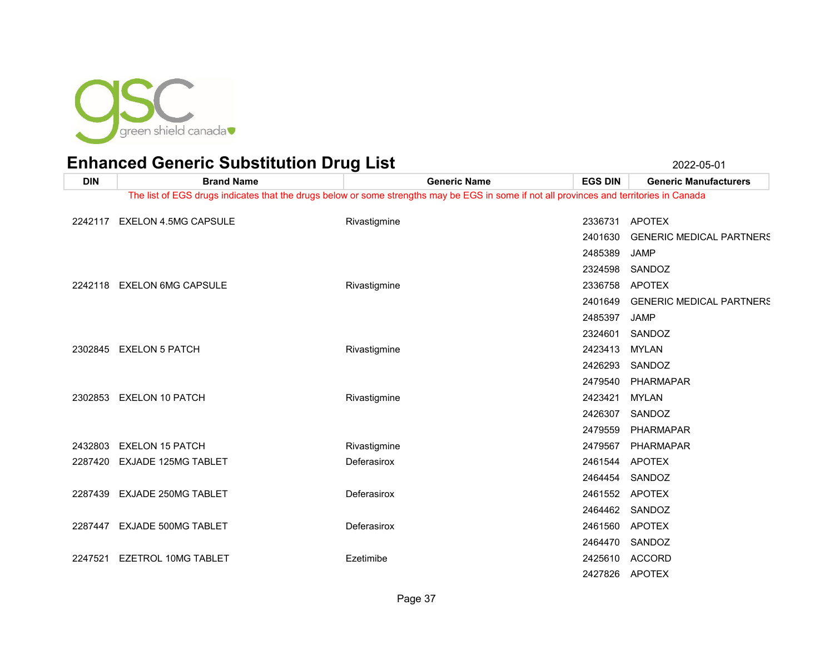

| <b>DIN</b> | <b>Brand Name</b>            | <b>Generic Name</b>                                                                                                                      | <b>EGS DIN</b> | <b>Generic Manufacturers</b>    |
|------------|------------------------------|------------------------------------------------------------------------------------------------------------------------------------------|----------------|---------------------------------|
|            |                              | The list of EGS drugs indicates that the drugs below or some strengths may be EGS in some if not all provinces and territories in Canada |                |                                 |
|            | 2242117 EXELON 4.5MG CAPSULE | Rivastigmine                                                                                                                             |                | 2336731 APOTEX                  |
|            |                              |                                                                                                                                          | 2401630        | <b>GENERIC MEDICAL PARTNERS</b> |
|            |                              |                                                                                                                                          | 2485389        | JAMP                            |
|            |                              |                                                                                                                                          | 2324598        | SANDOZ                          |
|            | 2242118 EXELON 6MG CAPSULE   | Rivastigmine                                                                                                                             |                | 2336758 APOTEX                  |
|            |                              |                                                                                                                                          | 2401649        | <b>GENERIC MEDICAL PARTNERS</b> |
|            |                              |                                                                                                                                          | 2485397        | <b>JAMP</b>                     |
|            |                              |                                                                                                                                          | 2324601        | SANDOZ                          |
|            | 2302845 EXELON 5 PATCH       | Rivastigmine                                                                                                                             | 2423413 MYLAN  |                                 |
|            |                              |                                                                                                                                          | 2426293        | SANDOZ                          |
|            |                              |                                                                                                                                          | 2479540        | PHARMAPAR                       |
|            | 2302853 EXELON 10 PATCH      | Rivastigmine                                                                                                                             | 2423421        | MYLAN                           |
|            |                              |                                                                                                                                          | 2426307        | SANDOZ                          |
|            |                              |                                                                                                                                          | 2479559        | PHARMAPAR                       |
|            | 2432803 EXELON 15 PATCH      | Rivastigmine                                                                                                                             | 2479567        | PHARMAPAR                       |
|            | 2287420 EXJADE 125MG TABLET  | Deferasirox                                                                                                                              |                | 2461544 APOTEX                  |
|            |                              |                                                                                                                                          |                | 2464454 SANDOZ                  |
|            | 2287439 EXJADE 250MG TABLET  | Deferasirox                                                                                                                              |                | 2461552 APOTEX                  |
|            |                              |                                                                                                                                          |                | 2464462 SANDOZ                  |
|            | 2287447 EXJADE 500MG TABLET  | Deferasirox                                                                                                                              |                | 2461560 APOTEX                  |
|            |                              |                                                                                                                                          |                | 2464470 SANDOZ                  |
| 2247521    | EZETROL 10MG TABLET          | Ezetimibe                                                                                                                                |                | 2425610 ACCORD                  |
|            |                              |                                                                                                                                          |                | 2427826 APOTEX                  |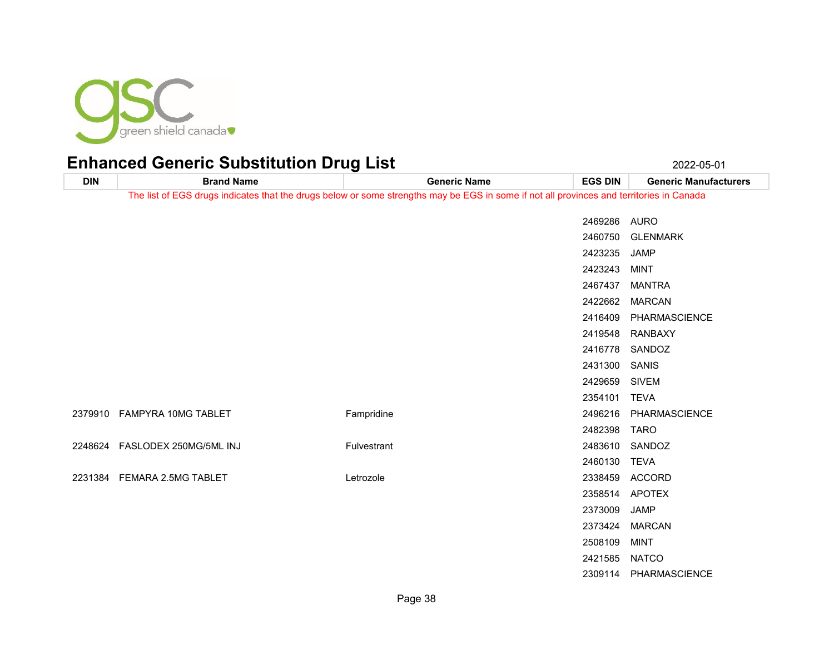

**DIN Brand Name Generic Name EGS DIN Generic Manufacturers** The list of EGS drugs indicates that the drugs below or some strengths may be EGS in some if not all provinces and territories in Canada AURO GLENMARK JAMP MINT MANTRA MARCAN PHARMASCIENCE RANBAXY SANDOZ SANIS SIVEM TEVA FAMPYRA 10MG TABLET Fampridine 2496216 PHARMASCIENCE TARO FASLODEX 250MG/5ML INJ Fulvestrant 2483610 SANDOZ TEVA FEMARA 2.5MG TABLET Letrozole 2338459 ACCORD APOTEX JAMP MARCAN MINT NATCO

PHARMASCIENCE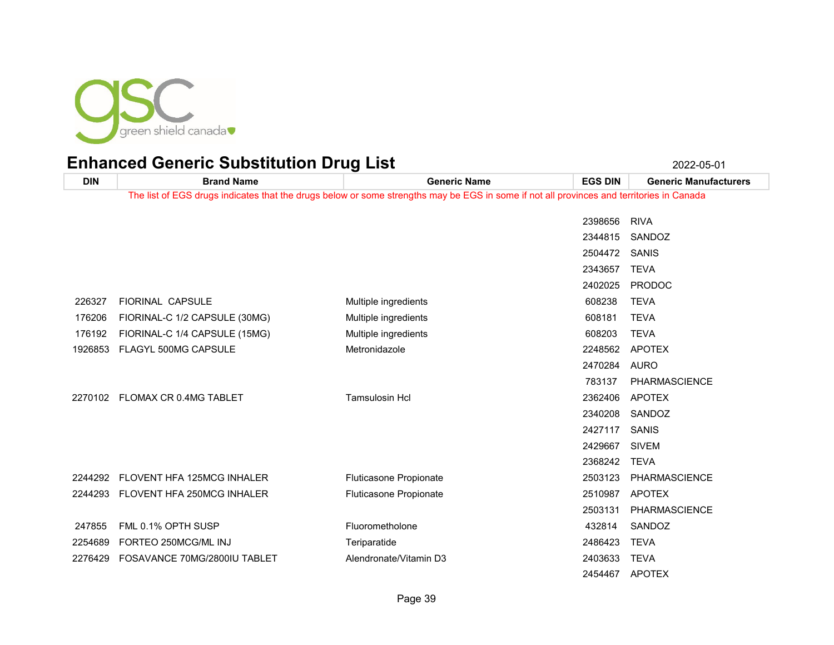

| <b>DIN</b> | <b>Brand Name</b>              | <b>Generic Name</b>                                                                                                                      | <b>EGS DIN</b> | <b>Generic Manufacturers</b> |
|------------|--------------------------------|------------------------------------------------------------------------------------------------------------------------------------------|----------------|------------------------------|
|            |                                | The list of EGS drugs indicates that the drugs below or some strengths may be EGS in some if not all provinces and territories in Canada |                |                              |
|            |                                |                                                                                                                                          | 2398656        | <b>RIVA</b>                  |
|            |                                |                                                                                                                                          | 2344815        | SANDOZ                       |
|            |                                |                                                                                                                                          | 2504472        | SANIS                        |
|            |                                |                                                                                                                                          | 2343657        | <b>TEVA</b>                  |
|            |                                |                                                                                                                                          | 2402025        | <b>PRODOC</b>                |
| 226327     | <b>FIORINAL CAPSULE</b>        | Multiple ingredients                                                                                                                     | 608238         | <b>TEVA</b>                  |
| 176206     | FIORINAL-C 1/2 CAPSULE (30MG)  | Multiple ingredients                                                                                                                     | 608181         | <b>TEVA</b>                  |
| 176192     | FIORINAL-C 1/4 CAPSULE (15MG)  | Multiple ingredients                                                                                                                     | 608203         | <b>TEVA</b>                  |
| 1926853    | <b>FLAGYL 500MG CAPSULE</b>    | Metronidazole                                                                                                                            | 2248562        | <b>APOTEX</b>                |
|            |                                |                                                                                                                                          | 2470284        | AURO                         |
|            |                                |                                                                                                                                          | 783137         | <b>PHARMASCIENCE</b>         |
|            | 2270102 FLOMAX CR 0.4MG TABLET | <b>Tamsulosin Hcl</b>                                                                                                                    | 2362406        | <b>APOTEX</b>                |
|            |                                |                                                                                                                                          | 2340208        | SANDOZ                       |
|            |                                |                                                                                                                                          | 2427117        | SANIS                        |
|            |                                |                                                                                                                                          | 2429667        | <b>SIVEM</b>                 |
|            |                                |                                                                                                                                          | 2368242        | <b>TEVA</b>                  |
| 2244292    | FLOVENT HFA 125MCG INHALER     | Fluticasone Propionate                                                                                                                   | 2503123        | PHARMASCIENCE                |
| 2244293    | FLOVENT HFA 250MCG INHALER     | Fluticasone Propionate                                                                                                                   | 2510987        | <b>APOTEX</b>                |
|            |                                |                                                                                                                                          | 2503131        | <b>PHARMASCIENCE</b>         |
| 247855     | FML 0.1% OPTH SUSP             | Fluorometholone                                                                                                                          | 432814         | SANDOZ                       |
| 2254689    | FORTEO 250MCG/ML INJ           | Teriparatide                                                                                                                             | 2486423        | <b>TEVA</b>                  |
| 2276429    | FOSAVANCE 70MG/2800IU TABLET   | Alendronate/Vitamin D3                                                                                                                   | 2403633        | <b>TEVA</b>                  |
|            |                                |                                                                                                                                          | 2454467        | <b>APOTEX</b>                |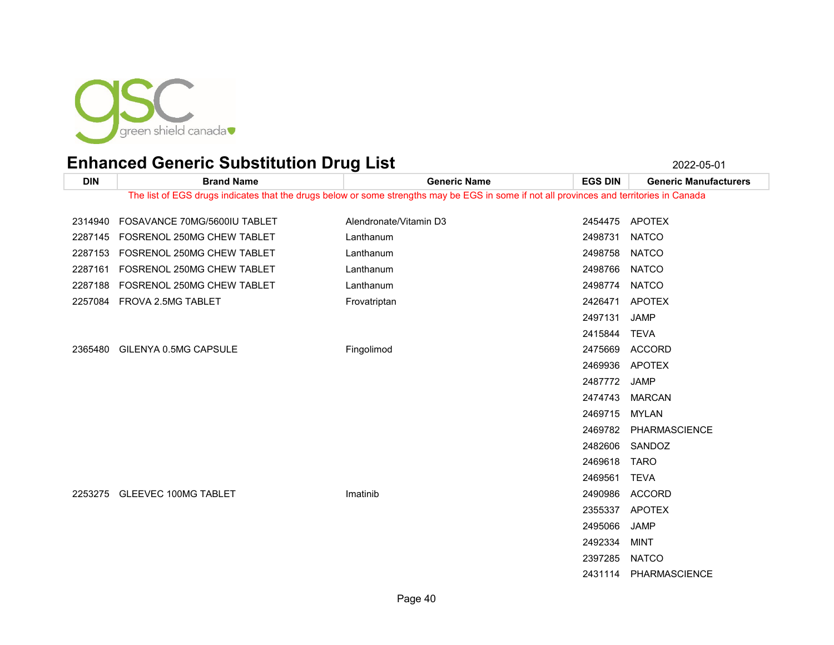

**DIN Brand Name Generic Name EGS DIN Generic Manufacturers** The list of EGS drugs indicates that the drugs below or some strengths may be EGS in some if not all provinces and territories in Canada 2314940 FOSAVANCE 70MG/5600IU TABLET Alendronate/Vitamin D3 2454475 APOTEX 2287145 FOSRENOL 250MG CHEW TABLET Lanthanum Lanthanum 2498731 NATCO 2287153 FOSRENOL 250MG CHEW TABLET Lanthanum Lanthanum 2498758 NATCO 2287161 FOSRENOL 250MG CHEW TABLET Lanthanum Lanthanum 2498766 NATCO 2287188 FOSRENOL 250MG CHEW TABLET Lanthanum Lanthanum 2498774 NATCO FROVA 2.5MG TABLET Frovatriptan 2426471 APOTEX JAMP TEVA GILENYA 0.5MG CAPSULE Fingolimod 2475669 ACCORD APOTEX JAMP MARCAN MYLAN PHARMASCIENCE SANDOZ TARO TEVA GLEEVEC 100MG TABLET Imatinib 2490986 ACCORD APOTEX JAMP MINT NATCO

PHARMASCIENCE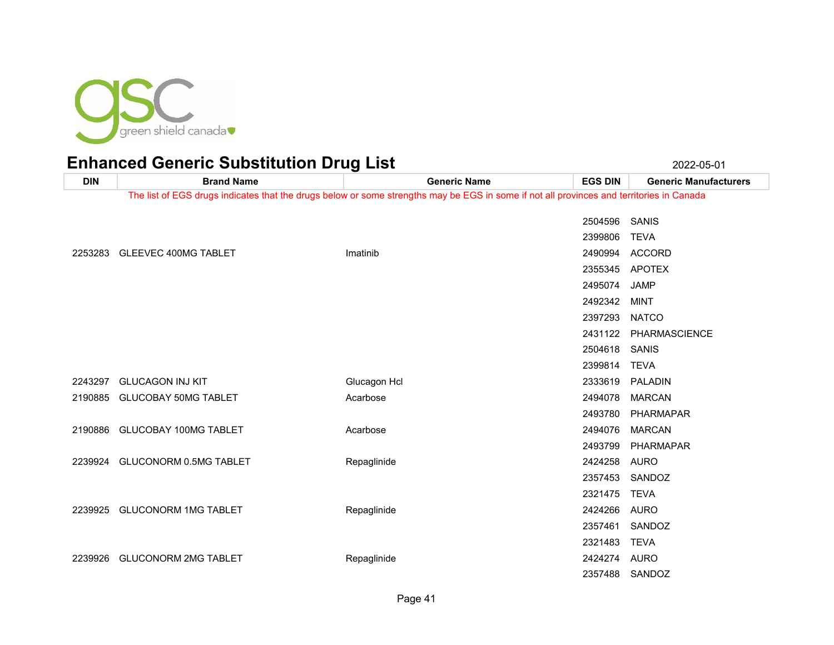

**DIN Brand Name Generic Name EGS DIN Generic Manufacturers** The list of EGS drugs indicates that the drugs below or some strengths may be EGS in some if not all provinces and territories in Canada SANIS TEVA GLEEVEC 400MG TABLET Imatinib 2490994 ACCORD APOTEX JAMP MINT NATCO PHARMASCIENCE SANIS TEVA GLUCAGON INJ KIT Glucagon Hcl 2333619 PALADIN 2190885 GLUCOBAY 50MG TABLET Acarbose Acarbose 2494078 MARCAN PHARMAPAR 2190886 GLUCOBAY 100MG TABLET Acarbose Acarbose 2494076 MARCAN PHARMAPAR GLUCONORM 0.5MG TABLET Repaglinide 2424258 AURO SANDOZ TEVA GLUCONORM 1MG TABLET Repaglinide 2424266 AURO SANDOZ TEVA GLUCONORM 2MG TABLET Repaglinide 2424274 AURO SANDOZ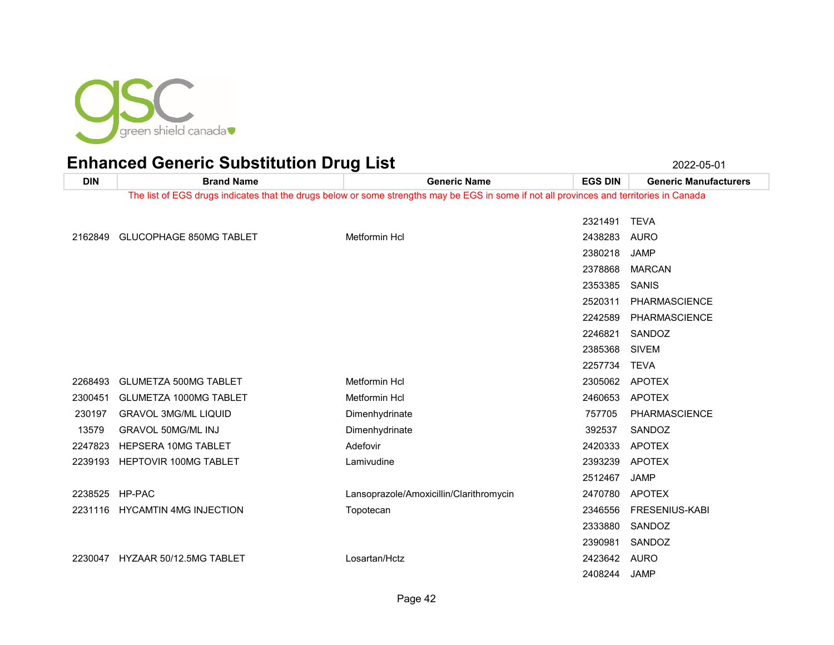

**DIN Brand Name Generic Name EGS DIN Generic Manufacturers** The list of EGS drugs indicates that the drugs below or some strengths may be EGS in some if not all provinces and territories in Canada TEVA GLUCOPHAGE 850MG TABLET Metformin Hcl 2438283 AURO JAMP MARCAN SANIS PHARMASCIENCE PHARMASCIENCE SANDOZ SIVEM TEVA 2268493 GLUMETZA 500MG TABLET Metformin Hcl 2305062 APOTEX 2300451 GLUMETZA 1000MG TABLET Metformin Hcl 2460653 APOTEX 230197 GRAVOL 3MG/ML LIQUID Dimenhydrinate Dimenhydrinate 757705 PHARMASCIENCE 13579 GRAVOL 50MG/ML INJ **Dimenhydrinate Communist Communist Communist Communist Communist Communist Communist Communist Communist Communist Communist Communist Communist Communist Communist Communist Communist Communist** 2247823 HEPSERA 10MG TABLET ADEXA Adefovir Adefovir CHA Adeformation and the 2420333 APOTEX HEPTOVIR 100MG TABLET Lamivudine 2393239 APOTEX JAMP HP-PAC Lansoprazole/Amoxicillin/Clarithromycin 2470780 APOTEX HYCAMTIN 4MG INJECTION Topotecan 2346556 FRESENIUS-KABI SANDOZ SANDOZ HYZAAR 50/12.5MG TABLET Losartan/Hctz 2423642 AURO JAMP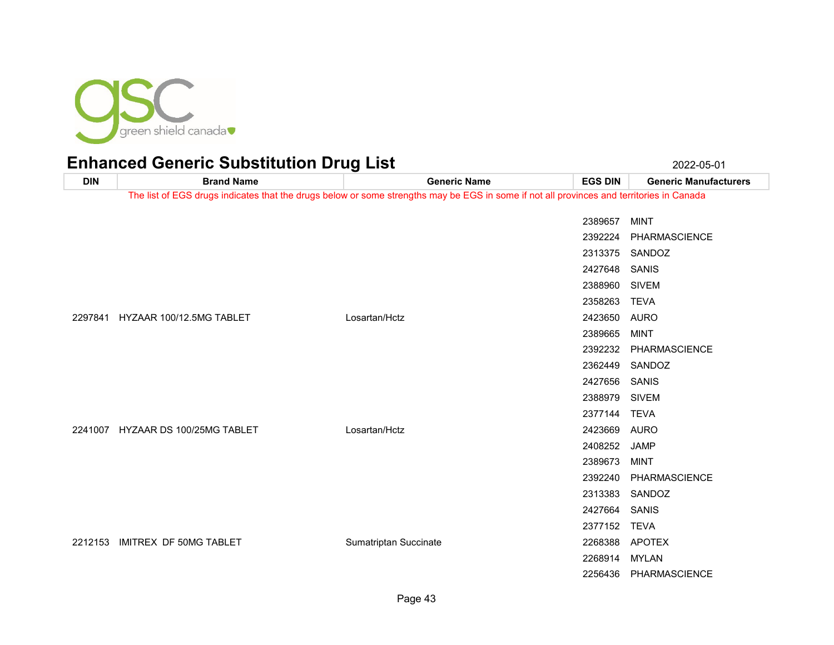

| <b>DIN</b> | <b>Brand Name</b>                 | <b>Generic Name</b>                                                                                                                      | <b>EGS DIN</b> | <b>Generic Manufacturers</b> |
|------------|-----------------------------------|------------------------------------------------------------------------------------------------------------------------------------------|----------------|------------------------------|
|            |                                   | The list of EGS drugs indicates that the drugs below or some strengths may be EGS in some if not all provinces and territories in Canada |                |                              |
|            |                                   |                                                                                                                                          | 2389657        | <b>MINT</b>                  |
|            |                                   |                                                                                                                                          | 2392224        | PHARMASCIENCE                |
|            |                                   |                                                                                                                                          |                | 2313375 SANDOZ               |
|            |                                   |                                                                                                                                          | 2427648        | SANIS                        |
|            |                                   |                                                                                                                                          | 2388960        | <b>SIVEM</b>                 |
|            |                                   |                                                                                                                                          | 2358263        | <b>TEVA</b>                  |
| 2297841    | HYZAAR 100/12.5MG TABLET          | Losartan/Hctz                                                                                                                            | 2423650 AURO   |                              |
|            |                                   |                                                                                                                                          | 2389665        | <b>MINT</b>                  |
|            |                                   |                                                                                                                                          | 2392232        |                              |
|            |                                   |                                                                                                                                          |                | PHARMASCIENCE                |
|            |                                   |                                                                                                                                          |                | 2362449 SANDOZ               |
|            |                                   |                                                                                                                                          | 2427656        | SANIS                        |
|            |                                   |                                                                                                                                          | 2388979        | <b>SIVEM</b>                 |
|            |                                   |                                                                                                                                          | 2377144        | TEVA                         |
|            | 2241007 HYZAAR DS 100/25MG TABLET | Losartan/Hctz                                                                                                                            | 2423669 AURO   |                              |
|            |                                   |                                                                                                                                          | 2408252        | JAMP                         |
|            |                                   |                                                                                                                                          | 2389673        | MINT                         |
|            |                                   |                                                                                                                                          | 2392240        | PHARMASCIENCE                |
|            |                                   |                                                                                                                                          | 2313383        | SANDOZ                       |
|            |                                   |                                                                                                                                          | 2427664        | SANIS                        |
|            |                                   |                                                                                                                                          | 2377152 TEVA   |                              |
| 2212153    | IMITREX DF 50MG TABLET            | Sumatriptan Succinate                                                                                                                    |                | 2268388 APOTEX               |
|            |                                   |                                                                                                                                          | 2268914        | MYLAN                        |
|            |                                   |                                                                                                                                          |                | 2256436 PHARMASCIENCE        |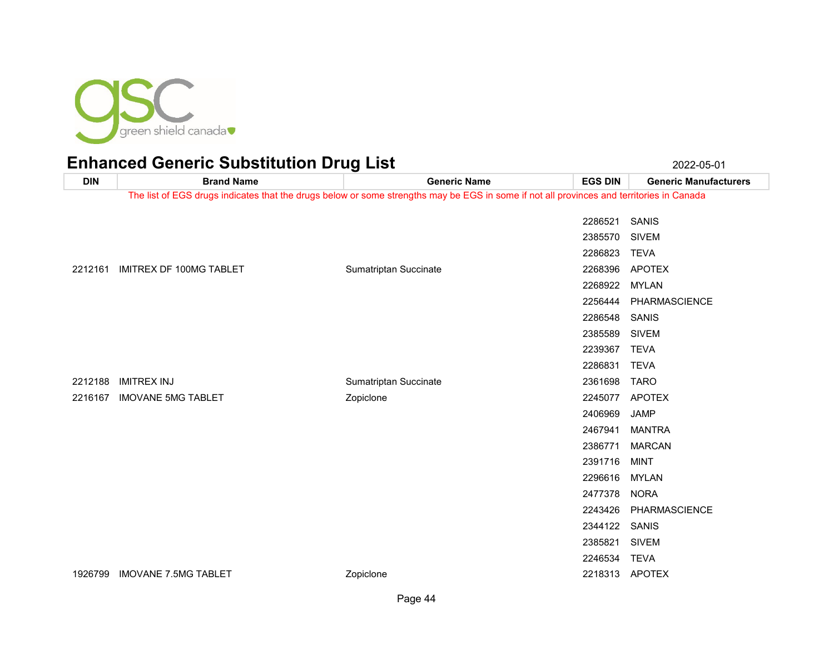

**DIN Brand Name Generic Name EGS DIN Generic Manufacturers** The list of EGS drugs indicates that the drugs below or some strengths may be EGS in some if not all provinces and territories in Canada SANIS SIVEM TEVA 2212161 IMITREX DF 100MG TABLET Sumatriptan Succinate CHE Sumatriptan Succinate 2268396 APOTEX MYLAN PHARMASCIENCE SANIS SIVEM TEVA TEVA IMITREX INJ Sumatriptan Succinate 2361698 TARO IMOVANE 5MG TABLET Zopiclone 2245077 APOTEX JAMP MANTRA MARCAN MINT MYLAN NORA PHARMASCIENCE SANIS SIVEM TEVA

1926799 IMOVANE 7.5MG TABLET 2001 2001 2001 2001 2001 2001 2002 2218313 APOTEX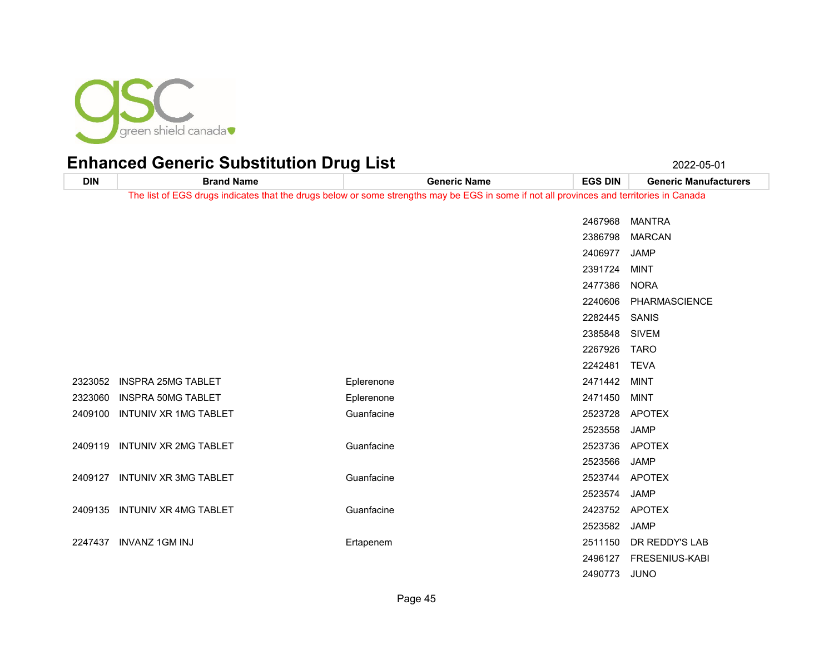

**DIN Brand Name Generic Name EGS DIN Generic Manufacturers** The list of EGS drugs indicates that the drugs below or some strengths may be EGS in some if not all provinces and territories in Canada MANTRA MARCAN JAMP MINT NORA PHARMASCIENCE SANIS SIVEM TARO TEVA INSPRA 25MG TABLET Eplerenone 2471442 MINT 2323060 INSPRA 50MG TABLET CONTROLLER Eplerenone Controller and the 2471450 MINT INTUNIV XR 1MG TABLET Guanfacine 2523728 APOTEX JAMP INTUNIV XR 2MG TABLET Guanfacine 2523736 APOTEX JAMP INTUNIV XR 3MG TABLET Guanfacine 2523744 APOTEX JAMP INTUNIV XR 4MG TABLET Guanfacine 2423752 APOTEX JAMP INVANZ 1GM INJ Ertapenem 2511150 DR REDDY'S LAB FRESENIUS-KABI JUNO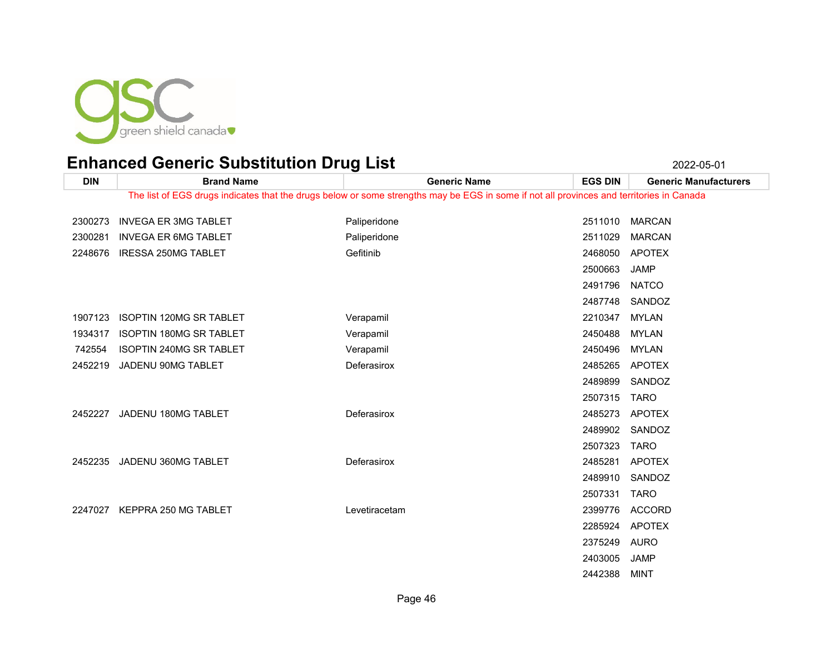

| <b>DIN</b> | <b>Brand Name</b>              | <b>Generic Name</b>                                                                                                                      | <b>EGS DIN</b> | <b>Generic Manufacturers</b> |
|------------|--------------------------------|------------------------------------------------------------------------------------------------------------------------------------------|----------------|------------------------------|
|            |                                | The list of EGS drugs indicates that the drugs below or some strengths may be EGS in some if not all provinces and territories in Canada |                |                              |
| 2300273    | <b>INVEGA ER 3MG TABLET</b>    | Paliperidone                                                                                                                             | 2511010        | <b>MARCAN</b>                |
| 2300281    | <b>INVEGA ER 6MG TABLET</b>    | Paliperidone                                                                                                                             | 2511029        | <b>MARCAN</b>                |
| 2248676    | <b>IRESSA 250MG TABLET</b>     | Gefitinib                                                                                                                                | 2468050        | <b>APOTEX</b>                |
|            |                                |                                                                                                                                          | 2500663        | <b>JAMP</b>                  |
|            |                                |                                                                                                                                          | 2491796        | <b>NATCO</b>                 |
|            |                                |                                                                                                                                          | 2487748        | SANDOZ                       |
| 1907123    | <b>ISOPTIN 120MG SR TABLET</b> | Verapamil                                                                                                                                | 2210347        | <b>MYLAN</b>                 |
| 1934317    | ISOPTIN 180MG SR TABLET        | Verapamil                                                                                                                                | 2450488        | <b>MYLAN</b>                 |
| 742554     | ISOPTIN 240MG SR TABLET        | Verapamil                                                                                                                                | 2450496        | <b>MYLAN</b>                 |
| 2452219    | JADENU 90MG TABLET             | Deferasirox                                                                                                                              | 2485265        | <b>APOTEX</b>                |
|            |                                |                                                                                                                                          | 2489899        | SANDOZ                       |
|            |                                |                                                                                                                                          | 2507315        | <b>TARO</b>                  |
| 2452227    | JADENU 180MG TABLET            | Deferasirox                                                                                                                              | 2485273        | <b>APOTEX</b>                |
|            |                                |                                                                                                                                          | 2489902        | SANDOZ                       |
|            |                                |                                                                                                                                          | 2507323        | <b>TARO</b>                  |
| 2452235    | JADENU 360MG TABLET            | Deferasirox                                                                                                                              | 2485281        | <b>APOTEX</b>                |
|            |                                |                                                                                                                                          | 2489910        | SANDOZ                       |
|            |                                |                                                                                                                                          | 2507331        | <b>TARO</b>                  |
| 2247027    | KEPPRA 250 MG TABLET           | Levetiracetam                                                                                                                            | 2399776        | <b>ACCORD</b>                |
|            |                                |                                                                                                                                          | 2285924        | <b>APOTEX</b>                |
|            |                                |                                                                                                                                          | 2375249        | <b>AURO</b>                  |
|            |                                |                                                                                                                                          | 2403005        | <b>JAMP</b>                  |
|            |                                |                                                                                                                                          | 2442388        | <b>MINT</b>                  |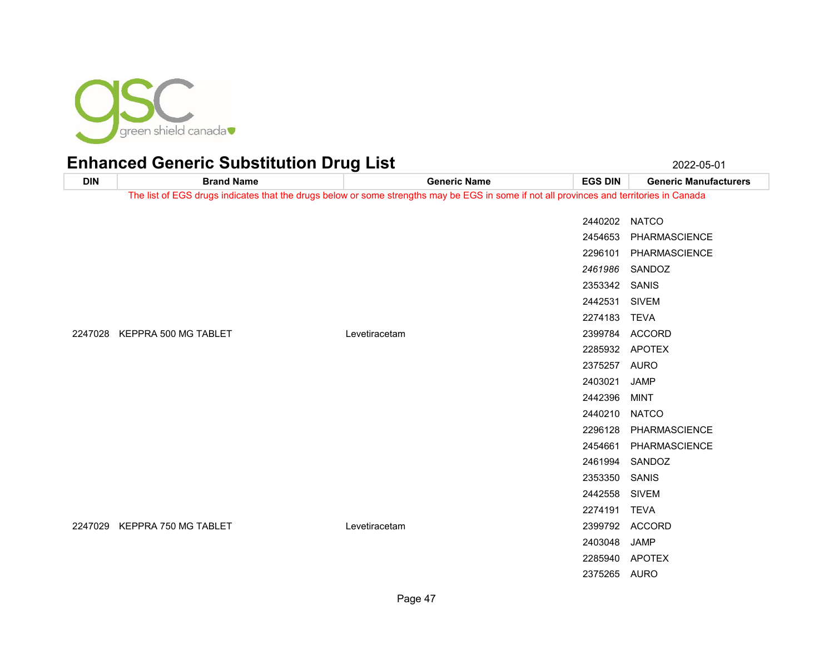

**DIN Brand Name Generic Name EGS DIN Generic Manufacturers** The list of EGS drugs indicates that the drugs below or some strengths may be EGS in some if not all provinces and territories in Canada NATCO PHARMASCIENCE PHARMASCIENCE SANDOZ SANIS SIVEM TEVA KEPPRA 500 MG TABLET Levetiracetam 2399784 ACCORD APOTEX AURO JAMP MINT NATCO PHARMASCIENCE PHARMASCIENCE SANDOZ SANIS SIVEM TEVA KEPPRA 750 MG TABLET Levetiracetam 2399792 ACCORD JAMP APOTEX

AURO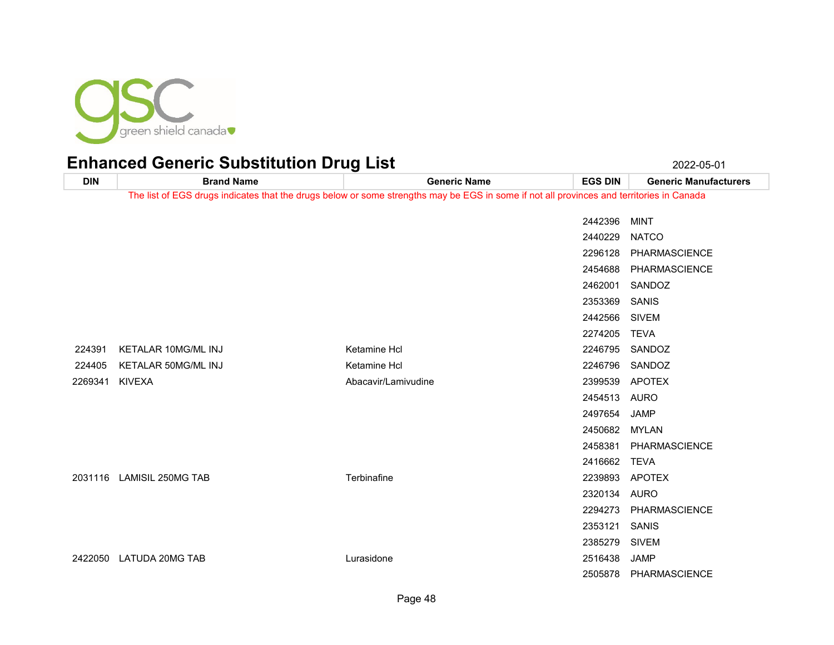

| <b>DIN</b> | <b>Brand Name</b>          | <b>Generic Name</b>                                                                                                                      | <b>EGS DIN</b> | <b>Generic Manufacturers</b> |
|------------|----------------------------|------------------------------------------------------------------------------------------------------------------------------------------|----------------|------------------------------|
|            |                            | The list of EGS drugs indicates that the drugs below or some strengths may be EGS in some if not all provinces and territories in Canada |                |                              |
|            |                            |                                                                                                                                          | 2442396        | <b>MINT</b>                  |
|            |                            |                                                                                                                                          | 2440229        | <b>NATCO</b>                 |
|            |                            |                                                                                                                                          | 2296128        | PHARMASCIENCE                |
|            |                            |                                                                                                                                          | 2454688        | PHARMASCIENCE                |
|            |                            |                                                                                                                                          | 2462001        | SANDOZ                       |
|            |                            |                                                                                                                                          | 2353369        | SANIS                        |
|            |                            |                                                                                                                                          | 2442566        | <b>SIVEM</b>                 |
|            |                            |                                                                                                                                          | 2274205        | <b>TEVA</b>                  |
| 224391     | <b>KETALAR 10MG/ML INJ</b> | Ketamine Hcl                                                                                                                             | 2246795        | SANDOZ                       |
| 224405     | KETALAR 50MG/ML INJ        | Ketamine Hcl                                                                                                                             | 2246796        | SANDOZ                       |
| 2269341    | <b>KIVEXA</b>              | Abacavir/Lamivudine                                                                                                                      | 2399539        | APOTEX                       |
|            |                            |                                                                                                                                          | 2454513        | AURO                         |
|            |                            |                                                                                                                                          | 2497654        | <b>JAMP</b>                  |
|            |                            |                                                                                                                                          | 2450682        | <b>MYLAN</b>                 |
|            |                            |                                                                                                                                          | 2458381        | PHARMASCIENCE                |
|            |                            |                                                                                                                                          | 2416662        | <b>TEVA</b>                  |
|            | 2031116 LAMISIL 250MG TAB  | Terbinafine                                                                                                                              | 2239893        | <b>APOTEX</b>                |
|            |                            |                                                                                                                                          | 2320134        | <b>AURO</b>                  |
|            |                            |                                                                                                                                          | 2294273        | PHARMASCIENCE                |
|            |                            |                                                                                                                                          | 2353121        | <b>SANIS</b>                 |
|            |                            |                                                                                                                                          | 2385279        | <b>SIVEM</b>                 |
| 2422050    | <b>LATUDA 20MG TAB</b>     | Lurasidone                                                                                                                               | 2516438        | <b>JAMP</b>                  |
|            |                            |                                                                                                                                          | 2505878        | PHARMASCIENCE                |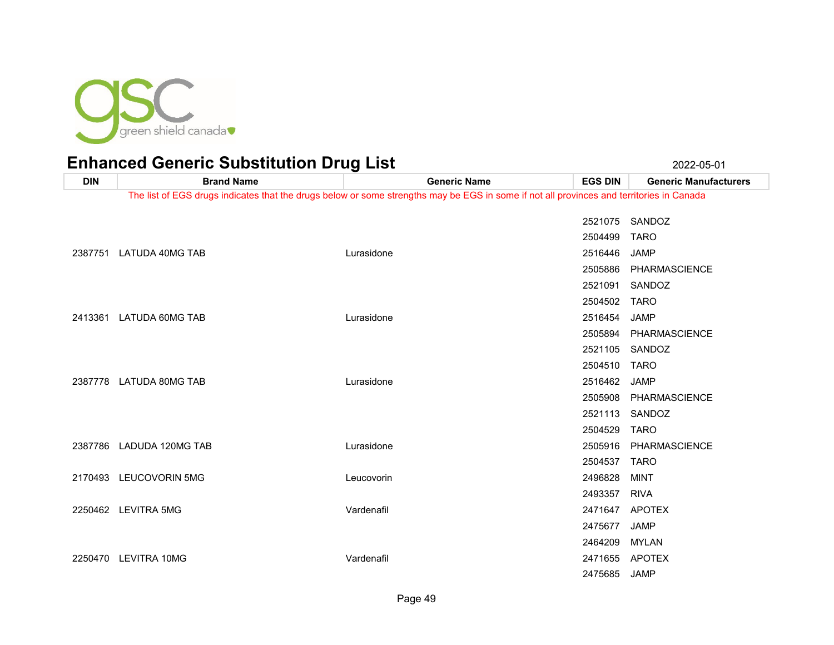

**DIN Brand Name Generic Name EGS DIN Generic Manufacturers** The list of EGS drugs indicates that the drugs below or some strengths may be EGS in some if not all provinces and territories in Canada SANDOZ TARO LATUDA 40MG TAB Lurasidone 2516446 JAMP PHARMASCIENCE SANDOZ TARO LATUDA 60MG TAB Lurasidone 2516454 JAMP PHARMASCIENCE SANDOZ TARO LATUDA 80MG TAB Lurasidone 2516462 JAMP PHARMASCIENCE SANDOZ TARO LADUDA 120MG TAB Lurasidone 2505916 PHARMASCIENCE TARO LEUCOVORIN 5MG Leucovorin 2496828 MINT RIVA LEVITRA 5MG Vardenafil 2471647 APOTEX JAMP MYLAN LEVITRA 10MG Vardenafil 2471655 APOTEX JAMP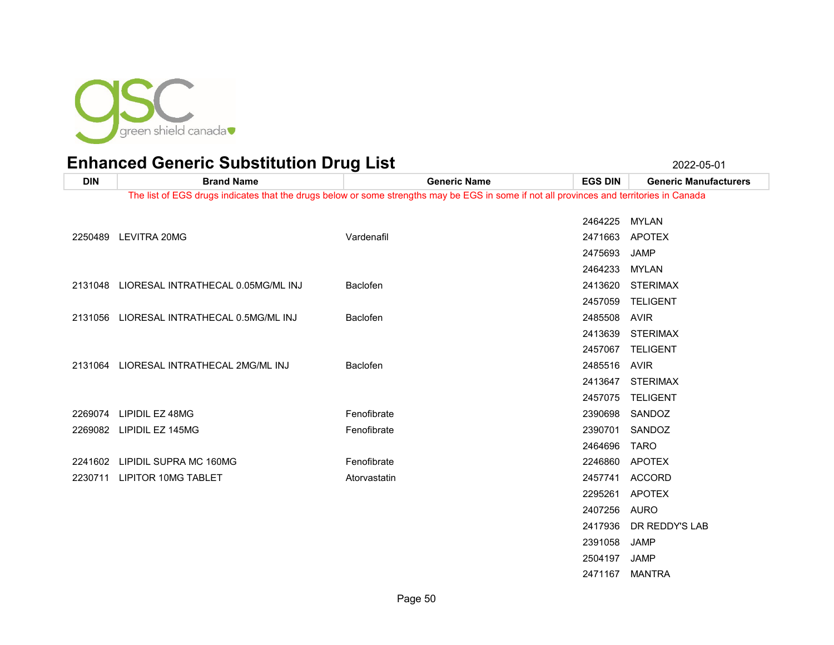

MANTRA

| <b>DIN</b> | <b>Brand Name</b>                          | <b>Generic Name</b>                                                                                                                      | <b>EGS DIN</b> | <b>Generic Manufacturers</b> |
|------------|--------------------------------------------|------------------------------------------------------------------------------------------------------------------------------------------|----------------|------------------------------|
|            |                                            | The list of EGS drugs indicates that the drugs below or some strengths may be EGS in some if not all provinces and territories in Canada |                |                              |
|            |                                            |                                                                                                                                          |                |                              |
|            |                                            |                                                                                                                                          | 2464225 MYLAN  |                              |
|            | 2250489 LEVITRA 20MG                       | Vardenafil                                                                                                                               |                | 2471663 APOTEX               |
|            |                                            |                                                                                                                                          | 2475693        | <b>JAMP</b>                  |
|            |                                            |                                                                                                                                          | 2464233 MYLAN  |                              |
|            | 2131048 LIORESAL INTRATHECAL 0.05MG/ML INJ | <b>Baclofen</b>                                                                                                                          | 2413620        | <b>STERIMAX</b>              |
|            |                                            |                                                                                                                                          | 2457059        | <b>TELIGENT</b>              |
|            | 2131056 LIORESAL INTRATHECAL 0.5MG/ML INJ  | <b>Baclofen</b>                                                                                                                          | 2485508        | AVIR                         |
|            |                                            |                                                                                                                                          |                | 2413639 STERIMAX             |
|            |                                            |                                                                                                                                          |                | 2457067 TELIGENT             |
|            | 2131064 LIORESAL INTRATHECAL 2MG/ML INJ    | <b>Baclofen</b>                                                                                                                          | 2485516 AVIR   |                              |
|            |                                            |                                                                                                                                          | 2413647        | STERIMAX                     |
|            |                                            |                                                                                                                                          |                | 2457075 TELIGENT             |
|            | 2269074 LIPIDIL EZ 48MG                    | Fenofibrate                                                                                                                              |                | 2390698 SANDOZ               |
|            | 2269082 LIPIDIL EZ 145MG                   | Fenofibrate                                                                                                                              | 2390701        | SANDOZ                       |
|            |                                            |                                                                                                                                          | 2464696        | <b>TARO</b>                  |
|            |                                            |                                                                                                                                          |                |                              |
|            | 2241602 LIPIDIL SUPRA MC 160MG             | Fenofibrate                                                                                                                              | 2246860        | APOTEX                       |
| 2230711    | LIPITOR 10MG TABLET                        | Atorvastatin                                                                                                                             |                | 2457741 ACCORD               |
|            |                                            |                                                                                                                                          | 2295261        | <b>APOTEX</b>                |
|            |                                            |                                                                                                                                          | 2407256        | AURO                         |
|            |                                            |                                                                                                                                          | 2417936        | DR REDDY'S LAB               |
|            |                                            |                                                                                                                                          | 2391058        | JAMP                         |
|            |                                            |                                                                                                                                          | 2504197        | <b>JAMP</b>                  |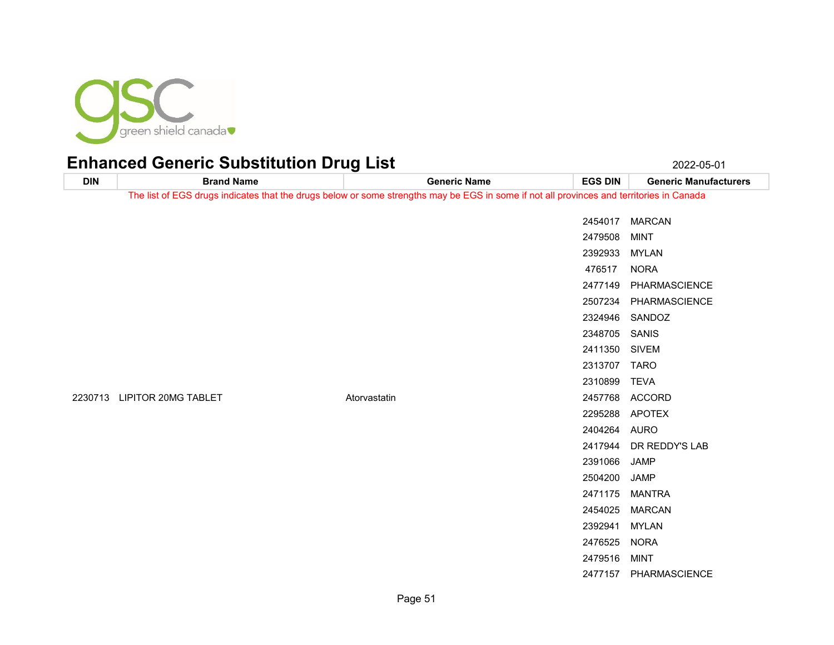

**DIN Brand Name Generic Name EGS DIN Generic Manufacturers** The list of EGS drugs indicates that the drugs below or some strengths may be EGS in some if not all provinces and territories in Canada MARCAN MINT MYLAN NORA PHARMASCIENCE PHARMASCIENCE SANDOZ SANIS SIVEM TARO TEVA LIPITOR 20MG TABLET Atorvastatin 2457768 ACCORD APOTEX AURO DR REDDY'S LAB JAMP JAMP MANTRA MARCAN MYLAN NORA MINT PHARMASCIENCE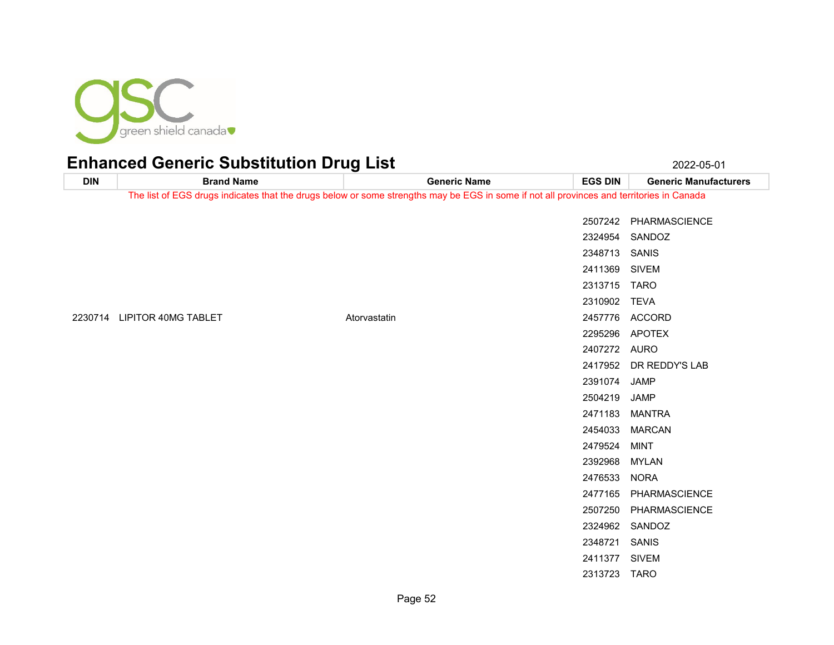

| <b>DIN</b> | <b>Brand Name</b>           | <b>Generic Name</b>                                                                                                                      | <b>EGS DIN</b> | <b>Generic Manufacturers</b> |
|------------|-----------------------------|------------------------------------------------------------------------------------------------------------------------------------------|----------------|------------------------------|
|            |                             | The list of EGS drugs indicates that the drugs below or some strengths may be EGS in some if not all provinces and territories in Canada |                |                              |
|            |                             |                                                                                                                                          |                |                              |
|            |                             |                                                                                                                                          |                | 2507242 PHARMASCIENCE        |
|            |                             |                                                                                                                                          |                | 2324954 SANDOZ               |
|            |                             |                                                                                                                                          | 2348713 SANIS  |                              |
|            |                             |                                                                                                                                          | 2411369 SIVEM  |                              |
|            |                             |                                                                                                                                          | 2313715 TARO   |                              |
|            |                             |                                                                                                                                          | 2310902 TEVA   |                              |
|            | 2230714 LIPITOR 40MG TABLET | Atorvastatin                                                                                                                             |                | 2457776 ACCORD               |
|            |                             |                                                                                                                                          |                | 2295296 APOTEX               |
|            |                             |                                                                                                                                          | 2407272 AURO   |                              |
|            |                             |                                                                                                                                          |                | 2417952 DR REDDY'S LAB       |
|            |                             |                                                                                                                                          | 2391074 JAMP   |                              |
|            |                             |                                                                                                                                          | 2504219        | JAMP                         |
|            |                             |                                                                                                                                          | 2471183        | <b>MANTRA</b>                |
|            |                             |                                                                                                                                          |                | 2454033 MARCAN               |
|            |                             |                                                                                                                                          | 2479524        | <b>MINT</b>                  |
|            |                             |                                                                                                                                          | 2392968        | <b>MYLAN</b>                 |
|            |                             |                                                                                                                                          | 2476533        | <b>NORA</b>                  |
|            |                             |                                                                                                                                          | 2477165        | PHARMASCIENCE                |
|            |                             |                                                                                                                                          |                | 2507250 PHARMASCIENCE        |
|            |                             |                                                                                                                                          |                | 2324962 SANDOZ               |
|            |                             |                                                                                                                                          | 2348721 SANIS  |                              |
|            |                             |                                                                                                                                          | 2411377 SIVEM  |                              |
|            |                             |                                                                                                                                          | 2313723 TARO   |                              |
|            |                             |                                                                                                                                          |                |                              |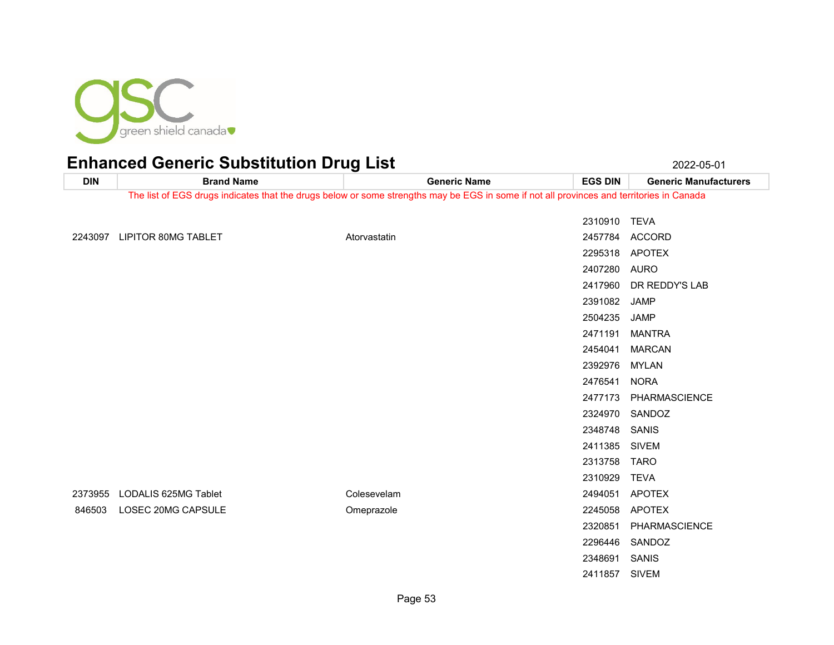

| <b>DIN</b> | <b>Brand Name</b>                                                                                                                        |              | <b>Generic Name</b> | <b>EGS DIN</b> | <b>Generic Manufacturers</b> |
|------------|------------------------------------------------------------------------------------------------------------------------------------------|--------------|---------------------|----------------|------------------------------|
|            | The list of EGS drugs indicates that the drugs below or some strengths may be EGS in some if not all provinces and territories in Canada |              |                     |                |                              |
|            |                                                                                                                                          |              |                     | 2310910 TEVA   |                              |
|            |                                                                                                                                          |              |                     |                |                              |
|            | 2243097 LIPITOR 80MG TABLET                                                                                                              | Atorvastatin |                     | 2457784        | ACCORD                       |
|            |                                                                                                                                          |              |                     |                | 2295318 APOTEX               |
|            |                                                                                                                                          |              |                     | 2407280        | AURO                         |
|            |                                                                                                                                          |              |                     | 2417960        | DR REDDY'S LAB               |
|            |                                                                                                                                          |              |                     | 2391082        | JAMP                         |
|            |                                                                                                                                          |              |                     | 2504235        | JAMP                         |
|            |                                                                                                                                          |              |                     | 2471191        | <b>MANTRA</b>                |
|            |                                                                                                                                          |              |                     | 2454041        | <b>MARCAN</b>                |
|            |                                                                                                                                          |              |                     | 2392976        | MYLAN                        |
|            |                                                                                                                                          |              |                     | 2476541        | <b>NORA</b>                  |
|            |                                                                                                                                          |              |                     | 2477173        | PHARMASCIENCE                |
|            |                                                                                                                                          |              |                     | 2324970        | SANDOZ                       |
|            |                                                                                                                                          |              |                     | 2348748        | SANIS                        |
|            |                                                                                                                                          |              |                     | 2411385        | <b>SIVEM</b>                 |
|            |                                                                                                                                          |              |                     | 2313758 TARO   |                              |
|            |                                                                                                                                          |              |                     | 2310929        | <b>TEVA</b>                  |
| 2373955    | LODALIS 625MG Tablet                                                                                                                     | Colesevelam  |                     | 2494051        | <b>APOTEX</b>                |
| 846503     | LOSEC 20MG CAPSULE                                                                                                                       | Omeprazole   |                     | 2245058        | <b>APOTEX</b>                |
|            |                                                                                                                                          |              |                     | 2320851        | PHARMASCIENCE                |
|            |                                                                                                                                          |              |                     | 2296446        | SANDOZ                       |
|            |                                                                                                                                          |              |                     | 2348691        | SANIS                        |
|            |                                                                                                                                          |              |                     | 2411857        | <b>SIVEM</b>                 |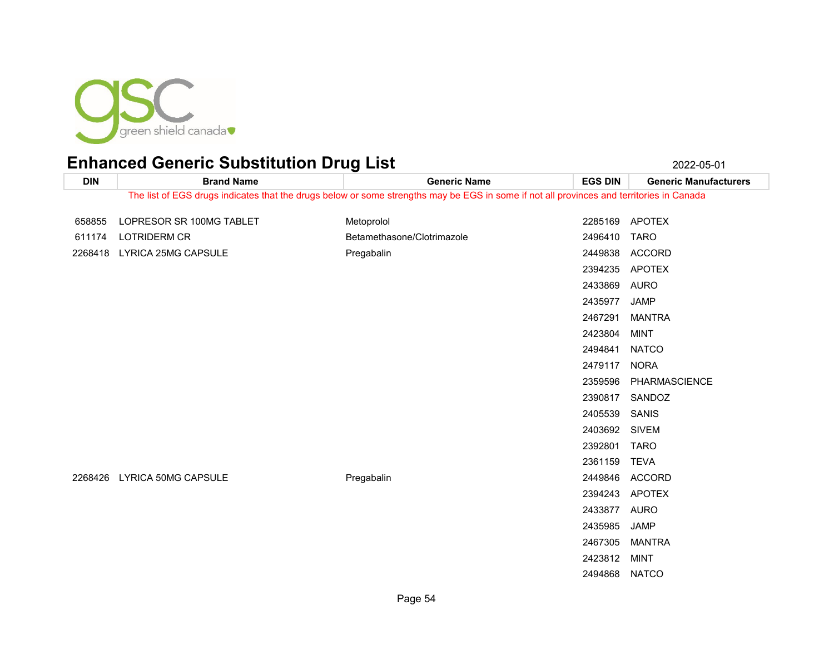

**DIN Brand Name Generic Name EGS DIN Generic Manufacturers** The list of EGS drugs indicates that the drugs below or some strengths may be EGS in some if not all provinces and territories in Canada 658855 LOPRESOR SR 100MG TABLET MEtoprolol Metoprolol 2285169 APOTEX LOTRIDERM CR Betamethasone/Clotrimazole 2496410 TARO LYRICA 25MG CAPSULE Pregabalin 2449838 ACCORD APOTEX AURO JAMP MANTRA MINT NATCO NORA PHARMASCIENCE SANDOZ SANIS SIVEM TARO TEVA LYRICA 50MG CAPSULE Pregabalin 2449846 ACCORD APOTEX

 AURO JAMP MANTRA MINT NATCO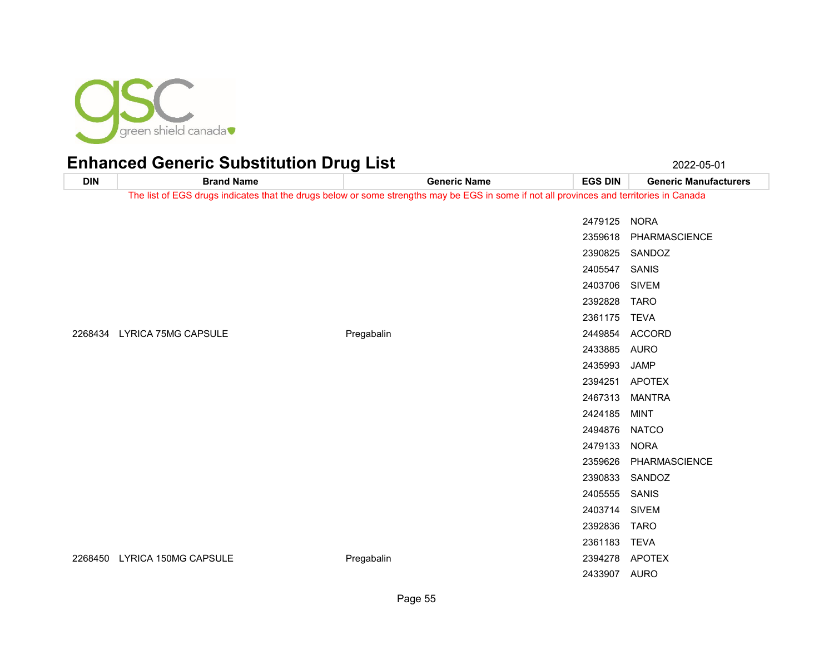

**DIN Brand Name Generic Name EGS DIN Generic Manufacturers** The list of EGS drugs indicates that the drugs below or some strengths may be EGS in some if not all provinces and territories in Canada NORA PHARMASCIENCE SANDOZ SANIS SIVEM TARO TEVA LYRICA 75MG CAPSULE Pregabalin 2449854 ACCORD AURO JAMP APOTEX MANTRA MINT NATCO NORA PHARMASCIENCE SANDOZ SANIS SIVEM TARO

LYRICA 150MG CAPSULE Pregabalin 2394278 APOTEX

TEVA

AURO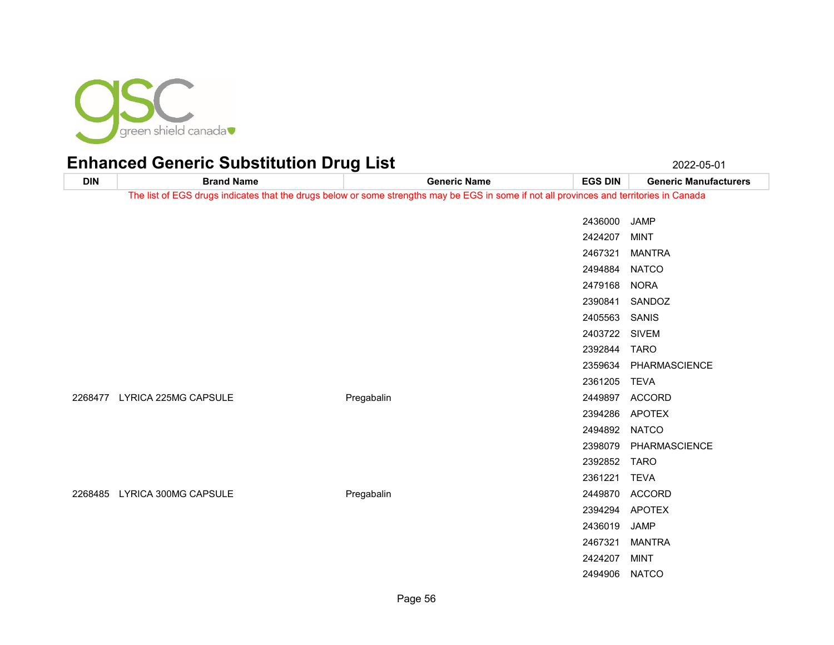

**DIN Brand Name Generic Name EGS DIN Generic Manufacturers** The list of EGS drugs indicates that the drugs below or some strengths may be EGS in some if not all provinces and territories in Canada JAMP MINT MANTRA NATCO NORA SANDOZ SANIS SIVEM TARO PHARMASCIENCE TEVA LYRICA 225MG CAPSULE Pregabalin 2449897 ACCORD APOTEX NATCO PHARMASCIENCE TARO TEVA LYRICA 300MG CAPSULE Pregabalin 2449870 ACCORD APOTEX JAMP MANTRA MINT NATCO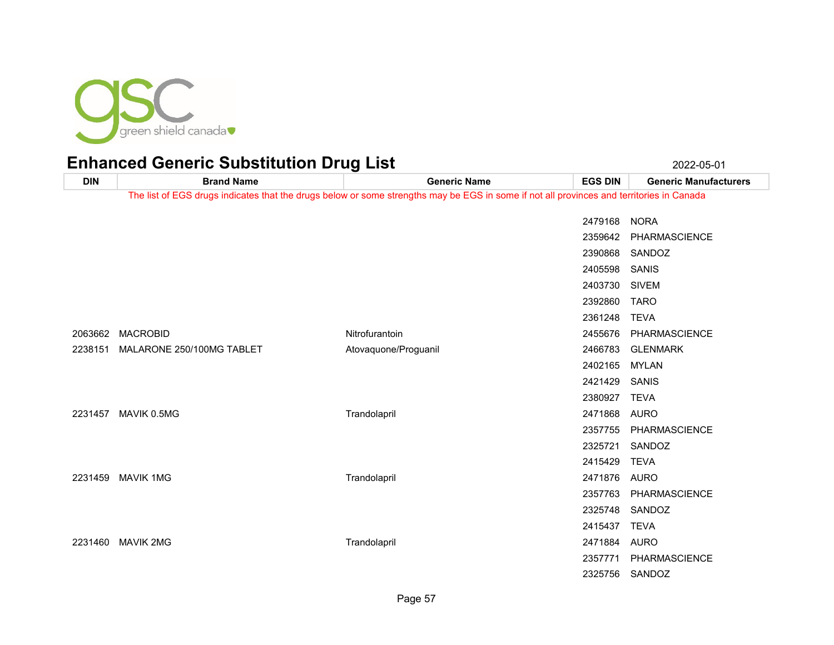

| <b>DIN</b> | <b>Brand Name</b>         | <b>Generic Name</b>                                                                                                                      | <b>EGS DIN</b> | <b>Generic Manufacturers</b> |
|------------|---------------------------|------------------------------------------------------------------------------------------------------------------------------------------|----------------|------------------------------|
|            |                           | The list of EGS drugs indicates that the drugs below or some strengths may be EGS in some if not all provinces and territories in Canada |                |                              |
|            |                           |                                                                                                                                          | 2479168        | <b>NORA</b>                  |
|            |                           |                                                                                                                                          | 2359642        | PHARMASCIENCE                |
|            |                           |                                                                                                                                          | 2390868        | SANDOZ                       |
|            |                           |                                                                                                                                          | 2405598        | SANIS                        |
|            |                           |                                                                                                                                          | 2403730        | <b>SIVEM</b>                 |
|            |                           |                                                                                                                                          | 2392860        | <b>TARO</b>                  |
|            |                           |                                                                                                                                          | 2361248        | <b>TEVA</b>                  |
| 2063662    | <b>MACROBID</b>           | Nitrofurantoin                                                                                                                           | 2455676        | PHARMASCIENCE                |
| 2238151    | MALARONE 250/100MG TABLET | Atovaquone/Proguanil                                                                                                                     | 2466783        | <b>GLENMARK</b>              |
|            |                           |                                                                                                                                          | 2402165        | MYLAN                        |
|            |                           |                                                                                                                                          | 2421429        | SANIS                        |
|            |                           |                                                                                                                                          | 2380927        | <b>TEVA</b>                  |
| 2231457    | MAVIK 0.5MG               | Trandolapril                                                                                                                             | 2471868        | AURO                         |
|            |                           |                                                                                                                                          | 2357755        | PHARMASCIENCE                |
|            |                           |                                                                                                                                          | 2325721        | SANDOZ                       |
|            |                           |                                                                                                                                          | 2415429        | <b>TEVA</b>                  |
| 2231459    | <b>MAVIK 1MG</b>          | Trandolapril                                                                                                                             | 2471876        | AURO                         |
|            |                           |                                                                                                                                          | 2357763        | PHARMASCIENCE                |
|            |                           |                                                                                                                                          | 2325748        | SANDOZ                       |
|            |                           |                                                                                                                                          | 2415437        | <b>TEVA</b>                  |
| 2231460    | <b>MAVIK 2MG</b>          | Trandolapril                                                                                                                             | 2471884        | AURO                         |
|            |                           |                                                                                                                                          | 2357771        | PHARMASCIENCE                |
|            |                           |                                                                                                                                          | 2325756        | SANDOZ                       |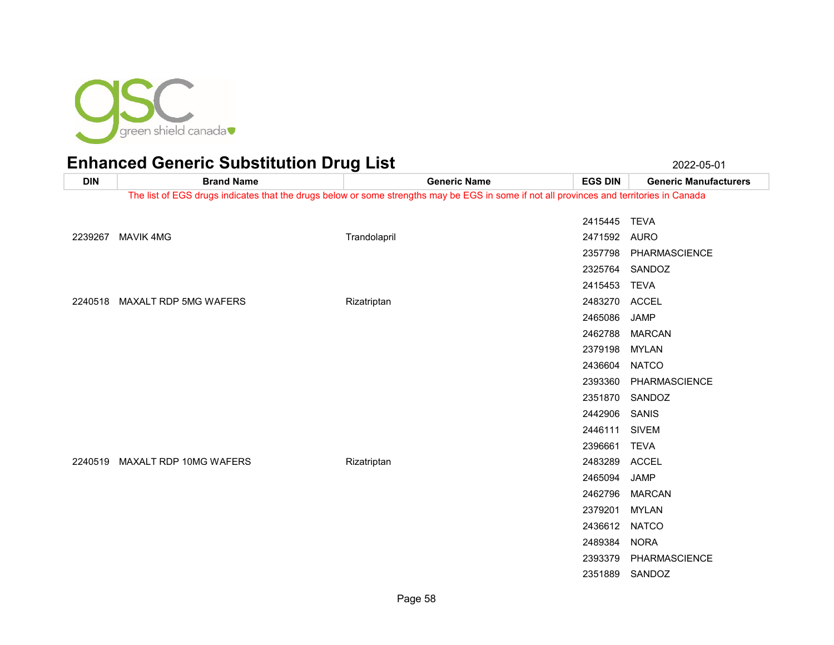

**DIN Brand Name Generic Name EGS DIN Generic Manufacturers** The list of EGS drugs indicates that the drugs below or some strengths may be EGS in some if not all provinces and territories in Canada TEVA MAVIK 4MG Trandolapril 2471592 AURO PHARMASCIENCE SANDOZ TEVA MAXALT RDP 5MG WAFERS Rizatriptan 2483270 ACCEL JAMP MARCAN MYLAN NATCO PHARMASCIENCE SANDOZ SANIS SIVEM TEVA MAXALT RDP 10MG WAFERS Rizatriptan 2483289 ACCEL JAMP MARCAN

 MYLAN NATCO NORA

SANDOZ

PHARMASCIENCE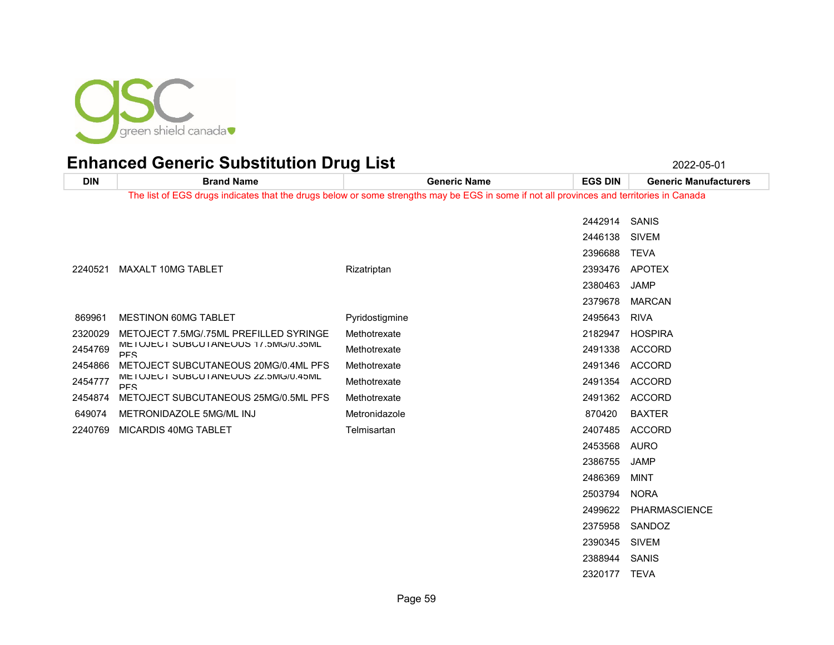

TEVA

| <b>DIN</b> | <b>Brand Name</b>                                 | <b>Generic Name</b>                                                                                                                      | <b>EGS DIN</b> | <b>Generic Manufacturers</b> |
|------------|---------------------------------------------------|------------------------------------------------------------------------------------------------------------------------------------------|----------------|------------------------------|
|            |                                                   | The list of EGS drugs indicates that the drugs below or some strengths may be EGS in some if not all provinces and territories in Canada |                |                              |
|            |                                                   |                                                                                                                                          | 2442914        | SANIS                        |
|            |                                                   |                                                                                                                                          | 2446138        | <b>SIVEM</b>                 |
|            |                                                   |                                                                                                                                          | 2396688 TEVA   |                              |
| 2240521    | MAXALT 10MG TABLET                                | Rizatriptan                                                                                                                              | 2393476        | APOTEX                       |
|            |                                                   |                                                                                                                                          | 2380463        | <b>JAMP</b>                  |
|            |                                                   |                                                                                                                                          | 2379678        | <b>MARCAN</b>                |
| 869961     | <b>MESTINON 60MG TABLET</b>                       | Pyridostigmine                                                                                                                           | 2495643        | <b>RIVA</b>                  |
| 2320029    | METOJECT 7.5MG/.75ML PREFILLED SYRINGE            | Methotrexate                                                                                                                             | 2182947        | <b>HOSPIRA</b>               |
| 2454769    | METOJECT SUBCUTANEOUS 17.5MG/0.35ML<br><b>PFS</b> | Methotrexate                                                                                                                             | 2491338        | <b>ACCORD</b>                |
| 2454866    | METOJECT SUBCUTANEOUS 20MG/0.4ML PFS              | Methotrexate                                                                                                                             | 2491346        | <b>ACCORD</b>                |
| 2454777    | METOJECT SUBCUTANEOUS 22.5MG/0.45ML<br><b>PFS</b> | Methotrexate                                                                                                                             | 2491354        | <b>ACCORD</b>                |
| 2454874    | METOJECT SUBCUTANEOUS 25MG/0.5ML PFS              | Methotrexate                                                                                                                             |                | 2491362 ACCORD               |
| 649074     | METRONIDAZOLE 5MG/ML INJ                          | Metronidazole                                                                                                                            | 870420         | <b>BAXTER</b>                |
| 2240769    | MICARDIS 40MG TABLET                              | Telmisartan                                                                                                                              | 2407485        | ACCORD                       |
|            |                                                   |                                                                                                                                          | 2453568        | AURO                         |
|            |                                                   |                                                                                                                                          | 2386755        | JAMP                         |
|            |                                                   |                                                                                                                                          | 2486369        | <b>MINT</b>                  |
|            |                                                   |                                                                                                                                          | 2503794        | <b>NORA</b>                  |
|            |                                                   |                                                                                                                                          | 2499622        | PHARMASCIENCE                |
|            |                                                   |                                                                                                                                          | 2375958        | SANDOZ                       |
|            |                                                   |                                                                                                                                          | 2390345        | <b>SIVEM</b>                 |
|            |                                                   |                                                                                                                                          | 2388944        | SANIS                        |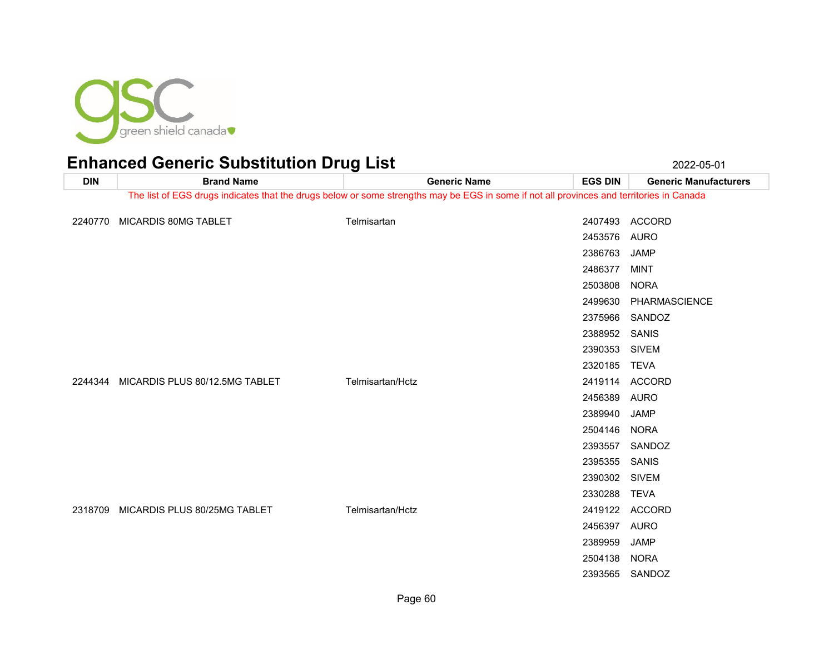

**DIN Brand Name Generic Name EGS DIN Generic Manufacturers** The list of EGS drugs indicates that the drugs below or some strengths may be EGS in some if not all provinces and territories in Canada MICARDIS 80MG TABLET Telmisartan 2407493 ACCORD AURO JAMP MINT NORA PHARMASCIENCE SANDOZ SANIS SIVEM TEVA MICARDIS PLUS 80/12.5MG TABLET Telmisartan/Hctz 2419114 ACCORD AURO JAMP NORA SANDOZ SANIS SIVEM TEVA MICARDIS PLUS 80/25MG TABLET Telmisartan/Hctz 2419122 ACCORD AURO JAMP NORA SANDOZ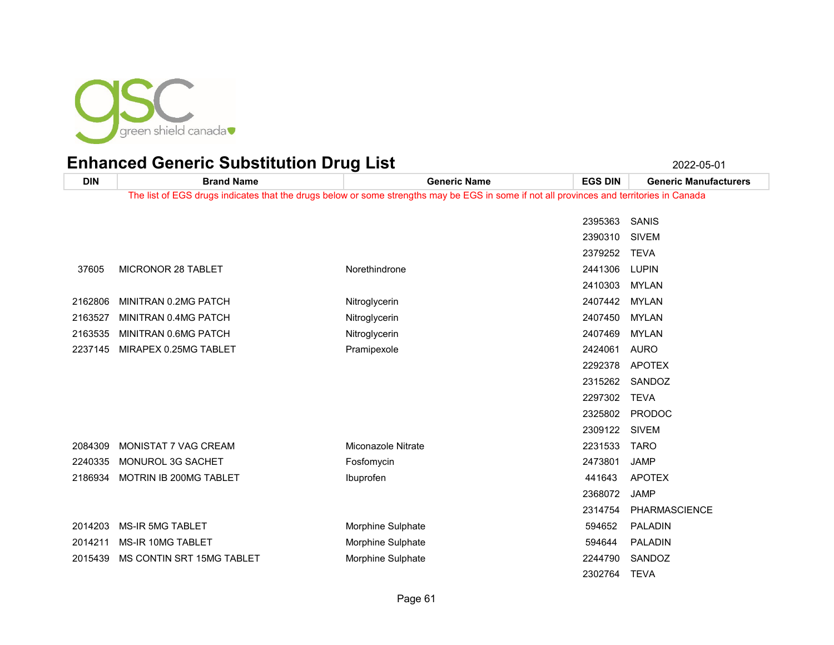

| <b>DIN</b> | <b>Brand Name</b>         | <b>Generic Name</b>                                                                                                                      | <b>EGS DIN</b> | <b>Generic Manufacturers</b> |
|------------|---------------------------|------------------------------------------------------------------------------------------------------------------------------------------|----------------|------------------------------|
|            |                           | The list of EGS drugs indicates that the drugs below or some strengths may be EGS in some if not all provinces and territories in Canada |                |                              |
|            |                           |                                                                                                                                          | 2395363        | SANIS                        |
|            |                           |                                                                                                                                          | 2390310        | <b>SIVEM</b>                 |
|            |                           |                                                                                                                                          | 2379252        | <b>TEVA</b>                  |
| 37605      | MICRONOR 28 TABLET        | Norethindrone                                                                                                                            | 2441306        | <b>LUPIN</b>                 |
|            |                           |                                                                                                                                          | 2410303        | <b>MYLAN</b>                 |
| 2162806    | MINITRAN 0.2MG PATCH      | Nitroglycerin                                                                                                                            | 2407442        | MYLAN                        |
| 2163527    | MINITRAN 0.4MG PATCH      | Nitroglycerin                                                                                                                            | 2407450        | <b>MYLAN</b>                 |
| 2163535    | MINITRAN 0.6MG PATCH      | Nitroglycerin                                                                                                                            | 2407469        | <b>MYLAN</b>                 |
| 2237145    | MIRAPEX 0.25MG TABLET     | Pramipexole                                                                                                                              | 2424061        | <b>AURO</b>                  |
|            |                           |                                                                                                                                          | 2292378        | <b>APOTEX</b>                |
|            |                           |                                                                                                                                          | 2315262        | SANDOZ                       |
|            |                           |                                                                                                                                          | 2297302        | <b>TEVA</b>                  |
|            |                           |                                                                                                                                          | 2325802        | <b>PRODOC</b>                |
|            |                           |                                                                                                                                          | 2309122 SIVEM  |                              |
| 2084309    | MONISTAT 7 VAG CREAM      | Miconazole Nitrate                                                                                                                       | 2231533        | <b>TARO</b>                  |
| 2240335    | MONUROL 3G SACHET         | Fosfomycin                                                                                                                               | 2473801        | <b>JAMP</b>                  |
| 2186934    | MOTRIN IB 200MG TABLET    | Ibuprofen                                                                                                                                | 441643         | <b>APOTEX</b>                |
|            |                           |                                                                                                                                          | 2368072        | <b>JAMP</b>                  |
|            |                           |                                                                                                                                          | 2314754        | PHARMASCIENCE                |
| 2014203    | <b>MS-IR 5MG TABLET</b>   | Morphine Sulphate                                                                                                                        | 594652         | PALADIN                      |
| 2014211    | MS-IR 10MG TABLET         | Morphine Sulphate                                                                                                                        | 594644         | PALADIN                      |
| 2015439    | MS CONTIN SRT 15MG TABLET | Morphine Sulphate                                                                                                                        | 2244790        | SANDOZ                       |
|            |                           |                                                                                                                                          | 2302764        | <b>TEVA</b>                  |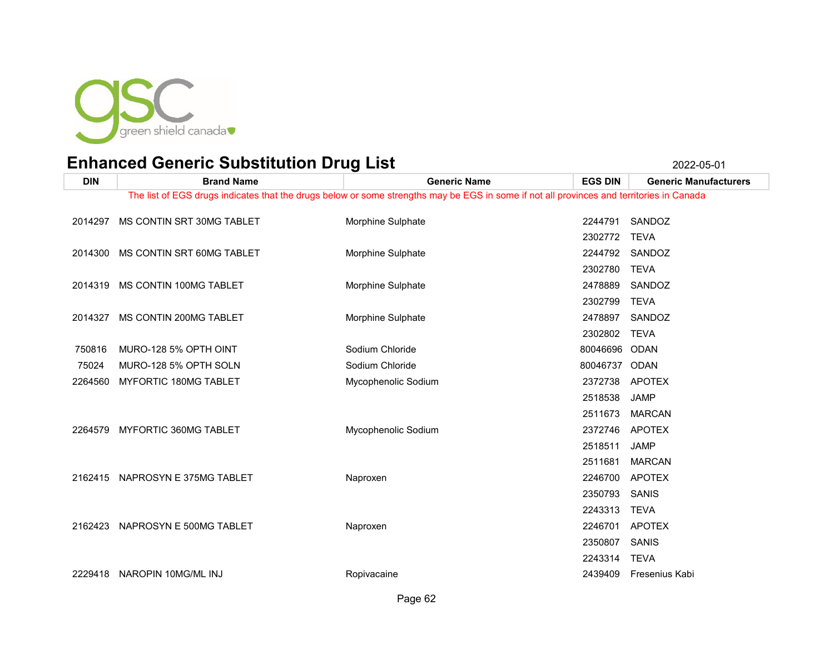

| <b>DIN</b> | <b>Brand Name</b>               | <b>Generic Name</b>                                                                                                                      | <b>EGS DIN</b>           | <b>Generic Manufacturers</b> |
|------------|---------------------------------|------------------------------------------------------------------------------------------------------------------------------------------|--------------------------|------------------------------|
|            |                                 | The list of EGS drugs indicates that the drugs below or some strengths may be EGS in some if not all provinces and territories in Canada |                          |                              |
| 2014297    | MS CONTIN SRT 30MG TABLET       | Morphine Sulphate                                                                                                                        | 2244791                  | SANDOZ                       |
| 2014300    | MS CONTIN SRT 60MG TABLET       | Morphine Sulphate                                                                                                                        | 2302772<br>2244792       | <b>TEVA</b><br>SANDOZ        |
| 2014319    | MS CONTIN 100MG TABLET          | Morphine Sulphate                                                                                                                        | 2302780<br>2478889       | <b>TEVA</b><br>SANDOZ        |
| 2014327    | MS CONTIN 200MG TABLET          | Morphine Sulphate                                                                                                                        | 2302799<br>2478897       | <b>TEVA</b><br>SANDOZ        |
| 750816     | MURO-128 5% OPTH OINT           | Sodium Chloride                                                                                                                          | 2302802<br>80046696 ODAN | <b>TEVA</b>                  |
| 75024      | MURO-128 5% OPTH SOLN           | Sodium Chloride                                                                                                                          | 80046737 ODAN            |                              |
| 2264560    | MYFORTIC 180MG TABLET           | Mycophenolic Sodium                                                                                                                      | 2372738                  | <b>APOTEX</b>                |
|            |                                 |                                                                                                                                          | 2518538                  | <b>JAMP</b>                  |
|            |                                 |                                                                                                                                          | 2511673                  | <b>MARCAN</b>                |
| 2264579    | MYFORTIC 360MG TABLET           | Mycophenolic Sodium                                                                                                                      | 2372746 APOTEX           |                              |
|            |                                 |                                                                                                                                          | 2518511                  | <b>JAMP</b>                  |
|            |                                 |                                                                                                                                          | 2511681                  | <b>MARCAN</b>                |
|            | 2162415 NAPROSYN E 375MG TABLET | Naproxen                                                                                                                                 | 2246700                  | <b>APOTEX</b>                |
|            |                                 |                                                                                                                                          | 2350793                  | <b>SANIS</b>                 |
|            |                                 |                                                                                                                                          | 2243313                  | <b>TEVA</b>                  |
|            | 2162423 NAPROSYN E 500MG TABLET | Naproxen                                                                                                                                 | 2246701                  | <b>APOTEX</b>                |
|            |                                 |                                                                                                                                          | 2350807                  | <b>SANIS</b>                 |
|            |                                 |                                                                                                                                          | 2243314                  | <b>TEVA</b>                  |
| 2229418    | NAROPIN 10MG/ML INJ             | Ropivacaine                                                                                                                              | 2439409                  | Fresenius Kabi               |

Page 62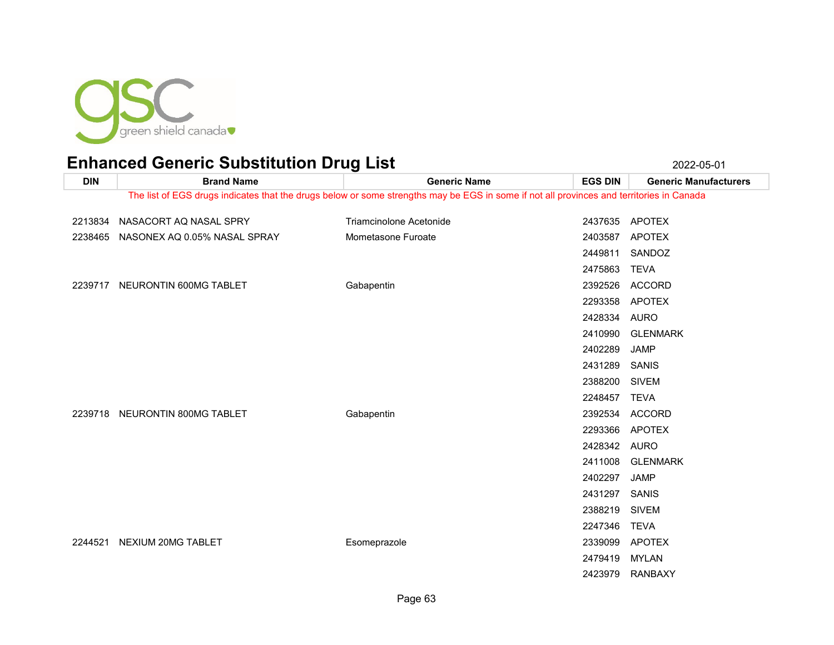

**DIN Brand Name Generic Name EGS DIN Generic Manufacturers** The list of EGS drugs indicates that the drugs below or some strengths may be EGS in some if not all provinces and territories in Canada

| 2213834 | NASACORT AQ NASAL SPRY       | Triamcinolone Acetonide | 2437635 APOTEX |                  |
|---------|------------------------------|-------------------------|----------------|------------------|
| 2238465 | NASONEX AQ 0.05% NASAL SPRAY | Mometasone Furoate      | 2403587 APOTEX |                  |
|         |                              |                         | 2449811        | SANDOZ           |
|         |                              |                         | 2475863        | <b>TEVA</b>      |
| 2239717 | NEURONTIN 600MG TABLET       | Gabapentin              | 2392526        | <b>ACCORD</b>    |
|         |                              |                         | 2293358 APOTEX |                  |
|         |                              |                         | 2428334 AURO   |                  |
|         |                              |                         |                | 2410990 GLENMARK |
|         |                              |                         | 2402289        | <b>JAMP</b>      |
|         |                              |                         | 2431289        | SANIS            |
|         |                              |                         | 2388200 SIVEM  |                  |
|         |                              |                         | 2248457        | <b>TEVA</b>      |
| 2239718 | NEURONTIN 800MG TABLET       | Gabapentin              |                | 2392534 ACCORD   |
|         |                              |                         | 2293366        | APOTEX           |
|         |                              |                         | 2428342 AURO   |                  |
|         |                              |                         | 2411008        | <b>GLENMARK</b>  |
|         |                              |                         | 2402297        | <b>JAMP</b>      |
|         |                              |                         | 2431297 SANIS  |                  |
|         |                              |                         | 2388219        | <b>SIVEM</b>     |
|         |                              |                         | 2247346        | TEVA             |
| 2244521 | NEXIUM 20MG TABLET           | Esomeprazole            | 2339099 APOTEX |                  |
|         |                              |                         | 2479419        | MYLAN            |
|         |                              |                         |                | 2423979 RANBAXY  |
|         |                              |                         |                |                  |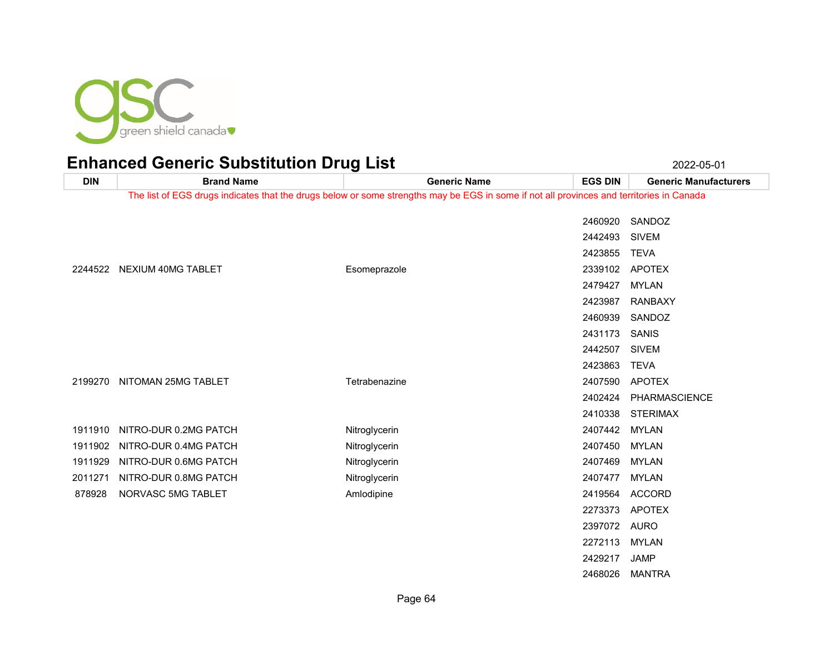

| <b>DIN</b> | <b>Brand Name</b>     | <b>Generic Name</b>                                                                                                                      | <b>EGS DIN</b> | <b>Generic Manufacturers</b> |
|------------|-----------------------|------------------------------------------------------------------------------------------------------------------------------------------|----------------|------------------------------|
|            |                       | The list of EGS drugs indicates that the drugs below or some strengths may be EGS in some if not all provinces and territories in Canada |                |                              |
|            |                       |                                                                                                                                          | 2460920        | SANDOZ                       |
|            |                       |                                                                                                                                          | 2442493        | <b>SIVEM</b>                 |
|            |                       |                                                                                                                                          | 2423855        | <b>TEVA</b>                  |
| 2244522    | NEXIUM 40MG TABLET    | Esomeprazole                                                                                                                             |                | 2339102 APOTEX               |
|            |                       |                                                                                                                                          | 2479427        | <b>MYLAN</b>                 |
|            |                       |                                                                                                                                          | 2423987        | <b>RANBAXY</b>               |
|            |                       |                                                                                                                                          | 2460939        | SANDOZ                       |
|            |                       |                                                                                                                                          | 2431173        | SANIS                        |
|            |                       |                                                                                                                                          | 2442507        | <b>SIVEM</b>                 |
|            |                       |                                                                                                                                          | 2423863        | <b>TEVA</b>                  |
| 2199270    | NITOMAN 25MG TABLET   | Tetrabenazine                                                                                                                            | 2407590        | <b>APOTEX</b>                |
|            |                       |                                                                                                                                          | 2402424        | PHARMASCIENCE                |
|            |                       |                                                                                                                                          | 2410338        | <b>STERIMAX</b>              |
| 1911910    | NITRO-DUR 0.2MG PATCH | Nitroglycerin                                                                                                                            | 2407442 MYLAN  |                              |
| 1911902    | NITRO-DUR 0.4MG PATCH | Nitroglycerin                                                                                                                            | 2407450        | <b>MYLAN</b>                 |
| 1911929    | NITRO-DUR 0.6MG PATCH | Nitroglycerin                                                                                                                            | 2407469        | <b>MYLAN</b>                 |
| 2011271    | NITRO-DUR 0.8MG PATCH | Nitroglycerin                                                                                                                            | 2407477        | <b>MYLAN</b>                 |
| 878928     | NORVASC 5MG TABLET    | Amlodipine                                                                                                                               | 2419564        | <b>ACCORD</b>                |
|            |                       |                                                                                                                                          | 2273373        | <b>APOTEX</b>                |
|            |                       |                                                                                                                                          | 2397072 AURO   |                              |
|            |                       |                                                                                                                                          | 2272113        | <b>MYLAN</b>                 |
|            |                       |                                                                                                                                          | 2429217        | JAMP                         |
|            |                       |                                                                                                                                          | 2468026        | MANTRA                       |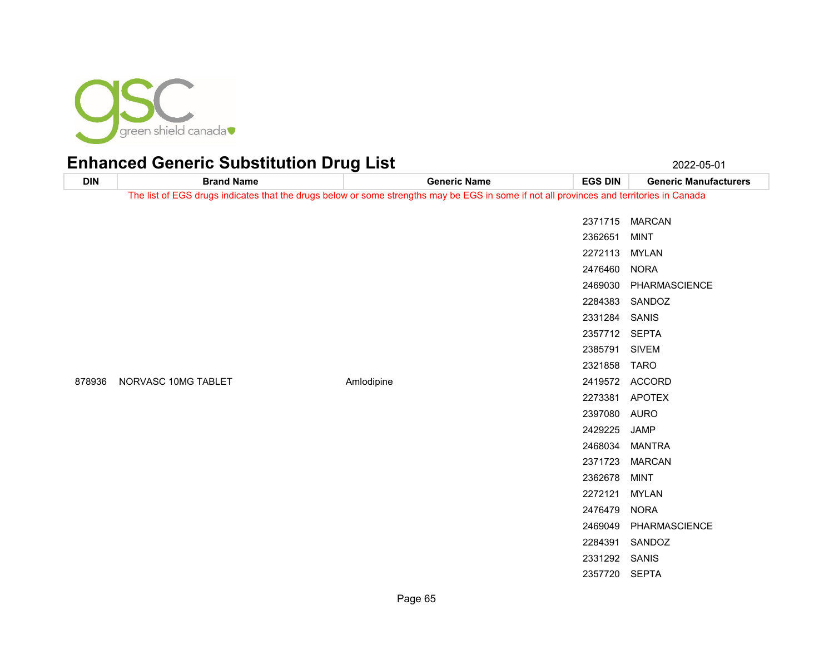

| <b>DIN</b> | <b>Brand Name</b>   | ັ<br><b>Generic Name</b>                                                                                                                 | <b>EGS DIN</b> | <b>Generic Manufacturers</b> |
|------------|---------------------|------------------------------------------------------------------------------------------------------------------------------------------|----------------|------------------------------|
|            |                     | The list of EGS drugs indicates that the drugs below or some strengths may be EGS in some if not all provinces and territories in Canada |                |                              |
|            |                     |                                                                                                                                          |                | 2371715 MARCAN               |
|            |                     |                                                                                                                                          | 2362651        | <b>MINT</b>                  |
|            |                     |                                                                                                                                          |                |                              |
|            |                     |                                                                                                                                          | 2272113 MYLAN  |                              |
|            |                     |                                                                                                                                          | 2476460        | <b>NORA</b>                  |
|            |                     |                                                                                                                                          |                | 2469030 PHARMASCIENCE        |
|            |                     |                                                                                                                                          |                | 2284383 SANDOZ               |
|            |                     |                                                                                                                                          | 2331284 SANIS  |                              |
|            |                     | 2357712 SEPTA                                                                                                                            |                |                              |
|            |                     |                                                                                                                                          | 2385791        | <b>SIVEM</b>                 |
|            |                     |                                                                                                                                          | 2321858        | TARO                         |
| 878936     | NORVASC 10MG TABLET | Amlodipine                                                                                                                               |                | 2419572 ACCORD               |
|            |                     |                                                                                                                                          |                | 2273381 APOTEX               |
|            |                     |                                                                                                                                          | 2397080 AURO   |                              |
|            |                     |                                                                                                                                          | 2429225        | <b>JAMP</b>                  |
|            |                     |                                                                                                                                          | 2468034        | <b>MANTRA</b>                |
|            |                     |                                                                                                                                          | 2371723        | <b>MARCAN</b>                |
|            |                     |                                                                                                                                          | 2362678        | <b>MINT</b>                  |
|            |                     |                                                                                                                                          | 2272121        | <b>MYLAN</b>                 |
|            |                     |                                                                                                                                          | 2476479        | <b>NORA</b>                  |
|            |                     |                                                                                                                                          | 2469049        | PHARMASCIENCE                |
|            |                     |                                                                                                                                          | 2284391        | SANDOZ                       |
|            |                     |                                                                                                                                          | 2331292        | <b>SANIS</b>                 |
|            |                     |                                                                                                                                          | 2357720        | <b>SEPTA</b>                 |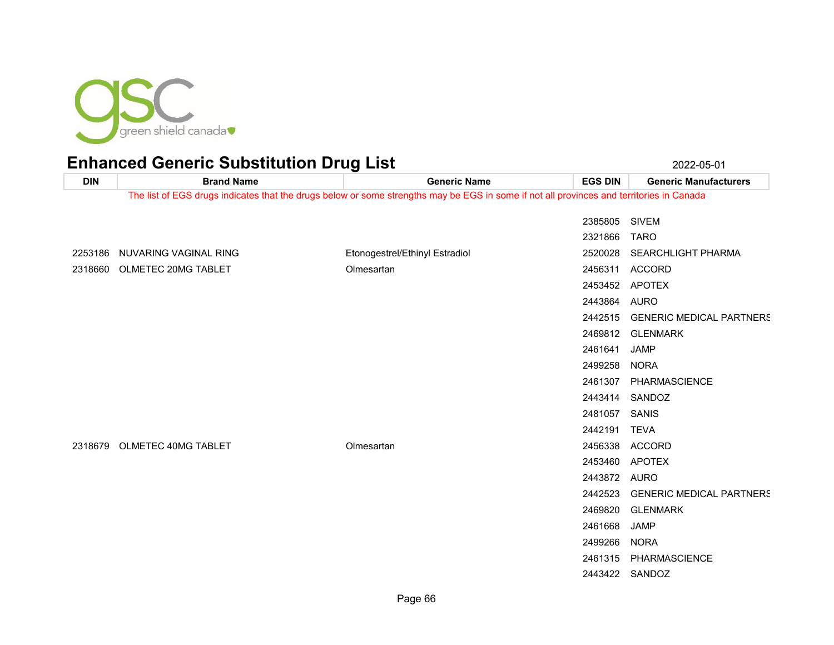

| <b>DIN</b>                                                                                                                               | <b>Brand Name</b>             | <b>Generic Name</b>            | <b>EGS DIN</b> | <b>Generic Manufacturers</b>    |
|------------------------------------------------------------------------------------------------------------------------------------------|-------------------------------|--------------------------------|----------------|---------------------------------|
| The list of EGS drugs indicates that the drugs below or some strengths may be EGS in some if not all provinces and territories in Canada |                               |                                |                |                                 |
|                                                                                                                                          |                               |                                | 2385805 SIVEM  |                                 |
|                                                                                                                                          |                               |                                | 2321866        | <b>TARO</b>                     |
|                                                                                                                                          | 2253186 NUVARING VAGINAL RING | Etonogestrel/Ethinyl Estradiol | 2520028        | SEARCHLIGHT PHARMA              |
|                                                                                                                                          | 2318660 OLMETEC 20MG TABLET   | Olmesartan                     |                | 2456311 ACCORD                  |
|                                                                                                                                          |                               |                                |                | 2453452 APOTEX                  |
|                                                                                                                                          |                               |                                | 2443864 AURO   |                                 |
|                                                                                                                                          |                               |                                | 2442515        | <b>GENERIC MEDICAL PARTNERS</b> |
|                                                                                                                                          |                               |                                |                | 2469812 GLENMARK                |
|                                                                                                                                          |                               |                                | 2461641        | <b>JAMP</b>                     |
|                                                                                                                                          |                               |                                | 2499258        | <b>NORA</b>                     |
|                                                                                                                                          |                               |                                |                | 2461307 PHARMASCIENCE           |
|                                                                                                                                          |                               |                                |                | 2443414 SANDOZ                  |
|                                                                                                                                          |                               |                                | 2481057 SANIS  |                                 |
|                                                                                                                                          |                               |                                | 2442191 TEVA   |                                 |
|                                                                                                                                          | 2318679 OLMETEC 40MG TABLET   | Olmesartan                     |                | 2456338 ACCORD                  |
|                                                                                                                                          |                               |                                | 2453460        | APOTEX                          |
|                                                                                                                                          |                               |                                | 2443872 AURO   |                                 |
|                                                                                                                                          |                               |                                | 2442523        | <b>GENERIC MEDICAL PARTNERS</b> |
|                                                                                                                                          |                               |                                |                | 2469820 GLENMARK                |
|                                                                                                                                          |                               |                                | 2461668        | <b>JAMP</b>                     |
|                                                                                                                                          |                               |                                | 2499266        | <b>NORA</b>                     |
|                                                                                                                                          |                               |                                |                | 2461315 PHARMASCIENCE           |
|                                                                                                                                          |                               |                                |                | 2443422 SANDOZ                  |
|                                                                                                                                          |                               |                                |                |                                 |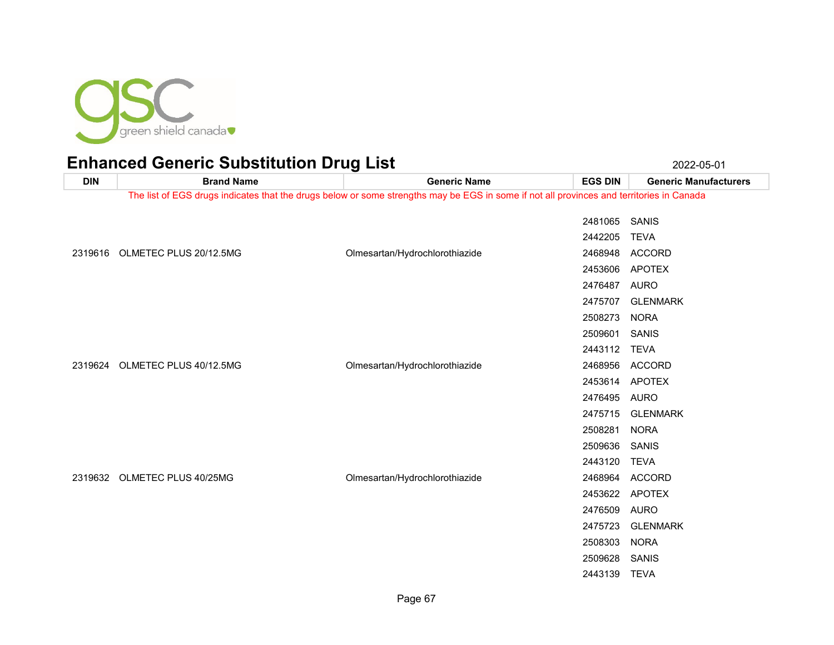

| <b>DIN</b> | <b>Brand Name</b>              | <b>Generic Name</b>                                                                                                                      | <b>EGS DIN</b> | <b>Generic Manufacturers</b> |
|------------|--------------------------------|------------------------------------------------------------------------------------------------------------------------------------------|----------------|------------------------------|
|            |                                | The list of EGS drugs indicates that the drugs below or some strengths may be EGS in some if not all provinces and territories in Canada |                |                              |
|            |                                |                                                                                                                                          |                |                              |
|            |                                |                                                                                                                                          | 2481065 SANIS  |                              |
|            |                                |                                                                                                                                          | 2442205        | <b>TEVA</b>                  |
|            | 2319616 OLMETEC PLUS 20/12.5MG | Olmesartan/Hydrochlorothiazide                                                                                                           |                | 2468948 ACCORD               |
|            |                                |                                                                                                                                          | 2453606        | <b>APOTEX</b>                |
|            |                                |                                                                                                                                          | 2476487 AURO   |                              |
|            |                                |                                                                                                                                          | 2475707        | <b>GLENMARK</b>              |
|            |                                |                                                                                                                                          | 2508273 NORA   |                              |
|            |                                |                                                                                                                                          | 2509601 SANIS  |                              |
|            |                                |                                                                                                                                          | 2443112 TEVA   |                              |
|            | 2319624 OLMETEC PLUS 40/12.5MG | Olmesartan/Hydrochlorothiazide                                                                                                           |                | 2468956 ACCORD               |
|            |                                |                                                                                                                                          | 2453614 APOTEX |                              |
|            |                                |                                                                                                                                          | 2476495 AURO   |                              |
|            |                                |                                                                                                                                          | 2475715        | <b>GLENMARK</b>              |
|            |                                |                                                                                                                                          | 2508281        | <b>NORA</b>                  |
|            |                                |                                                                                                                                          | 2509636        | SANIS                        |
|            |                                |                                                                                                                                          | 2443120 TEVA   |                              |
|            | 2319632 OLMETEC PLUS 40/25MG   | Olmesartan/Hydrochlorothiazide                                                                                                           |                | 2468964 ACCORD               |
|            |                                |                                                                                                                                          | 2453622 APOTEX |                              |
|            |                                |                                                                                                                                          | 2476509        | <b>AURO</b>                  |
|            |                                |                                                                                                                                          | 2475723        | <b>GLENMARK</b>              |
|            |                                |                                                                                                                                          | 2508303        | <b>NORA</b>                  |
|            |                                |                                                                                                                                          | 2509628        | SANIS                        |
|            |                                |                                                                                                                                          | 2443139        | <b>TEVA</b>                  |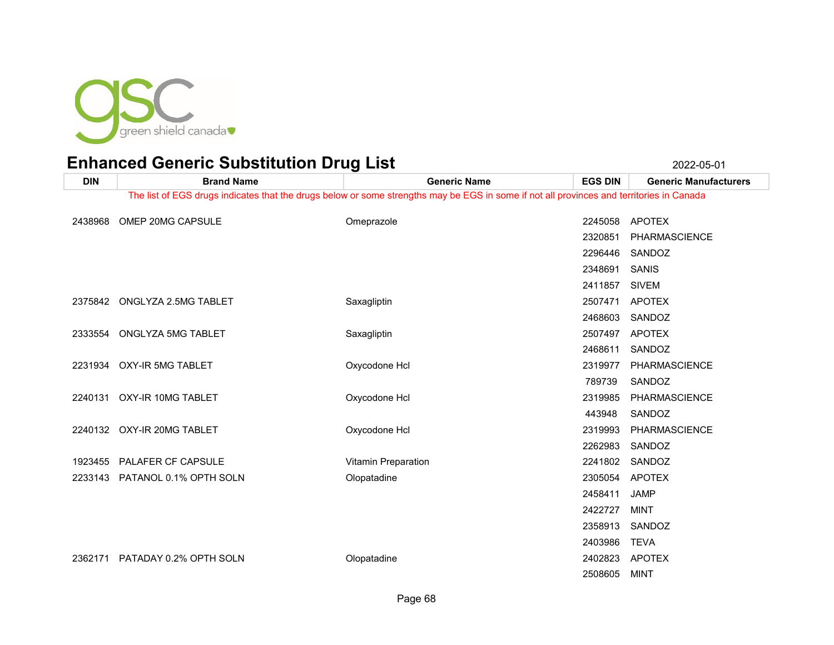

| <b>DIN</b> | <b>Brand Name</b>                                                                                                                        | <b>Generic Name</b> | <b>EGS DIN</b> | <b>Generic Manufacturers</b> |  |
|------------|------------------------------------------------------------------------------------------------------------------------------------------|---------------------|----------------|------------------------------|--|
|            | The list of EGS drugs indicates that the drugs below or some strengths may be EGS in some if not all provinces and territories in Canada |                     |                |                              |  |
| 2438968    | OMEP 20MG CAPSULE                                                                                                                        | Omeprazole          | 2245058        | APOTEX                       |  |
|            |                                                                                                                                          |                     | 2320851        | <b>PHARMASCIENCE</b>         |  |
|            |                                                                                                                                          |                     |                |                              |  |
|            |                                                                                                                                          |                     | 2296446        | SANDOZ                       |  |
|            |                                                                                                                                          |                     | 2348691        | <b>SANIS</b>                 |  |
|            |                                                                                                                                          |                     | 2411857        | SIVEM                        |  |
|            | 2375842 ONGLYZA 2.5MG TABLET                                                                                                             | Saxagliptin         | 2507471        | <b>APOTEX</b>                |  |
|            |                                                                                                                                          |                     | 2468603        | SANDOZ                       |  |
|            | 2333554 ONGLYZA 5MG TABLET                                                                                                               | Saxagliptin         | 2507497        | <b>APOTEX</b>                |  |
|            |                                                                                                                                          |                     | 2468611        | SANDOZ                       |  |
|            | 2231934 OXY-IR 5MG TABLET                                                                                                                | Oxycodone Hcl       | 2319977        | <b>PHARMASCIENCE</b>         |  |
|            |                                                                                                                                          |                     | 789739         | SANDOZ                       |  |
|            | 2240131 OXY-IR 10MG TABLET                                                                                                               | Oxycodone Hcl       | 2319985        | PHARMASCIENCE                |  |
|            |                                                                                                                                          |                     | 443948         | SANDOZ                       |  |
|            | 2240132 OXY-IR 20MG TABLET                                                                                                               | Oxycodone Hcl       | 2319993        | PHARMASCIENCE                |  |
|            |                                                                                                                                          |                     | 2262983        | SANDOZ                       |  |
|            | 1923455 PALAFER CF CAPSULE                                                                                                               | Vitamin Preparation | 2241802        | SANDOZ                       |  |
|            | 2233143 PATANOL 0.1% OPTH SOLN                                                                                                           | Olopatadine         | 2305054        | <b>APOTEX</b>                |  |
|            |                                                                                                                                          |                     | 2458411        | <b>JAMP</b>                  |  |
|            |                                                                                                                                          |                     | 2422727        | <b>MINT</b>                  |  |
|            |                                                                                                                                          |                     | 2358913        | SANDOZ                       |  |
|            |                                                                                                                                          |                     | 2403986        | <b>TEVA</b>                  |  |
| 2362171    | PATADAY 0.2% OPTH SOLN                                                                                                                   | Olopatadine         | 2402823        | <b>APOTEX</b>                |  |
|            |                                                                                                                                          |                     | 2508605        | MINT                         |  |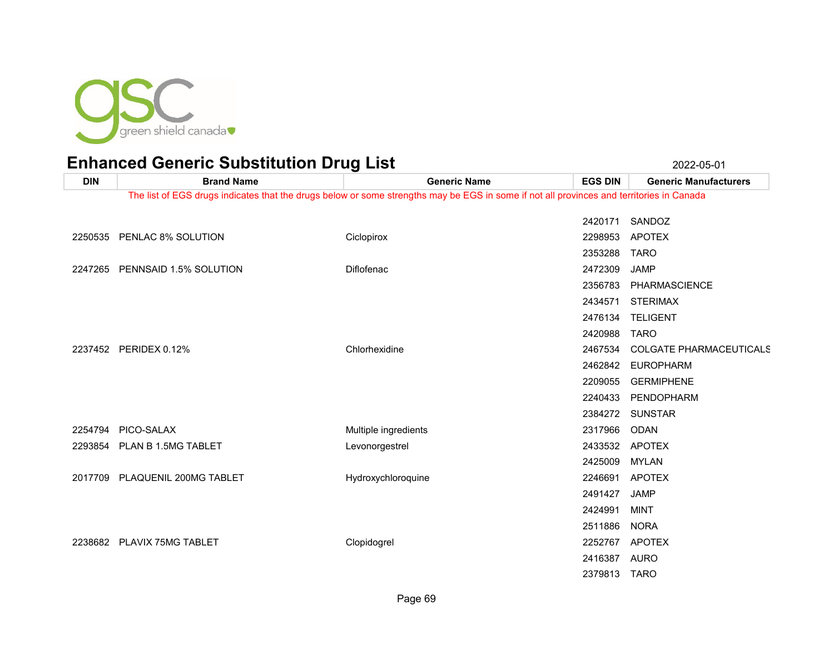

**DIN Brand Name Generic Name EGS DIN Generic Manufacturers** The list of EGS drugs indicates that the drugs below or some strengths may be EGS in some if not all provinces and territories in Canada SANDOZ PENLAC 8% SOLUTION Ciclopirox 2298953 APOTEX TARO PENNSAID 1.5% SOLUTION Diflofenac 2472309 JAMP PHARMASCIENCE STERIMAX TELIGENT TARO PERIDEX 0.12% Chlorhexidine 2467534 COLGATE PHARMACEUTICALS EUROPHARM GERMIPHENE PENDOPHARM SUNSTAR PICO-SALAX Multiple ingredients 2317966 ODAN PLAN B 1.5MG TABLET Levonorgestrel 2433532 APOTEX MYLAN 2017709 PLAQUENIL 200MG TABLET **Hydroxychloroquine** 2246691 APOTEX JAMP MINT

PLAVIX 75MG TABLET Clopidogrel 2252767 APOTEX

Page 69

NORA

 AURO TARO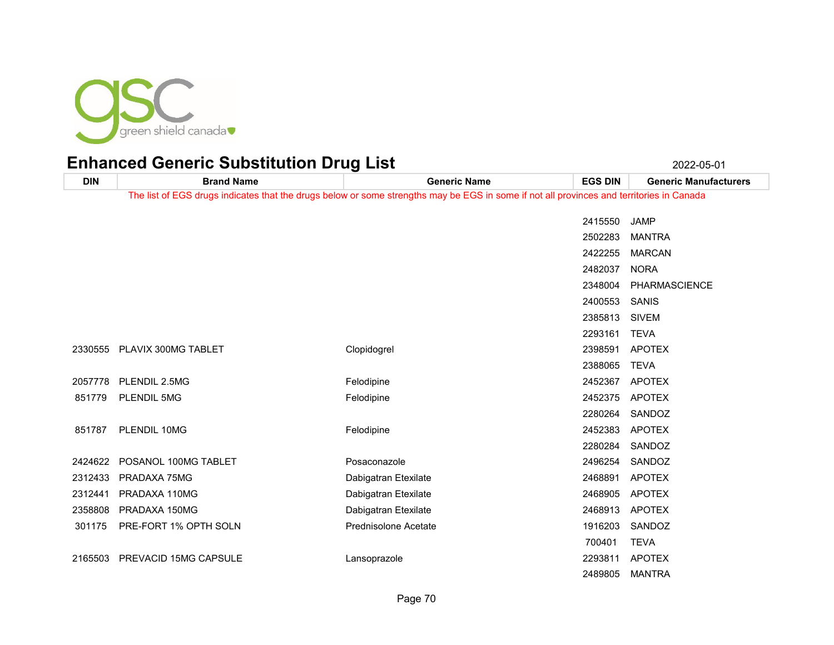

| <b>DIN</b> | <b>Brand Name</b>            | <b>Generic Name</b>                                                                                                                      | <b>EGS DIN</b> | <b>Generic Manufacturers</b> |
|------------|------------------------------|------------------------------------------------------------------------------------------------------------------------------------------|----------------|------------------------------|
|            |                              | The list of EGS drugs indicates that the drugs below or some strengths may be EGS in some if not all provinces and territories in Canada |                |                              |
|            |                              |                                                                                                                                          | 2415550        | <b>JAMP</b>                  |
|            |                              |                                                                                                                                          | 2502283        | <b>MANTRA</b>                |
|            |                              |                                                                                                                                          | 2422255        | <b>MARCAN</b>                |
|            |                              |                                                                                                                                          | 2482037        | <b>NORA</b>                  |
|            |                              |                                                                                                                                          | 2348004        | PHARMASCIENCE                |
|            |                              |                                                                                                                                          | 2400553        | SANIS                        |
|            |                              |                                                                                                                                          | 2385813        | <b>SIVEM</b>                 |
|            |                              |                                                                                                                                          | 2293161        | <b>TEVA</b>                  |
| 2330555    | PLAVIX 300MG TABLET          | Clopidogrel                                                                                                                              | 2398591        | <b>APOTEX</b>                |
|            |                              |                                                                                                                                          | 2388065        | <b>TEVA</b>                  |
| 2057778    | PLENDIL 2.5MG                | Felodipine                                                                                                                               | 2452367        | <b>APOTEX</b>                |
| 851779     | <b>PLENDIL 5MG</b>           | Felodipine                                                                                                                               |                | 2452375 APOTEX               |
|            |                              |                                                                                                                                          | 2280264        | SANDOZ                       |
| 851787     | PLENDIL 10MG                 | Felodipine                                                                                                                               |                | 2452383 APOTEX               |
|            |                              |                                                                                                                                          | 2280284        | SANDOZ                       |
| 2424622    | POSANOL 100MG TABLET         | Posaconazole                                                                                                                             | 2496254        | SANDOZ                       |
| 2312433    | PRADAXA 75MG                 | Dabigatran Etexilate                                                                                                                     | 2468891        | <b>APOTEX</b>                |
| 2312441    | PRADAXA 110MG                | Dabigatran Etexilate                                                                                                                     | 2468905        | <b>APOTEX</b>                |
| 2358808    | PRADAXA 150MG                | Dabigatran Etexilate                                                                                                                     | 2468913        | <b>APOTEX</b>                |
| 301175     | PRE-FORT 1% OPTH SOLN        | <b>Prednisolone Acetate</b>                                                                                                              | 1916203        | SANDOZ                       |
|            |                              |                                                                                                                                          | 700401         | <b>TEVA</b>                  |
| 2165503    | <b>PREVACID 15MG CAPSULE</b> | Lansoprazole                                                                                                                             | 2293811        | <b>APOTEX</b>                |
|            |                              |                                                                                                                                          | 2489805        | <b>MANTRA</b>                |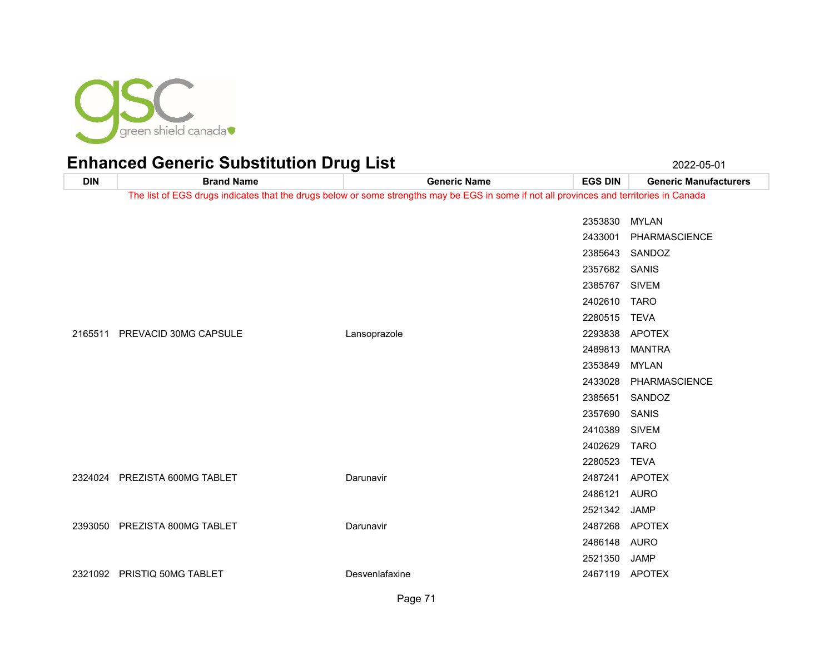

**DIN Brand Name Generic Name EGS DIN Generic Manufacturers** The list of EGS drugs indicates that the drugs below or some strengths may be EGS in some if not all provinces and territories in Canada MYLAN PHARMASCIENCE SANDOZ SANIS SIVEM TARO TEVA PREVACID 30MG CAPSULE Lansoprazole 2293838 APOTEX MANTRA MYLAN PHARMASCIENCE SANDOZ SANIS SIVEM TARO TEVA PREZISTA 600MG TABLET Darunavir 2487241 APOTEX AURO JAMP PREZISTA 800MG TABLET Darunavir 2487268 APOTEX AURO JAMP PRISTIQ 50MG TABLET Desvenlafaxine 2467119 APOTEX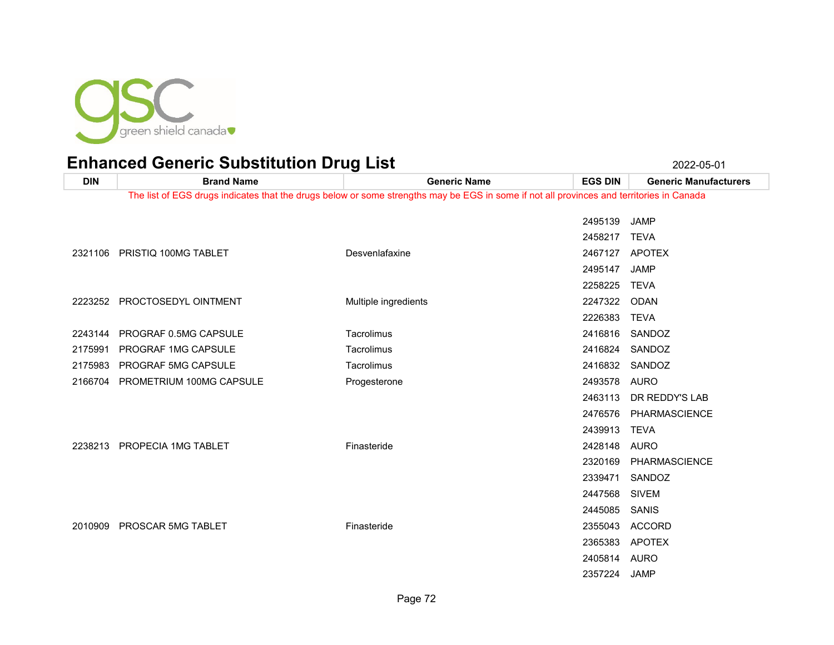

**DIN Brand Name Generic Name EGS DIN Generic Manufacturers** The list of EGS drugs indicates that the drugs below or some strengths may be EGS in some if not all provinces and territories in Canada JAMP TEVA PRISTIQ 100MG TABLET Desvenlafaxine 2467127 APOTEX JAMP TEVA PROCTOSEDYL OINTMENT Multiple ingredients 2247322 ODAN TEVA PROGRAF 0.5MG CAPSULE Tacrolimus 2416816 SANDOZ PROGRAF 1MG CAPSULE Tacrolimus 2416824 SANDOZ PROGRAF 5MG CAPSULE Tacrolimus 2416832 SANDOZ PROMETRIUM 100MG CAPSULE Progesterone 2493578 AURO DR REDDY'S LAB PHARMASCIENCE TEVA PROPECIA 1MG TABLET Finasteride 2428148 AURO PHARMASCIENCE SANDOZ SIVEM SANIS PROSCAR 5MG TABLET Finasteride 2355043 ACCORD APOTEX AURO

JAMP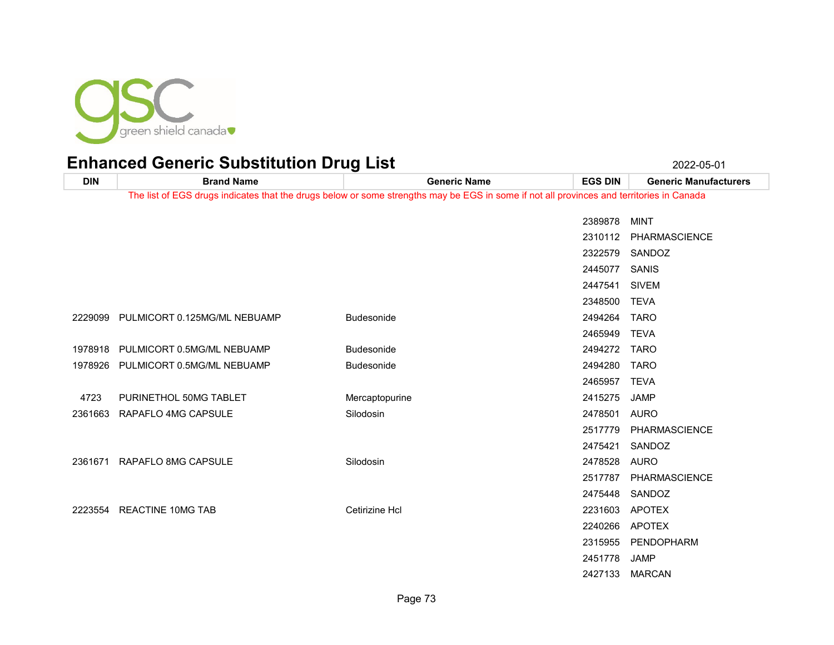

| <b>DIN</b> | <b>Brand Name</b>                    | <b>Generic Name</b>                                                                                                                      | <b>EGS DIN</b> | <b>Generic Manufacturers</b> |
|------------|--------------------------------------|------------------------------------------------------------------------------------------------------------------------------------------|----------------|------------------------------|
|            |                                      | The list of EGS drugs indicates that the drugs below or some strengths may be EGS in some if not all provinces and territories in Canada |                |                              |
|            |                                      |                                                                                                                                          | 2389878        | <b>MINT</b>                  |
|            |                                      |                                                                                                                                          | 2310112        | PHARMASCIENCE                |
|            |                                      |                                                                                                                                          |                |                              |
|            |                                      |                                                                                                                                          | 2322579        | SANDOZ                       |
|            |                                      |                                                                                                                                          | 2445077        | SANIS                        |
|            |                                      |                                                                                                                                          | 2447541        | <b>SIVEM</b>                 |
|            |                                      |                                                                                                                                          | 2348500        | <b>TEVA</b>                  |
|            | 2229099 PULMICORT 0.125MG/ML NEBUAMP | <b>Budesonide</b>                                                                                                                        | 2494264        | <b>TARO</b>                  |
|            |                                      |                                                                                                                                          | 2465949        | <b>TEVA</b>                  |
| 1978918    | PULMICORT 0.5MG/ML NEBUAMP           | Budesonide                                                                                                                               | 2494272        | <b>TARO</b>                  |
| 1978926    | PULMICORT 0.5MG/ML NEBUAMP           | <b>Budesonide</b>                                                                                                                        | 2494280        | <b>TARO</b>                  |
|            |                                      |                                                                                                                                          | 2465957        | <b>TEVA</b>                  |
| 4723       | PURINETHOL 50MG TABLET               | Mercaptopurine                                                                                                                           | 2415275        | <b>JAMP</b>                  |
| 2361663    | RAPAFLO 4MG CAPSULE                  | Silodosin                                                                                                                                | 2478501        | <b>AURO</b>                  |
|            |                                      |                                                                                                                                          | 2517779        | PHARMASCIENCE                |
|            |                                      |                                                                                                                                          | 2475421        | SANDOZ                       |
|            | 2361671 RAPAFLO 8MG CAPSULE          | Silodosin                                                                                                                                | 2478528 AURO   |                              |
|            |                                      |                                                                                                                                          | 2517787        | <b>PHARMASCIENCE</b>         |
|            |                                      |                                                                                                                                          |                | 2475448 SANDOZ               |
| 2223554    | REACTINE 10MG TAB                    | Cetirizine Hcl                                                                                                                           | 2231603        | <b>APOTEX</b>                |
|            |                                      |                                                                                                                                          | 2240266        | APOTEX                       |
|            |                                      |                                                                                                                                          | 2315955        | PENDOPHARM                   |
|            |                                      |                                                                                                                                          | 2451778        | JAMP                         |
|            |                                      |                                                                                                                                          | 2427133        | <b>MARCAN</b>                |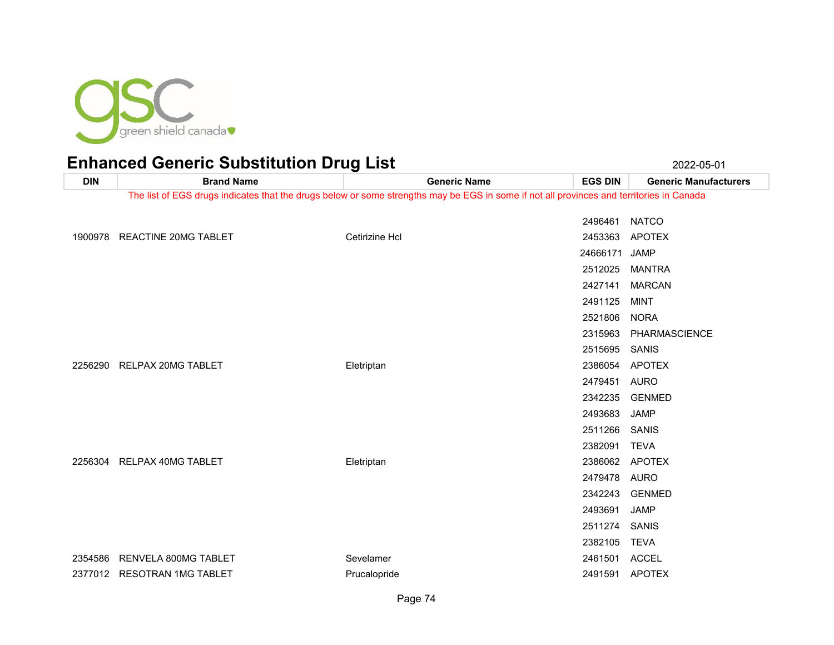

### Enhanced Generic Substitution Drug List 2022-05-01 2022-05-01

**DIN Brand Name Generic Name EGS DIN Generic Manufacturers** The list of EGS drugs indicates that the drugs below or some strengths may be EGS in some if not all provinces and territories in Canada NATCO REACTINE 20MG TABLET Cetirizine Hcl 2453363 APOTEX JAMP MANTRA MARCAN MINT NORA PHARMASCIENCE SANIS 2256290 RELPAX 20MG TABLET **Eletriptan** Eletriptan 2356054 APOTEX AURO GENMED JAMP SANIS TEVA 2256304 RELPAX 40MG TABLET CHARGE Eletriptan CHERGE Eletriptan CHERGE 2386062 APOTEX AURO GENMED JAMP SANIS TEVA 2354586 RENVELA 800MG TABLET Sevelamer Sevelamer Sevelamer 2461501 ACCEL 2377012 RESOTRAN 1MG TABLET **Prucalopride 2491591 APOTEX** Prucalopride 2491591 APOTEX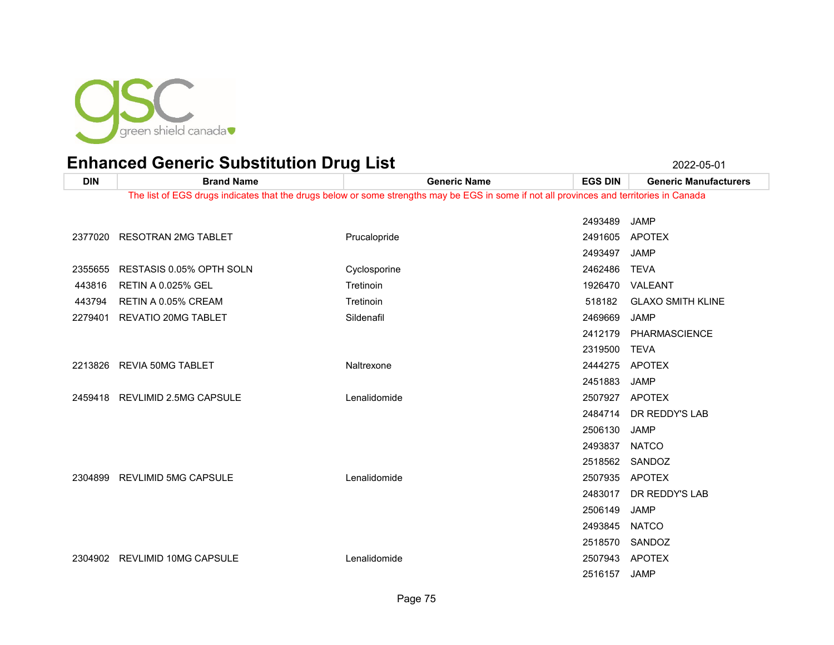

| <b>DIN</b> | <b>Brand Name</b>               | <b>Generic Name</b>                                                                                                                      | <b>EGS DIN</b> | <b>Generic Manufacturers</b> |
|------------|---------------------------------|------------------------------------------------------------------------------------------------------------------------------------------|----------------|------------------------------|
|            |                                 | The list of EGS drugs indicates that the drugs below or some strengths may be EGS in some if not all provinces and territories in Canada |                |                              |
|            |                                 |                                                                                                                                          |                |                              |
|            |                                 |                                                                                                                                          | 2493489        | <b>JAMP</b>                  |
|            | 2377020 RESOTRAN 2MG TABLET     | Prucalopride                                                                                                                             | 2491605        | <b>APOTEX</b>                |
|            |                                 |                                                                                                                                          | 2493497        | <b>JAMP</b>                  |
| 2355655    | <b>RESTASIS 0.05% OPTH SOLN</b> | Cyclosporine                                                                                                                             | 2462486        | <b>TEVA</b>                  |
| 443816     | <b>RETIN A 0.025% GEL</b>       | Tretinoin                                                                                                                                | 1926470        | VALEANT                      |
| 443794     | RETIN A 0.05% CREAM             | Tretinoin                                                                                                                                | 518182         | <b>GLAXO SMITH KLINE</b>     |
| 2279401    | <b>REVATIO 20MG TABLET</b>      | Sildenafil                                                                                                                               | 2469669        | <b>JAMP</b>                  |
|            |                                 |                                                                                                                                          | 2412179        | <b>PHARMASCIENCE</b>         |
|            |                                 |                                                                                                                                          | 2319500        | <b>TEVA</b>                  |
| 2213826    | REVIA 50MG TABLET               | Naltrexone                                                                                                                               | 2444275        | <b>APOTEX</b>                |
|            |                                 |                                                                                                                                          | 2451883        | <b>JAMP</b>                  |
|            | 2459418 REVLIMID 2.5MG CAPSULE  | Lenalidomide                                                                                                                             | 2507927        | APOTEX                       |
|            |                                 |                                                                                                                                          | 2484714        | DR REDDY'S LAB               |
|            |                                 |                                                                                                                                          | 2506130        | <b>JAMP</b>                  |
|            |                                 |                                                                                                                                          | 2493837        | <b>NATCO</b>                 |
|            |                                 |                                                                                                                                          | 2518562        | SANDOZ                       |
| 2304899    | <b>REVLIMID 5MG CAPSULE</b>     | Lenalidomide                                                                                                                             | 2507935        | <b>APOTEX</b>                |
|            |                                 |                                                                                                                                          | 2483017        | DR REDDY'S LAB               |
|            |                                 |                                                                                                                                          | 2506149        | <b>JAMP</b>                  |
|            |                                 |                                                                                                                                          | 2493845        | <b>NATCO</b>                 |
|            |                                 |                                                                                                                                          | 2518570        | SANDOZ                       |
| 2304902    | REVLIMID 10MG CAPSULE           | Lenalidomide                                                                                                                             | 2507943        | APOTEX                       |
|            |                                 |                                                                                                                                          | 2516157        | <b>JAMP</b>                  |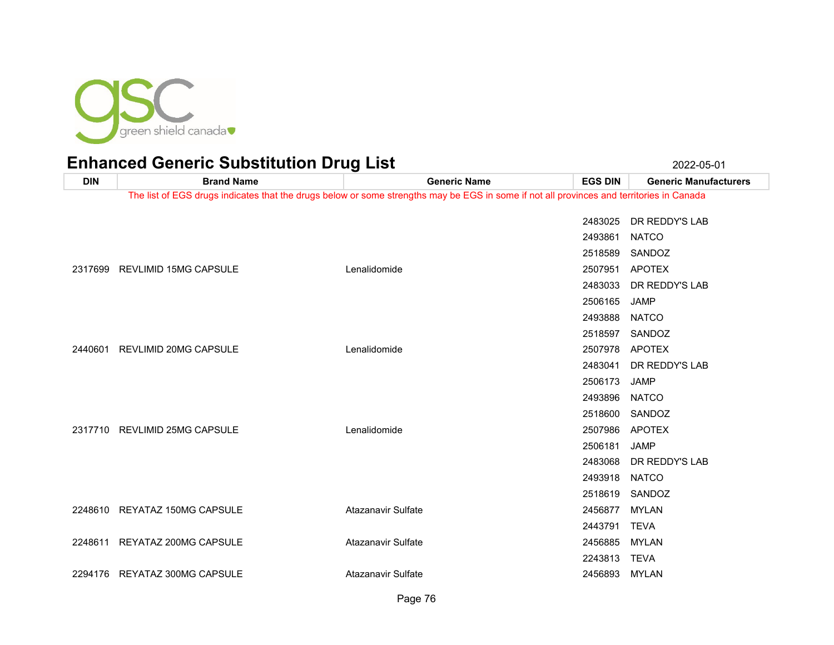

| <b>DIN</b> | <b>Brand Name</b>             | <b>Generic Name</b>                                                                                                                      | <b>EGS DIN</b> | <b>Generic Manufacturers</b> |
|------------|-------------------------------|------------------------------------------------------------------------------------------------------------------------------------------|----------------|------------------------------|
|            |                               | The list of EGS drugs indicates that the drugs below or some strengths may be EGS in some if not all provinces and territories in Canada |                |                              |
|            |                               |                                                                                                                                          |                |                              |
|            |                               |                                                                                                                                          |                | 2483025 DR REDDY'S LAB       |
|            |                               |                                                                                                                                          | 2493861        | <b>NATCO</b>                 |
|            |                               |                                                                                                                                          |                | 2518589 SANDOZ               |
|            | 2317699 REVLIMID 15MG CAPSULE | Lenalidomide                                                                                                                             |                | 2507951 APOTEX               |
|            |                               |                                                                                                                                          |                | 2483033 DR REDDY'S LAB       |
|            |                               |                                                                                                                                          | 2506165        | JAMP                         |
|            |                               |                                                                                                                                          | 2493888 NATCO  |                              |
|            |                               |                                                                                                                                          |                | 2518597 SANDOZ               |
| 2440601    | REVLIMID 20MG CAPSULE         | Lenalidomide                                                                                                                             |                | 2507978 APOTEX               |
|            |                               |                                                                                                                                          |                | 2483041 DR REDDY'S LAB       |
|            |                               |                                                                                                                                          | 2506173        | <b>JAMP</b>                  |
|            |                               |                                                                                                                                          | 2493896 NATCO  |                              |
|            |                               |                                                                                                                                          |                | 2518600 SANDOZ               |
|            | 2317710 REVLIMID 25MG CAPSULE | Lenalidomide                                                                                                                             |                | 2507986 APOTEX               |
|            |                               |                                                                                                                                          | 2506181        | <b>JAMP</b>                  |
|            |                               |                                                                                                                                          | 2483068        | DR REDDY'S LAB               |
|            |                               |                                                                                                                                          | 2493918        | <b>NATCO</b>                 |
|            |                               |                                                                                                                                          |                | 2518619 SANDOZ               |
|            | 2248610 REYATAZ 150MG CAPSULE | Atazanavir Sulfate                                                                                                                       | 2456877 MYLAN  |                              |
|            |                               |                                                                                                                                          | 2443791 TEVA   |                              |
|            | 2248611 REYATAZ 200MG CAPSULE | Atazanavir Sulfate                                                                                                                       | 2456885 MYLAN  |                              |
|            |                               |                                                                                                                                          | 2243813        | <b>TEVA</b>                  |
|            | 2294176 REYATAZ 300MG CAPSULE | Atazanavir Sulfate                                                                                                                       | 2456893 MYLAN  |                              |
|            |                               |                                                                                                                                          |                |                              |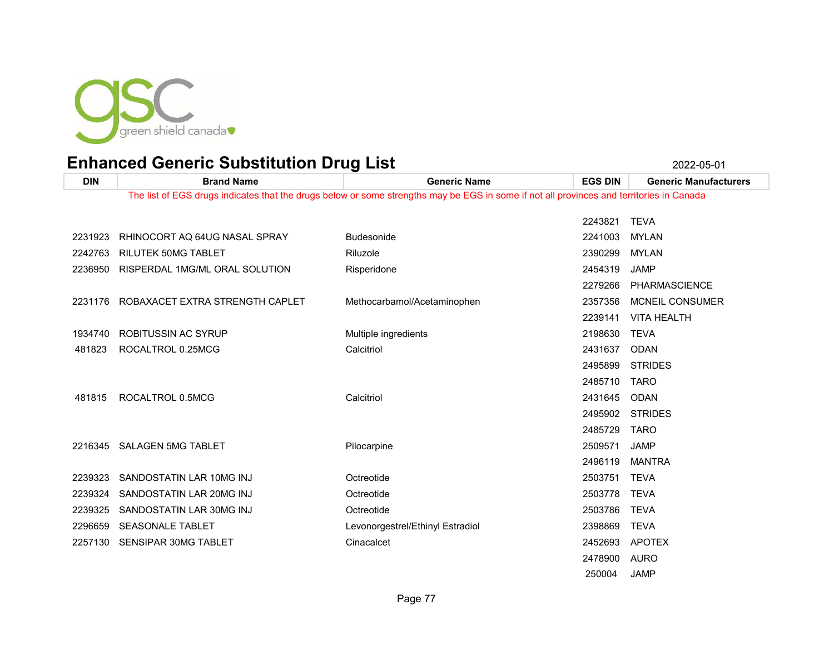

JAMP

| <b>DIN</b> | <b>Brand Name</b>                       | <b>Generic Name</b>                                                                                                                      | <b>EGS DIN</b> | <b>Generic Manufacturers</b> |
|------------|-----------------------------------------|------------------------------------------------------------------------------------------------------------------------------------------|----------------|------------------------------|
|            |                                         | The list of EGS drugs indicates that the drugs below or some strengths may be EGS in some if not all provinces and territories in Canada |                |                              |
|            |                                         |                                                                                                                                          |                |                              |
|            |                                         |                                                                                                                                          | 2243821        | <b>TEVA</b>                  |
| 2231923    | RHINOCORT AQ 64UG NASAL SPRAY           | <b>Budesonide</b>                                                                                                                        | 2241003        | <b>MYLAN</b>                 |
| 2242763    | <b>RILUTEK 50MG TABLET</b>              | Riluzole                                                                                                                                 | 2390299        | <b>MYLAN</b>                 |
|            | 2236950 RISPERDAL 1MG/ML ORAL SOLUTION  | Risperidone                                                                                                                              | 2454319        | <b>JAMP</b>                  |
|            |                                         |                                                                                                                                          | 2279266        | PHARMASCIENCE                |
|            | 2231176 ROBAXACET EXTRA STRENGTH CAPLET | Methocarbamol/Acetaminophen                                                                                                              | 2357356        | <b>MCNEIL CONSUMER</b>       |
|            |                                         |                                                                                                                                          | 2239141        | <b>VITA HEALTH</b>           |
| 1934740    | ROBITUSSIN AC SYRUP                     | Multiple ingredients                                                                                                                     | 2198630 TEVA   |                              |
| 481823     | ROCALTROL 0.25MCG                       | Calcitriol                                                                                                                               | 2431637        | <b>ODAN</b>                  |
|            |                                         |                                                                                                                                          | 2495899        | <b>STRIDES</b>               |
|            |                                         |                                                                                                                                          | 2485710        | <b>TARO</b>                  |
| 481815     | ROCALTROL 0.5MCG                        | Calcitriol                                                                                                                               | 2431645        | <b>ODAN</b>                  |
|            |                                         |                                                                                                                                          | 2495902        | <b>STRIDES</b>               |
|            |                                         |                                                                                                                                          | 2485729        | TARO                         |
|            | 2216345 SALAGEN 5MG TABLET              | Pilocarpine                                                                                                                              | 2509571        | <b>JAMP</b>                  |
|            |                                         |                                                                                                                                          | 2496119        | <b>MANTRA</b>                |
| 2239323    | SANDOSTATIN LAR 10MG INJ                | Octreotide                                                                                                                               | 2503751        | <b>TEVA</b>                  |
| 2239324    | SANDOSTATIN LAR 20MG INJ                | Octreotide                                                                                                                               | 2503778        | <b>TEVA</b>                  |
| 2239325    | SANDOSTATIN LAR 30MG INJ                | Octreotide                                                                                                                               | 2503786        | <b>TEVA</b>                  |
| 2296659    | <b>SEASONALE TABLET</b>                 | Levonorgestrel/Ethinyl Estradiol                                                                                                         | 2398869        | <b>TEVA</b>                  |
| 2257130    | SENSIPAR 30MG TABLET                    | Cinacalcet                                                                                                                               | 2452693        | APOTEX                       |
|            |                                         |                                                                                                                                          | 2478900        | <b>AURO</b>                  |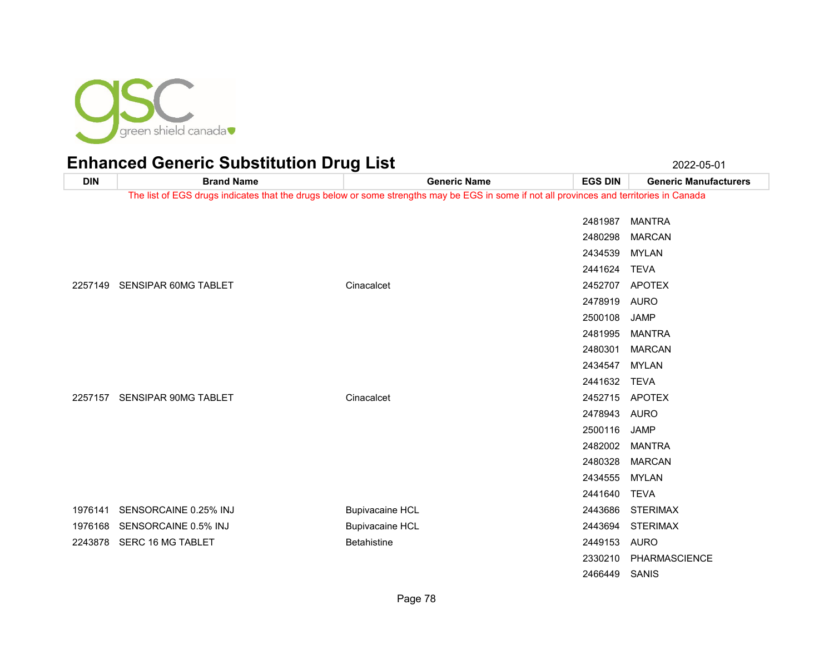

| <b>DIN</b> | <b>Brand Name</b>            | <b>Generic Name</b>                                                                                                                      | <b>EGS DIN</b> | <b>Generic Manufacturers</b> |
|------------|------------------------------|------------------------------------------------------------------------------------------------------------------------------------------|----------------|------------------------------|
|            |                              | The list of EGS drugs indicates that the drugs below or some strengths may be EGS in some if not all provinces and territories in Canada |                |                              |
|            |                              |                                                                                                                                          | 2481987        | <b>MANTRA</b>                |
|            |                              |                                                                                                                                          | 2480298        | <b>MARCAN</b>                |
|            |                              |                                                                                                                                          | 2434539        | <b>MYLAN</b>                 |
|            |                              |                                                                                                                                          | 2441624        | <b>TEVA</b>                  |
|            | 2257149 SENSIPAR 60MG TABLET | Cinacalcet                                                                                                                               | 2452707        | <b>APOTEX</b>                |
|            |                              |                                                                                                                                          | 2478919        | <b>AURO</b>                  |
|            |                              |                                                                                                                                          | 2500108        | <b>JAMP</b>                  |
|            |                              |                                                                                                                                          | 2481995        | <b>MANTRA</b>                |
|            |                              |                                                                                                                                          | 2480301        | <b>MARCAN</b>                |
|            |                              |                                                                                                                                          | 2434547        | MYLAN                        |
|            |                              |                                                                                                                                          | 2441632        | TEVA                         |
|            | 2257157 SENSIPAR 90MG TABLET | Cinacalcet                                                                                                                               | 2452715 APOTEX |                              |
|            |                              |                                                                                                                                          | 2478943        | AURO                         |
|            |                              |                                                                                                                                          | 2500116        | <b>JAMP</b>                  |
|            |                              |                                                                                                                                          | 2482002        | <b>MANTRA</b>                |
|            |                              |                                                                                                                                          | 2480328        | <b>MARCAN</b>                |
|            |                              |                                                                                                                                          | 2434555        | <b>MYLAN</b>                 |
|            |                              |                                                                                                                                          | 2441640        | <b>TEVA</b>                  |
| 1976141    | SENSORCAINE 0.25% INJ        | <b>Bupivacaine HCL</b>                                                                                                                   | 2443686        | <b>STERIMAX</b>              |
| 1976168    | SENSORCAINE 0.5% INJ         | <b>Bupivacaine HCL</b>                                                                                                                   | 2443694        | <b>STERIMAX</b>              |
| 2243878    | SERC 16 MG TABLET            | <b>Betahistine</b>                                                                                                                       | 2449153        | AURO                         |
|            |                              |                                                                                                                                          | 2330210        | PHARMASCIENCE                |
|            |                              |                                                                                                                                          | 2466449        | SANIS                        |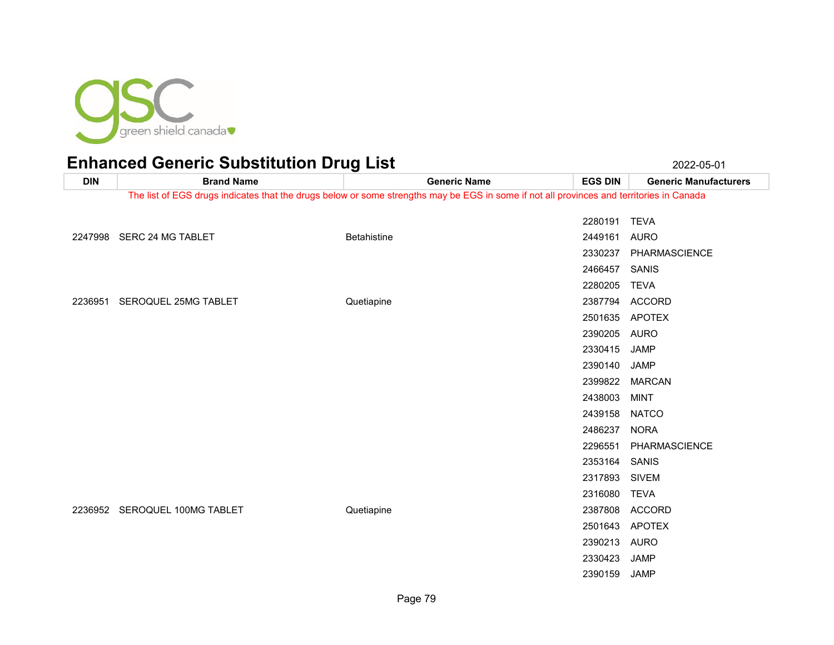

#### Enhanced Generic Substitution Drug List 2022-05-01 2022-05-01

**DIN Brand Name Generic Name EGS DIN Generic Manufacturers** The list of EGS drugs indicates that the drugs below or some strengths may be EGS in some if not all provinces and territories in Canada TEVA SERC 24 MG TABLET Betahistine 2449161 AURO PHARMASCIENCE SANIS TEVA SEROQUEL 25MG TABLET Quetiapine 2387794 ACCORD APOTEX AURO JAMP JAMP MARCAN MINT NATCO NORA PHARMASCIENCE SANIS SIVEM TEVA SEROQUEL 100MG TABLET Quetiapine 2387808 ACCORD APOTEX AURO

 JAMP JAMP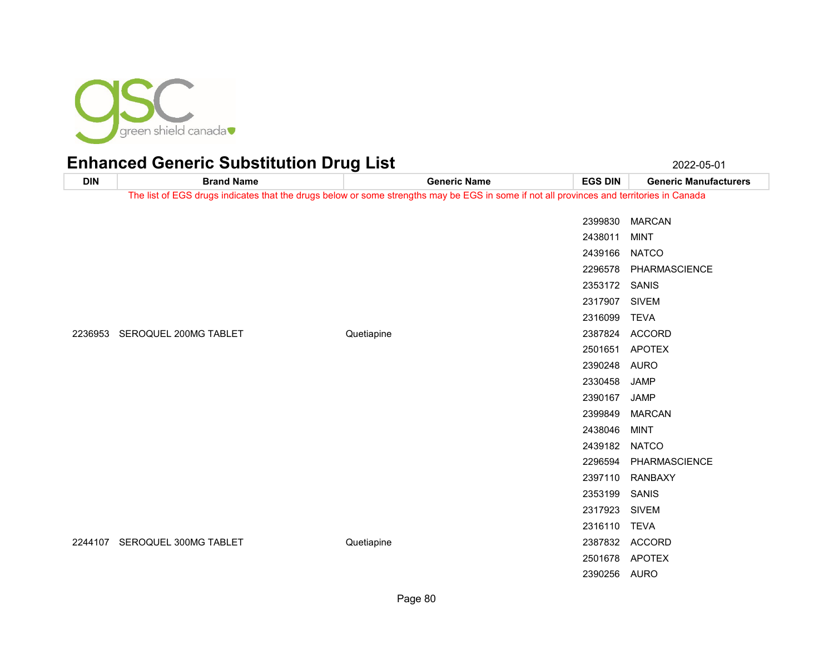

|            |                                                                                                                                          | $- - -$    |                     |                |                              |
|------------|------------------------------------------------------------------------------------------------------------------------------------------|------------|---------------------|----------------|------------------------------|
| <b>DIN</b> | <b>Brand Name</b>                                                                                                                        |            | <b>Generic Name</b> | <b>EGS DIN</b> | <b>Generic Manufacturers</b> |
|            | The list of EGS drugs indicates that the drugs below or some strengths may be EGS in some if not all provinces and territories in Canada |            |                     |                |                              |
|            |                                                                                                                                          |            |                     |                | 2399830 MARCAN               |
|            |                                                                                                                                          |            |                     | 2438011        | <b>MINT</b>                  |
|            |                                                                                                                                          |            |                     | 2439166 NATCO  |                              |
|            |                                                                                                                                          |            |                     |                | 2296578 PHARMASCIENCE        |
|            |                                                                                                                                          |            |                     |                |                              |
|            |                                                                                                                                          |            |                     | 2353172 SANIS  |                              |
|            |                                                                                                                                          |            |                     | 2317907 SIVEM  |                              |
|            |                                                                                                                                          |            |                     | 2316099 TEVA   |                              |
|            | 2236953 SEROQUEL 200MG TABLET                                                                                                            | Quetiapine |                     |                | 2387824 ACCORD               |
|            |                                                                                                                                          |            |                     |                | 2501651 APOTEX               |
|            |                                                                                                                                          |            |                     | 2390248 AURO   |                              |
|            |                                                                                                                                          |            |                     | 2330458        | JAMP                         |
|            |                                                                                                                                          |            |                     | 2390167        | JAMP                         |
|            |                                                                                                                                          |            |                     | 2399849        | <b>MARCAN</b>                |
|            |                                                                                                                                          |            |                     | 2438046        | MINT                         |
|            |                                                                                                                                          |            |                     | 2439182 NATCO  |                              |
|            |                                                                                                                                          |            |                     |                | 2296594 PHARMASCIENCE        |
|            |                                                                                                                                          |            |                     |                | 2397110 RANBAXY              |
|            |                                                                                                                                          |            |                     | 2353199 SANIS  |                              |
|            |                                                                                                                                          |            |                     | 2317923 SIVEM  |                              |
|            |                                                                                                                                          |            |                     | 2316110 TEVA   |                              |
|            | 2244107 SEROQUEL 300MG TABLET                                                                                                            | Quetiapine |                     |                | 2387832 ACCORD               |
|            |                                                                                                                                          |            |                     |                | 2501678 APOTEX               |
|            |                                                                                                                                          |            |                     | 2390256 AURO   |                              |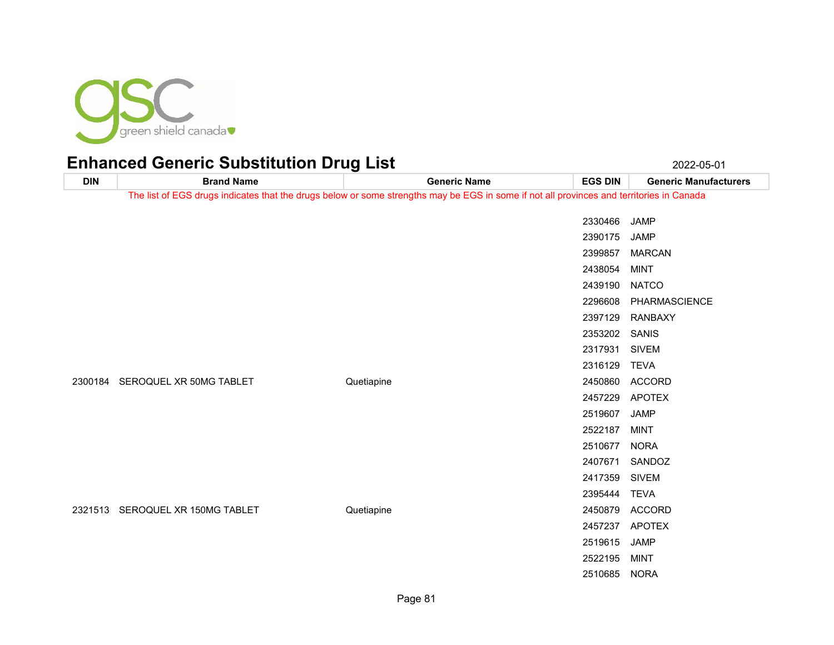

### Enhanced Generic Substitution Drug List 2022-05-01 2022-05-01

**DIN Brand Name Generic Name EGS DIN Generic Manufacturers** The list of EGS drugs indicates that the drugs below or some strengths may be EGS in some if not all provinces and territories in Canada JAMP JAMP MARCAN MINT NATCO PHARMASCIENCE RANBAXY SANIS SIVEM TEVA SEROQUEL XR 50MG TABLET Quetiapine 2450860 ACCORD APOTEX JAMP MINT NORA SANDOZ SIVEM TEVA SEROQUEL XR 150MG TABLET Quetiapine 2450879 ACCORD APOTEX JAMP MINT NORA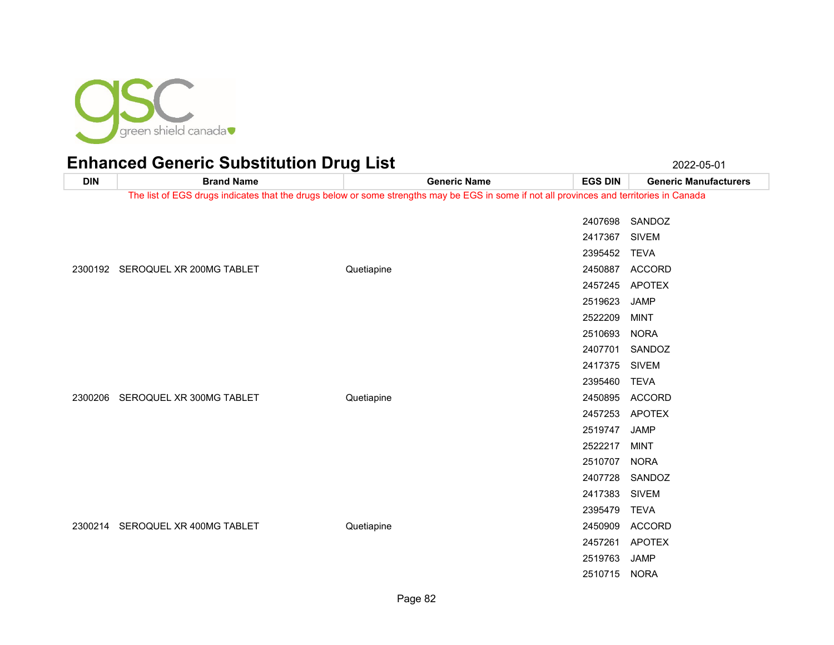

| <b>DIN</b> | <b>Brand Name</b>                | <b>Generic Name</b>                                                                                                                      | <b>EGS DIN</b> | <b>Generic Manufacturers</b> |
|------------|----------------------------------|------------------------------------------------------------------------------------------------------------------------------------------|----------------|------------------------------|
|            |                                  | The list of EGS drugs indicates that the drugs below or some strengths may be EGS in some if not all provinces and territories in Canada |                |                              |
|            |                                  |                                                                                                                                          | 2407698        | SANDOZ                       |
|            |                                  |                                                                                                                                          | 2417367 SIVEM  |                              |
|            |                                  |                                                                                                                                          | 2395452        | <b>TEVA</b>                  |
|            | 2300192 SEROQUEL XR 200MG TABLET | Quetiapine                                                                                                                               |                | 2450887 ACCORD               |
|            |                                  |                                                                                                                                          | 2457245        | <b>APOTEX</b>                |
|            |                                  |                                                                                                                                          | 2519623        | <b>JAMP</b>                  |
|            |                                  |                                                                                                                                          | 2522209        | <b>MINT</b>                  |
|            |                                  |                                                                                                                                          | 2510693        | <b>NORA</b>                  |
|            | 2300206 SEROQUEL XR 300MG TABLET | Quetiapine                                                                                                                               | 2407701        | SANDOZ                       |
|            |                                  |                                                                                                                                          | 2417375        | SIVEM                        |
|            |                                  |                                                                                                                                          | 2395460        | <b>TEVA</b>                  |
|            |                                  |                                                                                                                                          | 2450895        | <b>ACCORD</b>                |
|            |                                  |                                                                                                                                          | 2457253        | <b>APOTEX</b>                |
|            |                                  |                                                                                                                                          | 2519747        | JAMP                         |
|            |                                  |                                                                                                                                          | 2522217        | <b>MINT</b>                  |
|            |                                  |                                                                                                                                          | 2510707        | <b>NORA</b>                  |
|            |                                  |                                                                                                                                          |                | 2407728 SANDOZ               |
|            |                                  |                                                                                                                                          | 2417383        | <b>SIVEM</b>                 |
|            |                                  |                                                                                                                                          | 2395479        | TEVA                         |
|            | 2300214 SEROQUEL XR 400MG TABLET | Quetiapine                                                                                                                               | 2450909        | <b>ACCORD</b>                |
|            |                                  |                                                                                                                                          |                | 2457261 APOTEX               |
|            |                                  |                                                                                                                                          | 2519763        | <b>JAMP</b>                  |
|            |                                  |                                                                                                                                          | 2510715 NORA   |                              |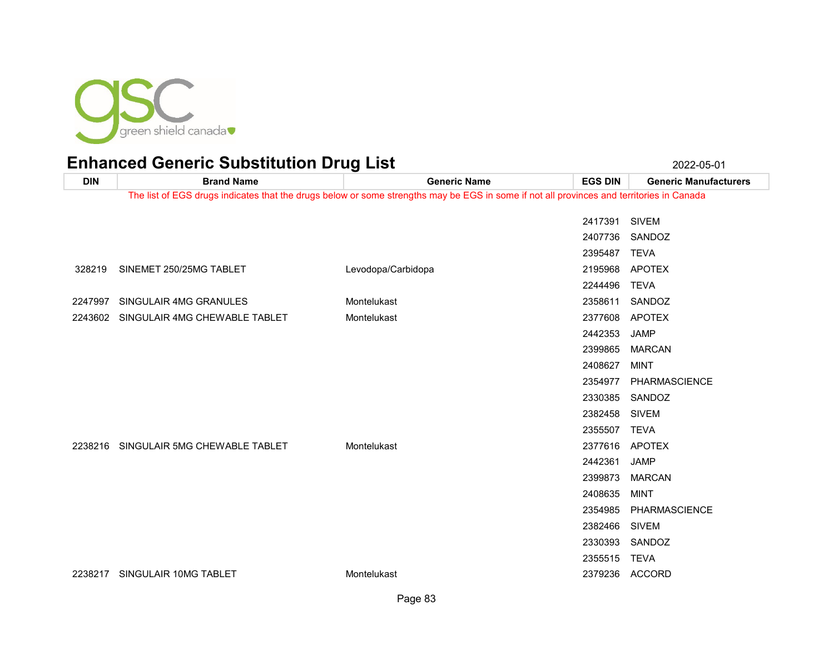

### Enhanced Generic Substitution Drug List 2022-05-01 2022-05-01

**DIN Brand Name Generic Name EGS DIN Generic Manufacturers** The list of EGS drugs indicates that the drugs below or some strengths may be EGS in some if not all provinces and territories in Canada SIVEM SANDOZ TEVA SINEMET 250/25MG TABLET Levodopa/Carbidopa 2195968 APOTEX TEVA SINGULAIR 4MG GRANULES Montelukast 2358611 SANDOZ SINGULAIR 4MG CHEWABLE TABLET Montelukast 2377608 APOTEX JAMP MARCAN MINT PHARMASCIENCE SANDOZ SIVEM TEVA SINGULAIR 5MG CHEWABLE TABLET Montelukast 2377616 APOTEX JAMP MARCAN MINT PHARMASCIENCE SIVEM SANDOZ TEVA SINGULAIR 10MG TABLET Montelukast 2379236 ACCORD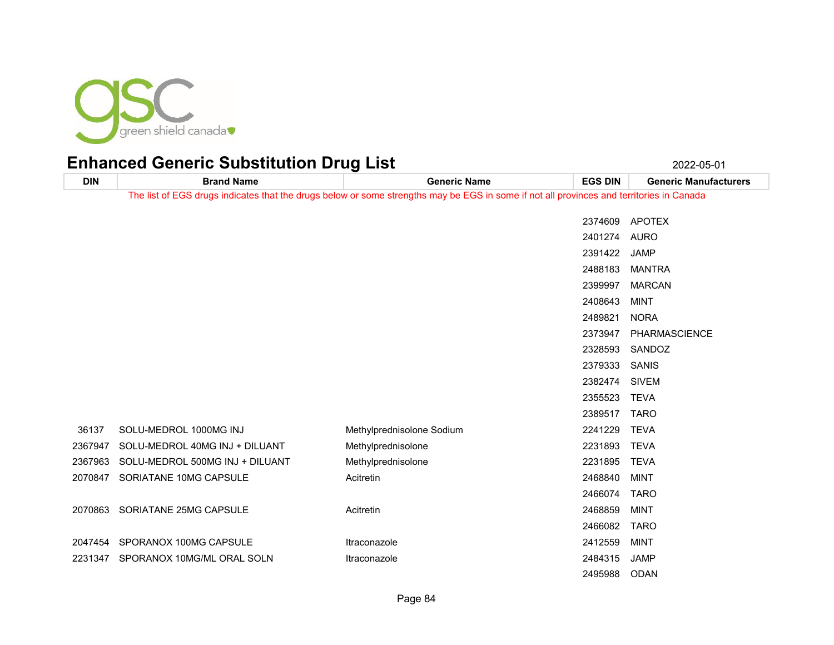

**DIN Brand Name Generic Name EGS DIN Generic Manufacturers** The list of EGS drugs indicates that the drugs below or some strengths may be EGS in some if not all provinces and territories in Canada APOTEX AURO JAMP MANTRA MARCAN MINT NORA PHARMASCIENCE SANDOZ SANIS SIVEM TEVA TARO SOLU-MEDROL 1000MG INJ Methylprednisolone Sodium 2241229 TEVA 2367947 SOLU-MEDROL 40MG INJ + DILUANT Methylprednisolone and the control of 2231893 TEVA 2367963 SOLU-MEDROL 500MG INJ + DILUANT Methylprednisolone 2231895 2231895 TEVA 2070847 SORIATANE 10MG CAPSULE Acitretin Acitretin 2468840 MINT TARO 2070863 SORIATANE 25MG CAPSULE Acitretin Acitretin 2468859 MINT TARO 2047454 SPORANOX 100MG CAPSULE Itraconazole by the control of the 2412559 MINT SPORANOX 10MG/ML ORAL SOLN Itraconazole 2484315 JAMP ODAN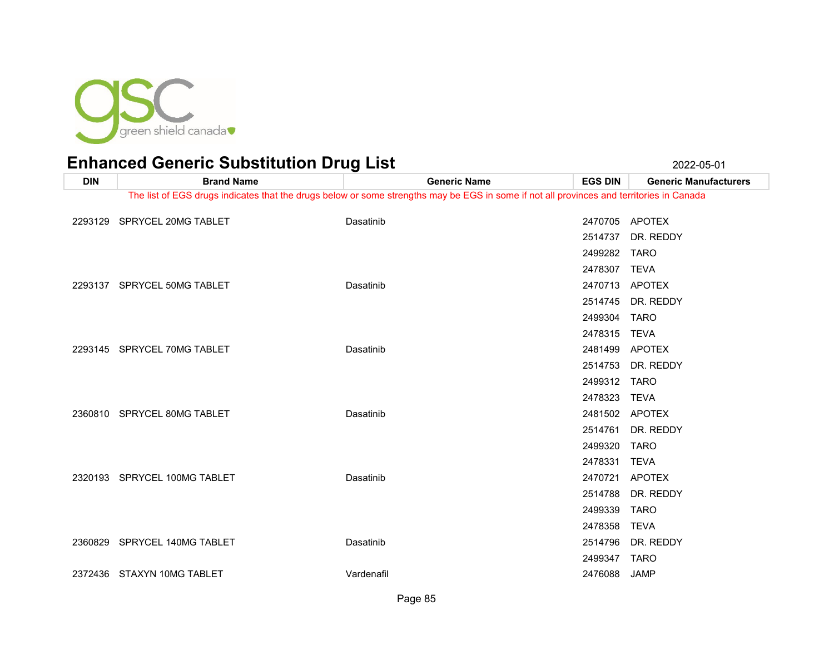

| <b>DIN</b> | <b>Brand Name</b>            | <b>Generic Name</b>                                                                                                                      | <b>EGS DIN</b> | <b>Generic Manufacturers</b> |
|------------|------------------------------|------------------------------------------------------------------------------------------------------------------------------------------|----------------|------------------------------|
|            |                              | The list of EGS drugs indicates that the drugs below or some strengths may be EGS in some if not all provinces and territories in Canada |                |                              |
| 2293129    | SPRYCEL 20MG TABLET          | Dasatinib                                                                                                                                | 2470705 APOTEX |                              |
|            |                              |                                                                                                                                          | 2514737        | DR. REDDY                    |
|            |                              |                                                                                                                                          | 2499282        | TARO                         |
|            |                              |                                                                                                                                          | 2478307        | TEVA                         |
|            | 2293137 SPRYCEL 50MG TABLET  | Dasatinib                                                                                                                                |                | 2470713 APOTEX               |
|            |                              |                                                                                                                                          | 2514745        | DR. REDDY                    |
|            |                              |                                                                                                                                          | 2499304        | <b>TARO</b>                  |
|            |                              |                                                                                                                                          | 2478315 TEVA   |                              |
|            | 2293145 SPRYCEL 70MG TABLET  | Dasatinib                                                                                                                                | 2481499        | APOTEX                       |
|            |                              |                                                                                                                                          | 2514753        | DR. REDDY                    |
|            |                              |                                                                                                                                          | 2499312        | <b>TARO</b>                  |
|            |                              |                                                                                                                                          | 2478323        | <b>TEVA</b>                  |
|            | 2360810 SPRYCEL 80MG TABLET  | Dasatinib                                                                                                                                |                | 2481502 APOTEX               |
|            |                              |                                                                                                                                          | 2514761        | DR. REDDY                    |
|            |                              |                                                                                                                                          | 2499320        | <b>TARO</b>                  |
|            |                              |                                                                                                                                          | 2478331        | <b>TEVA</b>                  |
|            | 2320193 SPRYCEL 100MG TABLET | Dasatinib                                                                                                                                | 2470721        | APOTEX                       |
|            |                              |                                                                                                                                          | 2514788        | DR. REDDY                    |
|            |                              |                                                                                                                                          | 2499339        | <b>TARO</b>                  |
|            |                              |                                                                                                                                          | 2478358        | <b>TEVA</b>                  |
|            | 2360829 SPRYCEL 140MG TABLET | Dasatinib                                                                                                                                | 2514796        | DR. REDDY                    |
|            |                              |                                                                                                                                          | 2499347        | <b>TARO</b>                  |
|            | 2372436 STAXYN 10MG TABLET   | Vardenafil                                                                                                                               | 2476088        | <b>JAMP</b>                  |
|            |                              |                                                                                                                                          |                |                              |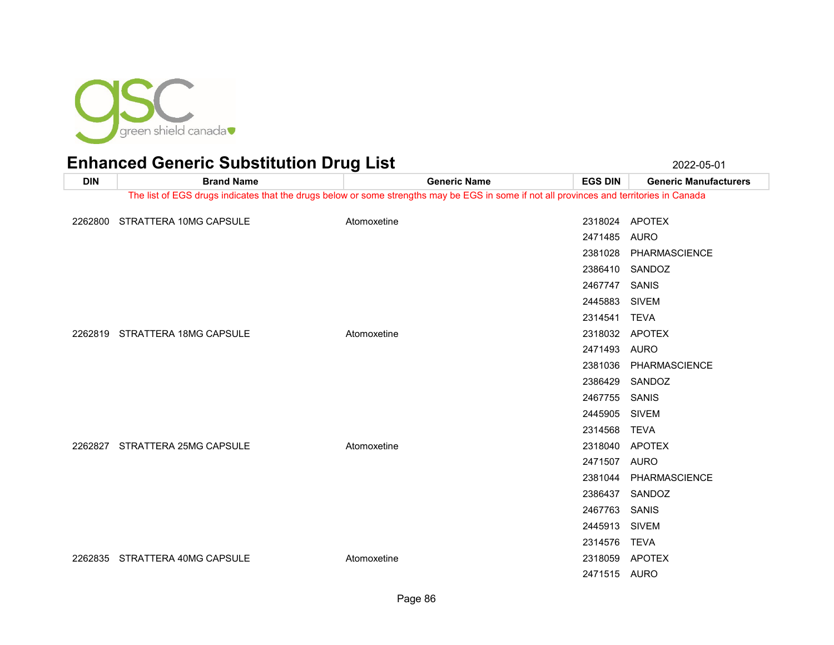

**DIN Brand Name Generic Name EGS DIN Generic Manufacturers** The list of EGS drugs indicates that the drugs below or some strengths may be EGS in some if not all provinces and territories in Canada 2262800 STRATTERA 10MG CAPSULE Atomoxetine Atomoxetine 2318024 APOTEX AURO PHARMASCIENCE SANDOZ SANIS SIVEM TEVA 2262819 STRATTERA 18MG CAPSULE Atomoxetine Atomoxetine 2318032 APOTEX AURO PHARMASCIENCE SANDOZ SANIS SIVEM TEVA STRATTERA 25MG CAPSULE Atomoxetine 2318040 APOTEX AURO PHARMASCIENCE SANDOZ SANIS SIVEM TEVA STRATTERA 40MG CAPSULE Atomoxetine 2318059 APOTEX

AURO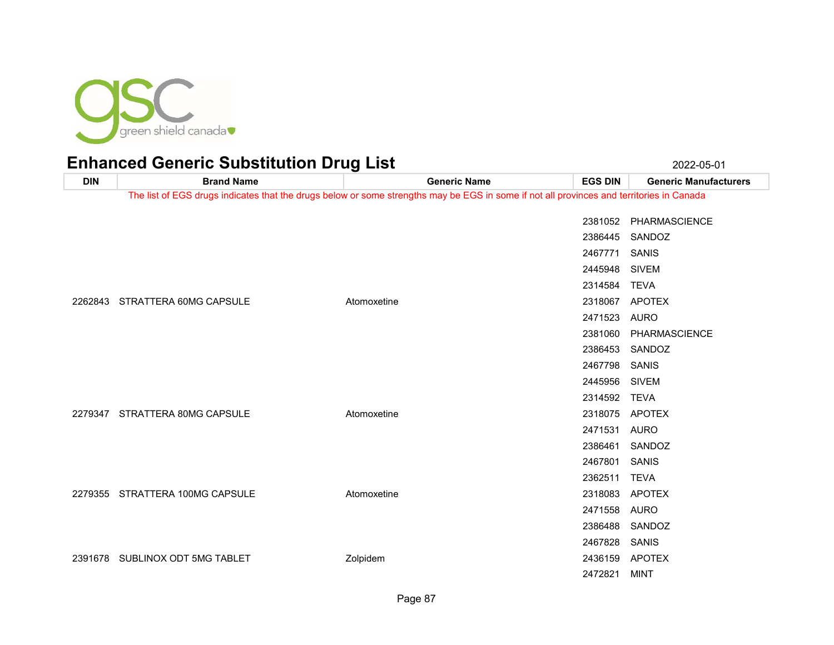

### Enhanced Generic Substitution Drug List 2022-05-01 2022-05-01

**DIN Brand Name Generic Name EGS DIN Generic Manufacturers** The list of EGS drugs indicates that the drugs below or some strengths may be EGS in some if not all provinces and territories in Canada PHARMASCIENCE SANDOZ SANIS SIVEM TEVA STRATTERA 60MG CAPSULE Atomoxetine 2318067 APOTEX AURO PHARMASCIENCE SANDOZ SANIS SIVEM TEVA 2279347 STRATTERA 80MG CAPSULE Atomoxetine Atomoxetine 2318075 APOTEX AURO SANDOZ SANIS TEVA STRATTERA 100MG CAPSULE Atomoxetine 2318083 APOTEX AURO SANDOZ SANIS SUBLINOX ODT 5MG TABLET Zolpidem 2436159 APOTEX MINT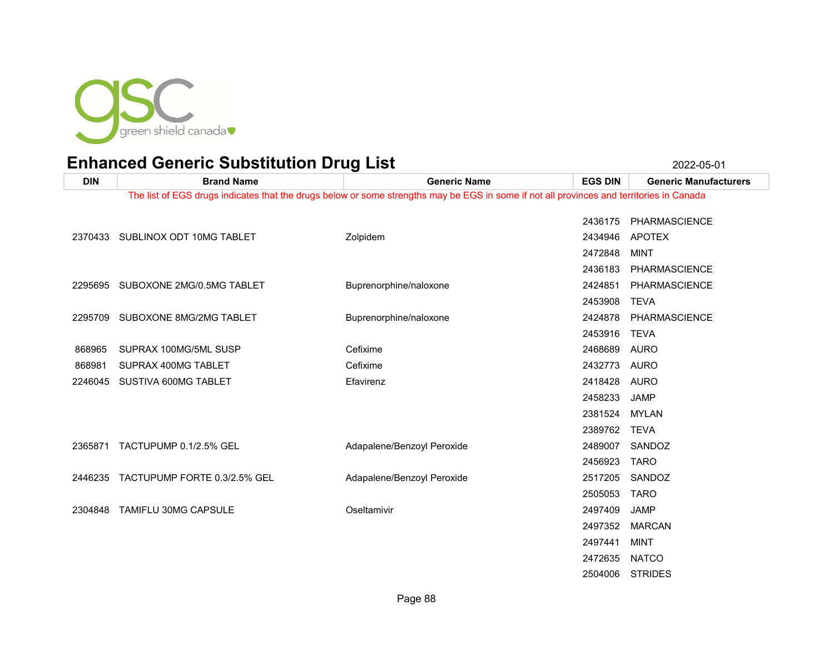

STRIDES

| <b>DIN</b> | <b>Brand Name</b>                 | <b>Generic Name</b>                                                                                                                      | <b>EGS DIN</b> | <b>Generic Manufacturers</b> |
|------------|-----------------------------------|------------------------------------------------------------------------------------------------------------------------------------------|----------------|------------------------------|
|            |                                   | The list of EGS drugs indicates that the drugs below or some strengths may be EGS in some if not all provinces and territories in Canada |                |                              |
|            |                                   |                                                                                                                                          |                |                              |
|            |                                   |                                                                                                                                          | 2436175        | PHARMASCIENCE                |
|            | 2370433 SUBLINOX ODT 10MG TABLET  | Zolpidem                                                                                                                                 | 2434946        | APOTEX                       |
|            |                                   |                                                                                                                                          | 2472848        | MINT                         |
|            |                                   |                                                                                                                                          | 2436183        | <b>PHARMASCIENCE</b>         |
|            | 2295695 SUBOXONE 2MG/0.5MG TABLET | Buprenorphine/naloxone                                                                                                                   | 2424851        | <b>PHARMASCIENCE</b>         |
|            |                                   |                                                                                                                                          | 2453908        | <b>TEVA</b>                  |
| 2295709    | SUBOXONE 8MG/2MG TABLET           | Buprenorphine/naloxone                                                                                                                   | 2424878        | PHARMASCIENCE                |
|            |                                   |                                                                                                                                          | 2453916        | <b>TEVA</b>                  |
| 868965     | SUPRAX 100MG/5ML SUSP             | Cefixime                                                                                                                                 | 2468689        | <b>AURO</b>                  |
| 868981     | SUPRAX 400MG TABLET               | Cefixime                                                                                                                                 | 2432773        | AURO                         |
| 2246045    | SUSTIVA 600MG TABLET              | Efavirenz                                                                                                                                | 2418428        | <b>AURO</b>                  |
|            |                                   |                                                                                                                                          | 2458233        | <b>JAMP</b>                  |
|            |                                   |                                                                                                                                          | 2381524        | MYLAN                        |
|            |                                   |                                                                                                                                          | 2389762        | <b>TEVA</b>                  |
| 2365871    | TACTUPUMP 0.1/2.5% GEL            | Adapalene/Benzoyl Peroxide                                                                                                               | 2489007        | SANDOZ                       |
|            |                                   |                                                                                                                                          | 2456923        | <b>TARO</b>                  |
| 2446235    | TACTUPUMP FORTE 0.3/2.5% GEL      | Adapalene/Benzoyl Peroxide                                                                                                               | 2517205        | SANDOZ                       |
|            |                                   |                                                                                                                                          | 2505053        | <b>TARO</b>                  |
| 2304848    | TAMIFLU 30MG CAPSULE              | Oseltamivir                                                                                                                              | 2497409        | <b>JAMP</b>                  |
|            |                                   |                                                                                                                                          | 2497352        | <b>MARCAN</b>                |
|            |                                   |                                                                                                                                          | 2497441        | MINT                         |
|            |                                   |                                                                                                                                          | 2472635        | <b>NATCO</b>                 |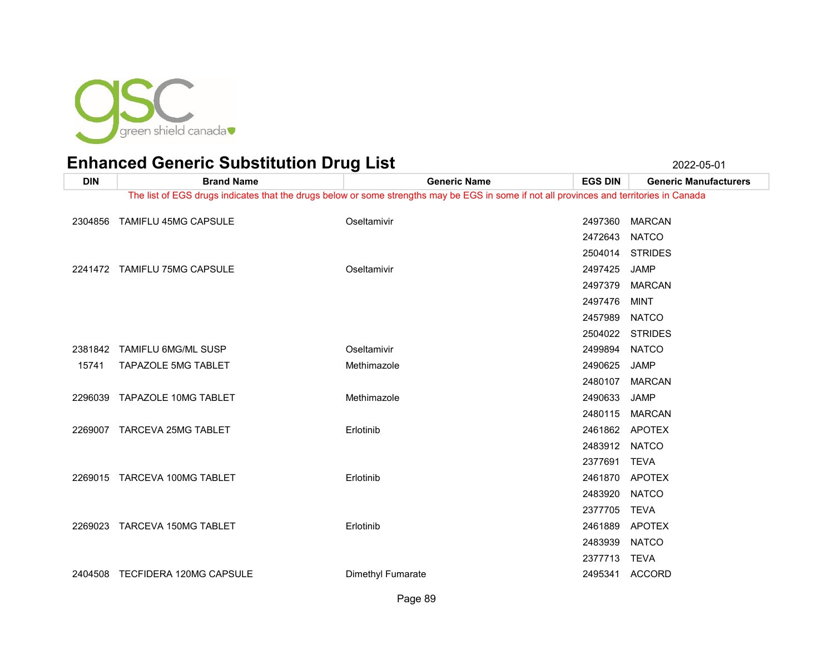

| <b>DIN</b> | <b>Brand Name</b>               | <b>Generic Name</b>                                                                                                                      | <b>EGS DIN</b> | <b>Generic Manufacturers</b> |
|------------|---------------------------------|------------------------------------------------------------------------------------------------------------------------------------------|----------------|------------------------------|
|            |                                 | The list of EGS drugs indicates that the drugs below or some strengths may be EGS in some if not all provinces and territories in Canada |                |                              |
| 2304856    | <b>TAMIFLU 45MG CAPSULE</b>     | Oseltamivir                                                                                                                              | 2497360        | <b>MARCAN</b>                |
|            |                                 |                                                                                                                                          | 2472643        | <b>NATCO</b>                 |
|            |                                 |                                                                                                                                          | 2504014        | <b>STRIDES</b>               |
|            | 2241472 TAMIFLU 75MG CAPSULE    | Oseltamivir                                                                                                                              | 2497425        | <b>JAMP</b>                  |
|            |                                 |                                                                                                                                          | 2497379        | <b>MARCAN</b>                |
|            |                                 |                                                                                                                                          | 2497476        | <b>MINT</b>                  |
|            |                                 |                                                                                                                                          | 2457989        | <b>NATCO</b>                 |
|            |                                 |                                                                                                                                          |                | 2504022 STRIDES              |
| 2381842    | <b>TAMIFLU 6MG/ML SUSP</b>      | Oseltamivir                                                                                                                              | 2499894        | <b>NATCO</b>                 |
| 15741      | TAPAZOLE 5MG TABLET             | Methimazole                                                                                                                              | 2490625        | JAMP                         |
|            |                                 |                                                                                                                                          | 2480107        | <b>MARCAN</b>                |
|            | 2296039 TAPAZOLE 10MG TABLET    | Methimazole                                                                                                                              | 2490633        | <b>JAMP</b>                  |
|            |                                 |                                                                                                                                          | 2480115        | <b>MARCAN</b>                |
|            | 2269007 TARCEVA 25MG TABLET     | Erlotinib                                                                                                                                | 2461862        | APOTEX                       |
|            |                                 |                                                                                                                                          | 2483912        | <b>NATCO</b>                 |
|            |                                 |                                                                                                                                          | 2377691        | <b>TEVA</b>                  |
|            | 2269015 TARCEVA 100MG TABLET    | Erlotinib                                                                                                                                | 2461870 APOTEX |                              |
|            |                                 |                                                                                                                                          | 2483920        | <b>NATCO</b>                 |
|            |                                 |                                                                                                                                          | 2377705        | <b>TEVA</b>                  |
| 2269023    | TARCEVA 150MG TABLET            | Erlotinib                                                                                                                                | 2461889        | <b>APOTEX</b>                |
|            |                                 |                                                                                                                                          | 2483939        | <b>NATCO</b>                 |
|            |                                 |                                                                                                                                          | 2377713        | TEVA                         |
|            | 2404508 TECFIDERA 120MG CAPSULE | Dimethyl Fumarate                                                                                                                        |                | 2495341 ACCORD               |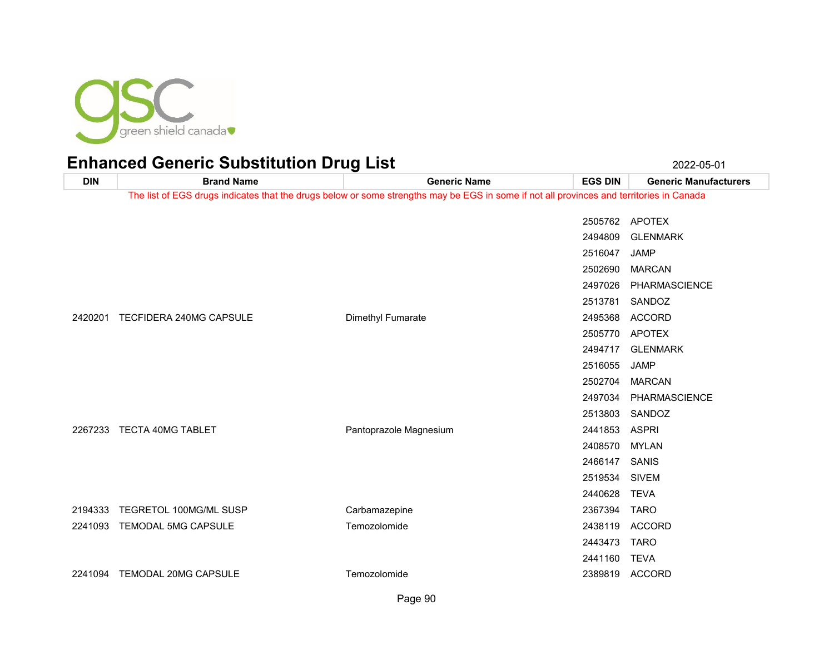

| <b>DIN</b> | <b>Brand Name</b>          | <b>Generic Name</b>                                                                                                                      | <b>EGS DIN</b> | <b>Generic Manufacturers</b> |
|------------|----------------------------|------------------------------------------------------------------------------------------------------------------------------------------|----------------|------------------------------|
|            |                            | The list of EGS drugs indicates that the drugs below or some strengths may be EGS in some if not all provinces and territories in Canada |                |                              |
|            |                            |                                                                                                                                          | 2505762        | <b>APOTEX</b>                |
|            |                            |                                                                                                                                          | 2494809        | <b>GLENMARK</b>              |
|            |                            |                                                                                                                                          | 2516047        | <b>JAMP</b>                  |
|            |                            |                                                                                                                                          | 2502690        | <b>MARCAN</b>                |
|            |                            |                                                                                                                                          | 2497026        | PHARMASCIENCE                |
|            |                            |                                                                                                                                          | 2513781        | SANDOZ                       |
| 2420201    | TECFIDERA 240MG CAPSULE    | Dimethyl Fumarate                                                                                                                        | 2495368        | <b>ACCORD</b>                |
|            |                            |                                                                                                                                          | 2505770        | APOTEX                       |
|            |                            |                                                                                                                                          | 2494717        | <b>GLENMARK</b>              |
|            |                            |                                                                                                                                          | 2516055        | <b>JAMP</b>                  |
|            |                            |                                                                                                                                          | 2502704        | <b>MARCAN</b>                |
|            |                            |                                                                                                                                          | 2497034        | PHARMASCIENCE                |
|            |                            |                                                                                                                                          | 2513803        | SANDOZ                       |
| 2267233    | TECTA 40MG TABLET          | Pantoprazole Magnesium                                                                                                                   | 2441853        | <b>ASPRI</b>                 |
|            |                            |                                                                                                                                          | 2408570        | <b>MYLAN</b>                 |
|            |                            |                                                                                                                                          | 2466147        | SANIS                        |
|            |                            |                                                                                                                                          | 2519534        | <b>SIVEM</b>                 |
|            |                            |                                                                                                                                          | 2440628        | <b>TEVA</b>                  |
| 2194333    | TEGRETOL 100MG/ML SUSP     | Carbamazepine                                                                                                                            | 2367394        | <b>TARO</b>                  |
| 2241093    | <b>TEMODAL 5MG CAPSULE</b> | Temozolomide                                                                                                                             | 2438119        | <b>ACCORD</b>                |
|            |                            |                                                                                                                                          | 2443473        | <b>TARO</b>                  |
|            |                            |                                                                                                                                          | 2441160        | <b>TEVA</b>                  |
| 2241094    | TEMODAL 20MG CAPSULE       | Temozolomide                                                                                                                             | 2389819        | ACCORD                       |
|            |                            |                                                                                                                                          |                |                              |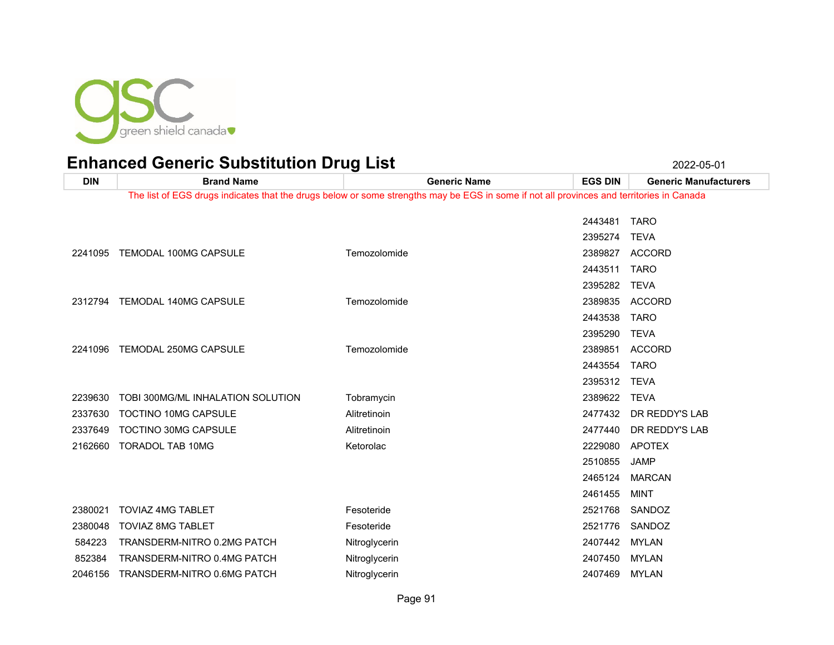

**DIN Brand Name Generic Name EGS DIN Generic Manufacturers** The list of EGS drugs indicates that the drugs below or some strengths may be EGS in some if not all provinces and territories in Canada TARO TEVA TEMODAL 100MG CAPSULE Temozolomide 2389827 ACCORD TARO TEVA TEMODAL 140MG CAPSULE Temozolomide 2389835 ACCORD TARO TEVA TEMODAL 250MG CAPSULE Temozolomide 2389851 ACCORD TARO TEVA TOBI 300MG/ML INHALATION SOLUTION Tobramycin 2389622 TEVA 2337630 TOCTINO 10MG CAPSULE Alitretinoin Alitretinoin 2477432 DR REDDY'S LAB 2337649 TOCTINO 30MG CAPSULE Alitretinoin Alitretinoin 2477440 DR REDDY'S LAB TORADOL TAB 10MG Ketorolac 2229080 APOTEX JAMP MARCAN MINT TOVIAZ 4MG TABLET Fesoteride 2521768 SANDOZ TOVIAZ 8MG TABLET Fesoteride 2521776 SANDOZ 584223 TRANSDERM-NITRO 0.2MG PATCH Nitroglycerin Nitroglycerin 2407442 MYLAN 852384 TRANSDERM-NITRO 0.4MG PATCH Nitroglycerin Nitroglycerin 2407450 MYLAN TRANSDERM-NITRO 0.6MG PATCH Nitroglycerin 2407469 MYLAN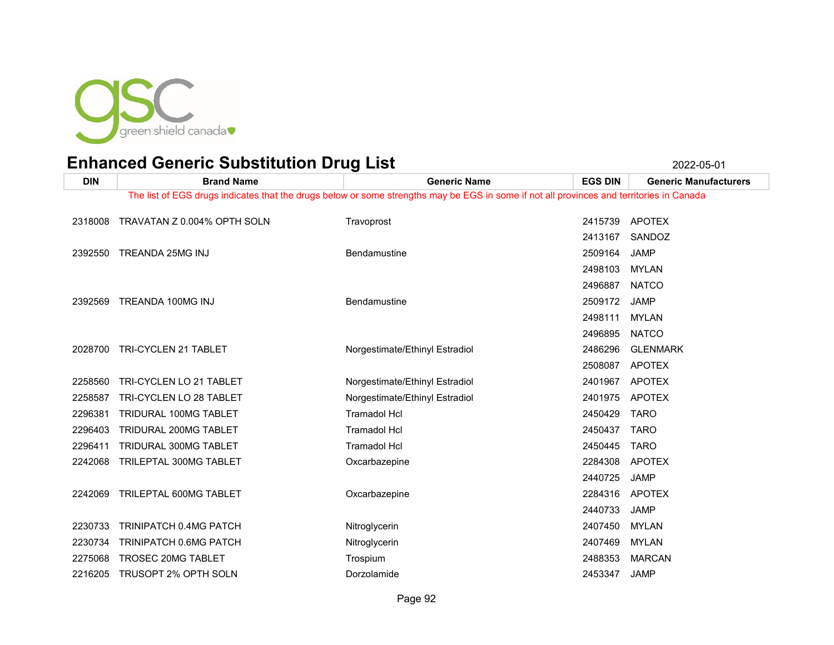

| <b>DIN</b> | <b>Brand Name</b>                   | <b>Generic Name</b>                                                                                                                      | <b>EGS DIN</b> | <b>Generic Manufacturers</b> |
|------------|-------------------------------------|------------------------------------------------------------------------------------------------------------------------------------------|----------------|------------------------------|
|            |                                     | The list of EGS drugs indicates that the drugs below or some strengths may be EGS in some if not all provinces and territories in Canada |                |                              |
|            | 2318008 TRAVATAN Z 0.004% OPTH SOLN | Travoprost                                                                                                                               |                | 2415739 APOTEX               |
|            |                                     |                                                                                                                                          |                |                              |
|            |                                     |                                                                                                                                          | 2413167        | SANDOZ                       |
|            | 2392550 TREANDA 25MG INJ            | Bendamustine                                                                                                                             | 2509164        | JAMP                         |
|            |                                     |                                                                                                                                          | 2498103        | <b>MYLAN</b>                 |
|            |                                     |                                                                                                                                          | 2496887        | <b>NATCO</b>                 |
|            | 2392569 TREANDA 100MG INJ           | Bendamustine                                                                                                                             | 2509172        | JAMP                         |
|            |                                     |                                                                                                                                          | 2498111        | <b>MYLAN</b>                 |
|            |                                     |                                                                                                                                          | 2496895        | <b>NATCO</b>                 |
|            | 2028700 TRI-CYCLEN 21 TABLET        | Norgestimate/Ethinyl Estradiol                                                                                                           | 2486296        | <b>GLENMARK</b>              |
|            |                                     |                                                                                                                                          | 2508087        | <b>APOTEX</b>                |
| 2258560    | TRI-CYCLEN LO 21 TABLET             | Norgestimate/Ethinyl Estradiol                                                                                                           | 2401967        | APOTEX                       |
| 2258587    | TRI-CYCLEN LO 28 TABLET             | Norgestimate/Ethinyl Estradiol                                                                                                           | 2401975        | <b>APOTEX</b>                |
| 2296381    | TRIDURAL 100MG TABLET               | <b>Tramadol Hcl</b>                                                                                                                      | 2450429        | <b>TARO</b>                  |
| 2296403    | TRIDURAL 200MG TABLET               | <b>Tramadol Hcl</b>                                                                                                                      | 2450437 TARO   |                              |
| 2296411    | TRIDURAL 300MG TABLET               | <b>Tramadol Hcl</b>                                                                                                                      | 2450445        | <b>TARO</b>                  |
| 2242068    | TRILEPTAL 300MG TABLET              | Oxcarbazepine                                                                                                                            |                | 2284308 APOTEX               |
|            |                                     |                                                                                                                                          | 2440725        | <b>JAMP</b>                  |
| 2242069    | TRILEPTAL 600MG TABLET              | Oxcarbazepine                                                                                                                            |                | 2284316 APOTEX               |
|            |                                     |                                                                                                                                          | 2440733        | <b>JAMP</b>                  |
| 2230733    | TRINIPATCH 0.4MG PATCH              | Nitroglycerin                                                                                                                            | 2407450        | MYLAN                        |
| 2230734    | TRINIPATCH 0.6MG PATCH              | Nitroglycerin                                                                                                                            | 2407469        | MYLAN                        |
| 2275068    | TROSEC 20MG TABLET                  | Trospium                                                                                                                                 | 2488353        | <b>MARCAN</b>                |
| 2216205    | TRUSOPT 2% OPTH SOLN                | Dorzolamide                                                                                                                              | 2453347        | <b>JAMP</b>                  |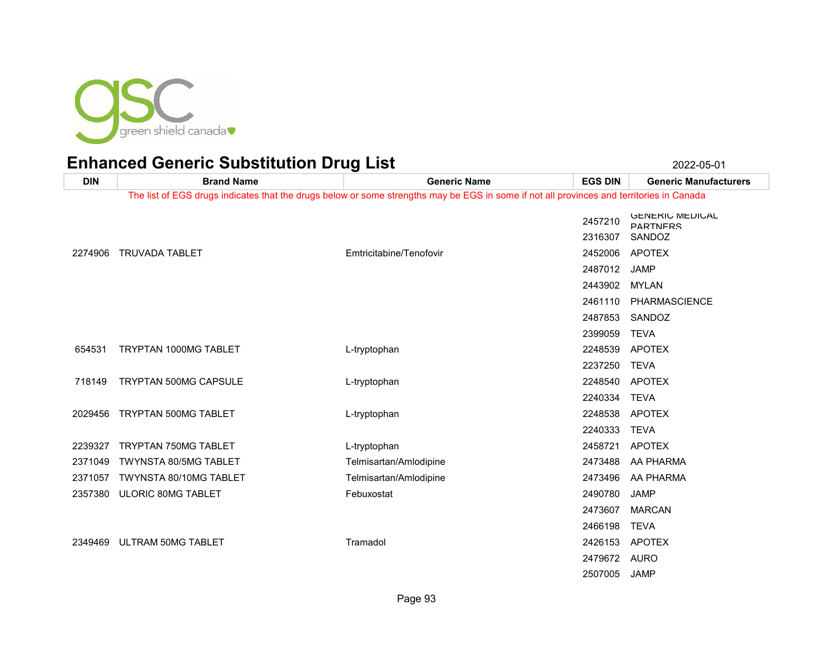

| <b>DIN</b> | <b>Brand Name</b>            | <b>Generic Name</b>                                                                                                                      | <b>EGS DIN</b>     | <b>Generic Manufacturers</b>                        |
|------------|------------------------------|------------------------------------------------------------------------------------------------------------------------------------------|--------------------|-----------------------------------------------------|
|            |                              | The list of EGS drugs indicates that the drugs below or some strengths may be EGS in some if not all provinces and territories in Canada |                    |                                                     |
|            |                              |                                                                                                                                          | 2457210<br>2316307 | <b>GENERIC MEDICAL</b><br><b>PARTNERS</b><br>SANDOZ |
| 2274906    | <b>TRUVADA TABLET</b>        | Emtricitabine/Tenofovir                                                                                                                  | 2452006            | <b>APOTEX</b>                                       |
|            |                              |                                                                                                                                          | 2487012            | <b>JAMP</b>                                         |
|            |                              |                                                                                                                                          | 2443902            | <b>MYLAN</b>                                        |
|            |                              |                                                                                                                                          | 2461110            | PHARMASCIENCE                                       |
|            |                              |                                                                                                                                          | 2487853            | SANDOZ                                              |
|            |                              |                                                                                                                                          | 2399059            | <b>TEVA</b>                                         |
| 654531     | TRYPTAN 1000MG TABLET        | L-tryptophan                                                                                                                             | 2248539            | <b>APOTEX</b>                                       |
|            |                              |                                                                                                                                          | 2237250            | <b>TEVA</b>                                         |
| 718149     | <b>TRYPTAN 500MG CAPSULE</b> | L-tryptophan                                                                                                                             | 2248540            | APOTEX                                              |
|            |                              |                                                                                                                                          | 2240334            | <b>TEVA</b>                                         |
| 2029456    | TRYPTAN 500MG TABLET         | L-tryptophan                                                                                                                             | 2248538            | <b>APOTEX</b>                                       |
|            |                              |                                                                                                                                          | 2240333            | <b>TEVA</b>                                         |
| 2239327    | <b>TRYPTAN 750MG TABLET</b>  | L-tryptophan                                                                                                                             | 2458721            | <b>APOTEX</b>                                       |
| 2371049    | <b>TWYNSTA 80/5MG TABLET</b> | Telmisartan/Amlodipine                                                                                                                   | 2473488            | AA PHARMA                                           |
| 2371057    | TWYNSTA 80/10MG TABLET       | Telmisartan/Amlodipine                                                                                                                   | 2473496            | AA PHARMA                                           |
| 2357380    | ULORIC 80MG TABLET           | Febuxostat                                                                                                                               | 2490780            | JAMP                                                |
|            |                              |                                                                                                                                          | 2473607            | <b>MARCAN</b>                                       |
|            |                              |                                                                                                                                          | 2466198            | <b>TEVA</b>                                         |
| 2349469    | ULTRAM 50MG TABLET           | Tramadol                                                                                                                                 | 2426153            | APOTEX                                              |
|            |                              |                                                                                                                                          | 2479672 AURO       |                                                     |
|            |                              |                                                                                                                                          | 2507005            | <b>JAMP</b>                                         |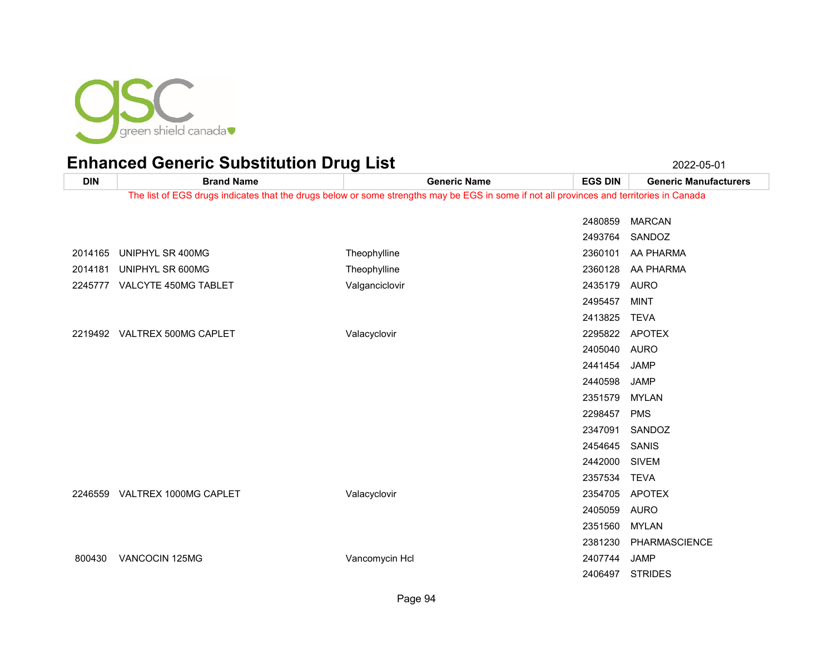

**DIN Brand Name Generic Name EGS DIN Generic Manufacturers** The list of EGS drugs indicates that the drugs below or some strengths may be EGS in some if not all provinces and territories in Canada MARCAN SANDOZ UNIPHYL SR 400MG Theophylline 2360101 AA PHARMA 2014181 UNIPHYL SR 600MG Theophylline Theophylline 2360128 AA PHARMA VALCYTE 450MG TABLET Valganciclovir 2435179 AURO MINT TEVA VALTREX 500MG CAPLET Valacyclovir 2295822 APOTEX AURO JAMP JAMP MYLAN PMS SANDOZ SANIS SIVEM TEVA VALTREX 1000MG CAPLET Valacyclovir 2354705 APOTEX AURO MYLAN PHARMASCIENCE VANCOCIN 125MG Vancomycin Hcl 2407744 JAMP

STRIDES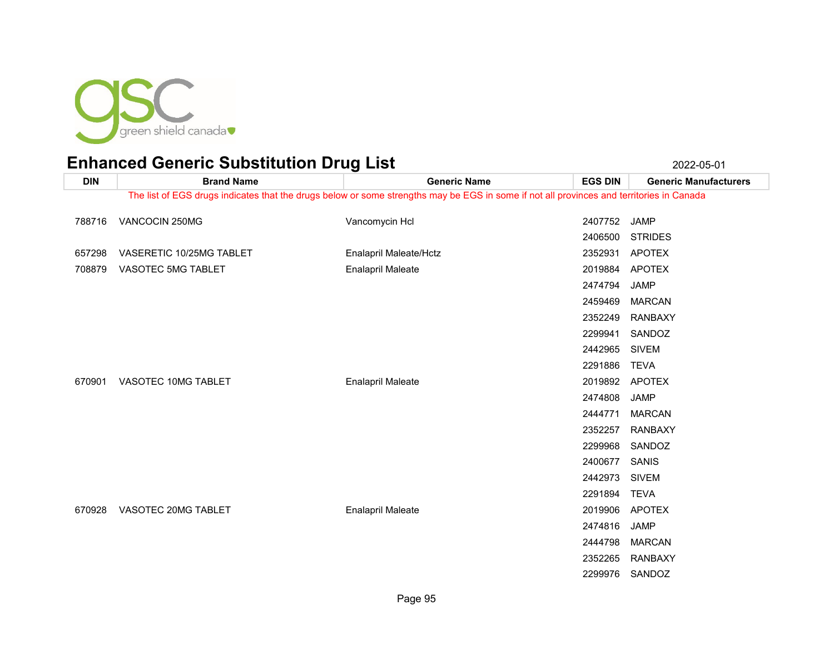

| <b>DIN</b> | <b>Brand Name</b>        | <b>Generic Name</b>                                                                                                                      | <b>EGS DIN</b> | <b>Generic Manufacturers</b> |
|------------|--------------------------|------------------------------------------------------------------------------------------------------------------------------------------|----------------|------------------------------|
|            |                          | The list of EGS drugs indicates that the drugs below or some strengths may be EGS in some if not all provinces and territories in Canada |                |                              |
| 788716     | VANCOCIN 250MG           | Vancomycin Hcl                                                                                                                           | 2407752        | JAMP                         |
|            |                          |                                                                                                                                          | 2406500        | <b>STRIDES</b>               |
| 657298     | VASERETIC 10/25MG TABLET | Enalapril Maleate/Hctz                                                                                                                   | 2352931        | <b>APOTEX</b>                |
| 708879     | VASOTEC 5MG TABLET       | <b>Enalapril Maleate</b>                                                                                                                 | 2019884        | <b>APOTEX</b>                |
|            |                          |                                                                                                                                          | 2474794        | <b>JAMP</b>                  |
|            |                          |                                                                                                                                          | 2459469        | <b>MARCAN</b>                |
|            |                          |                                                                                                                                          | 2352249        | <b>RANBAXY</b>               |
|            |                          |                                                                                                                                          | 2299941        | SANDOZ                       |
|            |                          |                                                                                                                                          | 2442965        | <b>SIVEM</b>                 |
|            |                          |                                                                                                                                          | 2291886        | <b>TEVA</b>                  |
| 670901     | VASOTEC 10MG TABLET      | <b>Enalapril Maleate</b>                                                                                                                 | 2019892        | <b>APOTEX</b>                |
|            |                          |                                                                                                                                          | 2474808        | <b>JAMP</b>                  |
|            |                          |                                                                                                                                          | 2444771        | <b>MARCAN</b>                |
|            |                          |                                                                                                                                          | 2352257        | <b>RANBAXY</b>               |
|            |                          |                                                                                                                                          | 2299968        | SANDOZ                       |
|            |                          |                                                                                                                                          | 2400677        | SANIS                        |
|            |                          |                                                                                                                                          | 2442973        | <b>SIVEM</b>                 |
|            |                          |                                                                                                                                          | 2291894        | TEVA                         |
| 670928     | VASOTEC 20MG TABLET      | <b>Enalapril Maleate</b>                                                                                                                 | 2019906        | <b>APOTEX</b>                |
|            |                          |                                                                                                                                          | 2474816        | <b>JAMP</b>                  |
|            |                          |                                                                                                                                          | 2444798        | <b>MARCAN</b>                |
|            |                          |                                                                                                                                          | 2352265        | <b>RANBAXY</b>               |
|            |                          |                                                                                                                                          | 2299976        | SANDOZ                       |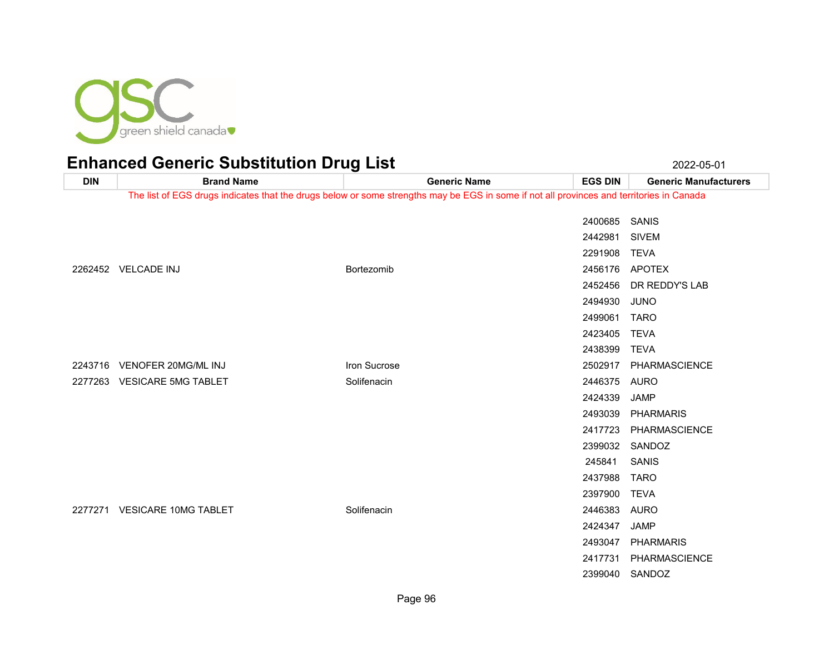

### Enhanced Generic Substitution Drug List 2022-05-01 2022-05-01

**DIN Brand Name Generic Name EGS DIN Generic Manufacturers** The list of EGS drugs indicates that the drugs below or some strengths may be EGS in some if not all provinces and territories in Canada SANIS SIVEM TEVA VELCADE INJ Bortezomib 2456176 APOTEX DR REDDY'S LAB JUNO TARO TEVA TEVA 2243716 VENOFER 20MG/ML INJ **INCLUSIVE CONSUMING THE SUCROSE** CONSUMING THE 2502917 PHARMASCIENCE 2277263 VESICARE 5MG TABLET Solifenacin Solifenacin COVID-1000 2446375 AURO JAMP PHARMARIS PHARMASCIENCE SANDOZ SANIS TARO TEVA VESICARE 10MG TABLET Solifenacin 2446383 AURO JAMP PHARMARIS PHARMASCIENCE SANDOZ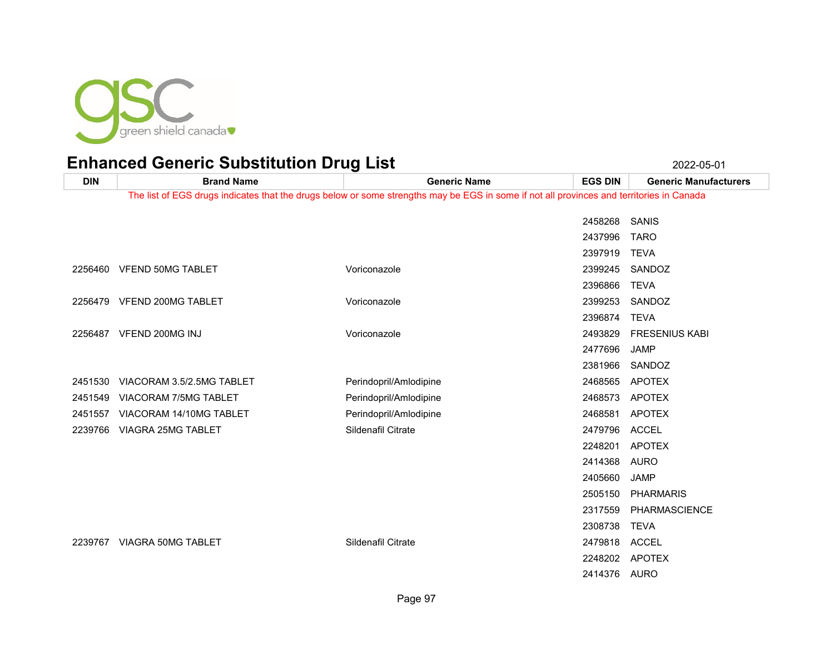

**DIN Brand Name Generic Name EGS DIN Generic Manufacturers** The list of EGS drugs indicates that the drugs below or some strengths may be EGS in some if not all provinces and territories in Canada SANIS TARO TEVA 2256460 VFEND 50MG TABLET CONSULTED Voriconazole CONSULTED VOR 2399245 SANDOZ TEVA VFEND 200MG TABLET Voriconazole 2399253 SANDOZ TEVA VFEND 200MG INJ Voriconazole 2493829 FRESENIUS KABI JAMP SANDOZ VIACORAM 3.5/2.5MG TABLET Perindopril/Amlodipine 2468565 APOTEX VIACORAM 7/5MG TABLET Perindopril/Amlodipine 2468573 APOTEX 2451557 VIACORAM 14/10MG TABLET Perindopril/Amlodipine 2468581 APOTEX VIAGRA 25MG TABLET Sildenafil Citrate 2479796 ACCEL APOTEX AURO JAMP PHARMARIS PHARMASCIENCE TEVA VIAGRA 50MG TABLET Sildenafil Citrate 2479818 ACCEL APOTEX AURO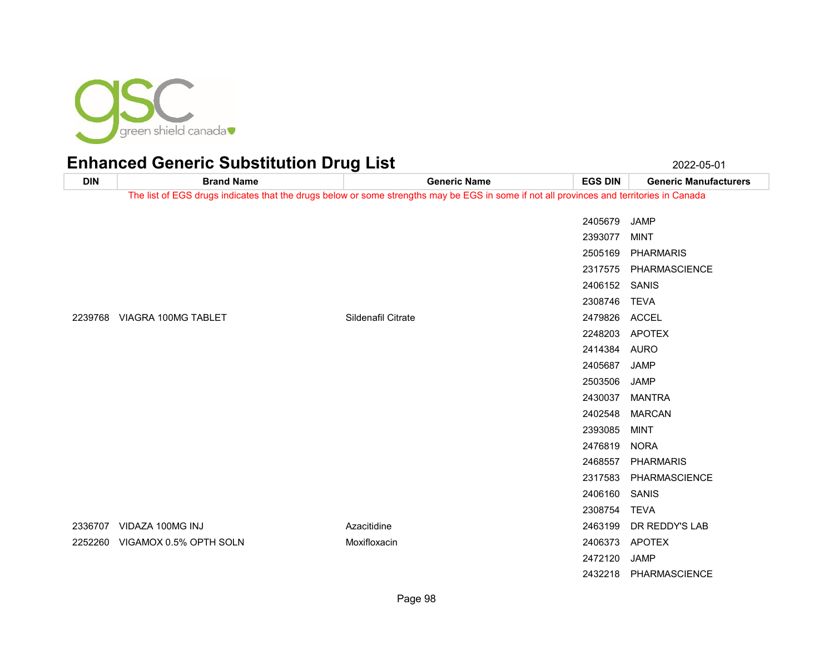

| <b>DIN</b> | <b>Brand Name</b>              | <b>Generic Name</b>                                                                                                                      | <b>EGS DIN</b> | <b>Generic Manufacturers</b> |
|------------|--------------------------------|------------------------------------------------------------------------------------------------------------------------------------------|----------------|------------------------------|
|            |                                | The list of EGS drugs indicates that the drugs below or some strengths may be EGS in some if not all provinces and territories in Canada |                |                              |
|            |                                |                                                                                                                                          | 2405679        | <b>JAMP</b>                  |
|            |                                |                                                                                                                                          | 2393077        | <b>MINT</b>                  |
|            |                                |                                                                                                                                          | 2505169        | <b>PHARMARIS</b>             |
|            |                                |                                                                                                                                          |                | 2317575 PHARMASCIENCE        |
|            |                                |                                                                                                                                          | 2406152 SANIS  |                              |
|            |                                |                                                                                                                                          | 2308746        | <b>TEVA</b>                  |
|            | 2239768 VIAGRA 100MG TABLET    | Sildenafil Citrate                                                                                                                       | 2479826        | <b>ACCEL</b>                 |
|            |                                |                                                                                                                                          | 2248203        | APOTEX                       |
|            |                                |                                                                                                                                          | 2414384        | <b>AURO</b>                  |
|            |                                |                                                                                                                                          | 2405687        | JAMP                         |
|            |                                |                                                                                                                                          | 2503506        | JAMP                         |
|            |                                |                                                                                                                                          | 2430037        | MANTRA                       |
|            |                                |                                                                                                                                          | 2402548        | <b>MARCAN</b>                |
|            |                                |                                                                                                                                          | 2393085        | <b>MINT</b>                  |
|            |                                |                                                                                                                                          | 2476819        | <b>NORA</b>                  |
|            |                                |                                                                                                                                          | 2468557        | <b>PHARMARIS</b>             |
|            |                                |                                                                                                                                          | 2317583        | PHARMASCIENCE                |
|            |                                |                                                                                                                                          | 2406160        | SANIS                        |
|            |                                |                                                                                                                                          | 2308754        | TEVA                         |
|            | 2336707 VIDAZA 100MG INJ       | Azacitidine                                                                                                                              | 2463199        | DR REDDY'S LAB               |
|            | 2252260 VIGAMOX 0.5% OPTH SOLN | Moxifloxacin                                                                                                                             | 2406373        | APOTEX                       |
|            |                                |                                                                                                                                          | 2472120        | JAMP                         |
|            |                                |                                                                                                                                          |                | 2432218 PHARMASCIENCE        |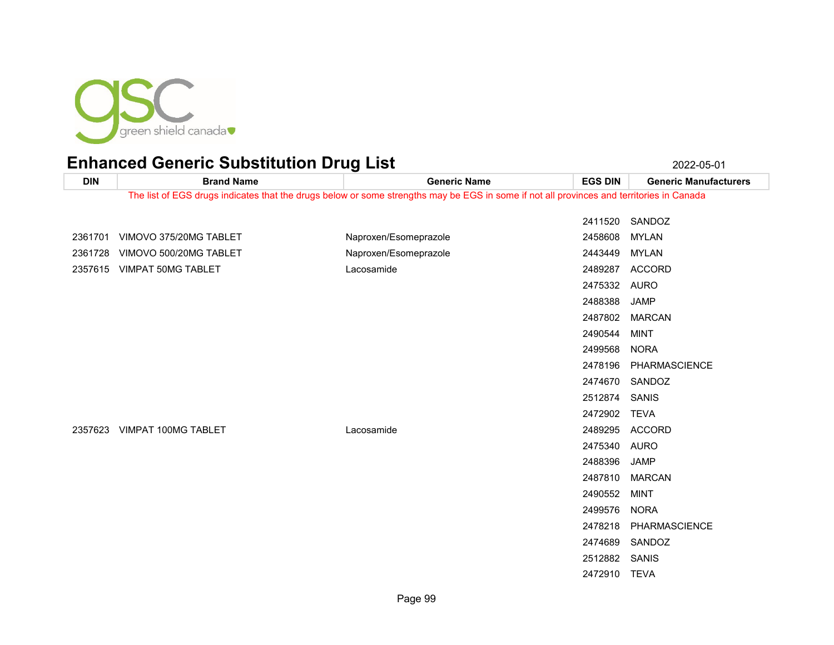

**DIN Brand Name Generic Name EGS DIN Generic Manufacturers** The list of EGS drugs indicates that the drugs below or some strengths may be EGS in some if not all provinces and territories in Canada SANDOZ 2361701 VIMOVO 375/20MG TABLET Naproxen/Esomeprazole 2458608 MYLAN 2361728 VIMOVO 500/20MG TABLET Naproxen/Esomeprazole 2443449 MYLAN VIMPAT 50MG TABLET Lacosamide 2489287 ACCORD AURO JAMP MARCAN MINT NORA PHARMASCIENCE SANDOZ SANIS TEVA VIMPAT 100MG TABLET Lacosamide 2489295 ACCORD AURO JAMP MARCAN MINT NORA PHARMASCIENCE SANDOZ SANIS TEVA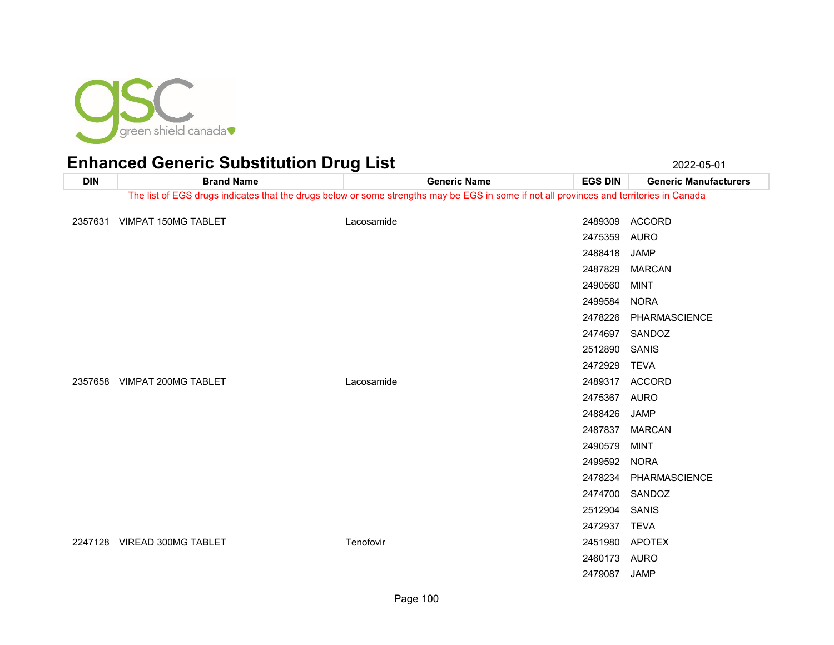

#### Enhanced Generic Substitution Drug List 2022-05-01 2022-05-01

**DIN Brand Name Generic Name EGS DIN Generic Manufacturers** The list of EGS drugs indicates that the drugs below or some strengths may be EGS in some if not all provinces and territories in Canada VIMPAT 150MG TABLET Lacosamide 2489309 ACCORD AURO JAMP MARCAN MINT NORA PHARMASCIENCE SANDOZ SANIS TEVA VIMPAT 200MG TABLET Lacosamide 2489317 ACCORD AURO JAMP MARCAN MINT NORA PHARMASCIENCE SANDOZ SANIS TEVA 2247128 VIREAD 300MG TABLET THE RESOLUTION TENSION TENSION TENSION ARE TENSION ARRIVED AND TENSION APOTEX AURO JAMP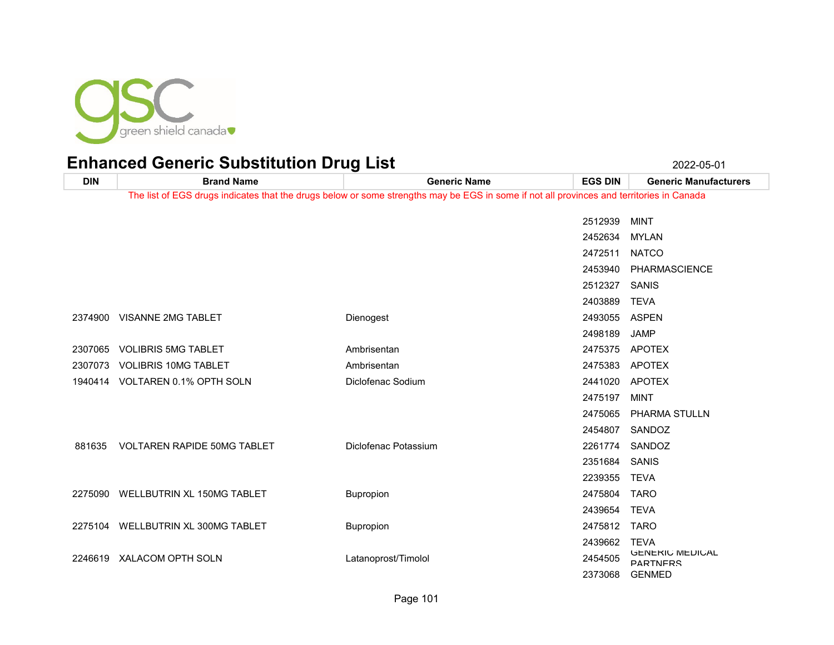

**DIN Brand Name Generic Name EGS DIN Generic Manufacturers** The list of EGS drugs indicates that the drugs below or some strengths may be EGS in some if not all provinces and territories in Canada MINT MYLAN NATCO PHARMASCIENCE SANIS TEVA VISANNE 2MG TABLET Dienogest 2493055 ASPEN JAMP 2307065 VOLIBRIS 5MG TABLET Ambrisentan Ambrisentan ambrisentan 2475375 APOTEX 2307073 VOLIBRIS 10MG TABLET Ambrisentan Ambrisentan 2475383 APOTEX VOLTAREN 0.1% OPTH SOLN Diclofenac Sodium 2441020 APOTEX MINT PHARMA STULLN SANDOZ 881635 VOLTAREN RAPIDE 50MG TABLET Diclofenac Potassium COLLECTION 2261774 SANDOZ SANIS TEVA WELLBUTRIN XL 150MG TABLET Bupropion 2475804 TARO TEVA WELLBUTRIN XL 300MG TABLET Bupropion 2475812 TARO TEVA 2246619 XALACOM OPTH SOLN Latanoprost/Timolol 22456619 XALACOM OPTH SOLN **PARTNERS** 

GENMED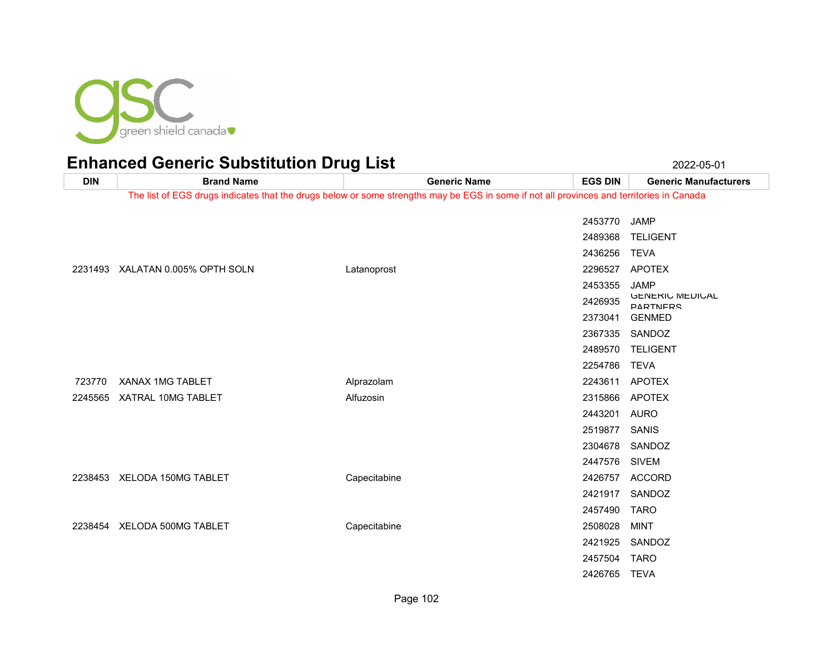

| <b>DIN</b> | <b>Brand Name</b>                | <b>Generic Name</b>                                                                                                                      | <b>EGS DIN</b> | <b>Generic Manufacturers</b>              |
|------------|----------------------------------|------------------------------------------------------------------------------------------------------------------------------------------|----------------|-------------------------------------------|
|            |                                  | The list of EGS drugs indicates that the drugs below or some strengths may be EGS in some if not all provinces and territories in Canada |                |                                           |
|            |                                  |                                                                                                                                          | 2453770        | <b>JAMP</b>                               |
|            |                                  |                                                                                                                                          | 2489368        | <b>TELIGENT</b>                           |
|            |                                  |                                                                                                                                          | 2436256        | <b>TEVA</b>                               |
|            | 2231493 XALATAN 0.005% OPTH SOLN | Latanoprost                                                                                                                              | 2296527        | <b>APOTEX</b>                             |
|            |                                  |                                                                                                                                          | 2453355        | <b>JAMP</b>                               |
|            |                                  |                                                                                                                                          | 2426935        | <b>GENERIC MEDICAL</b><br><b>PARTNERS</b> |
|            |                                  |                                                                                                                                          | 2373041        | <b>GENMED</b>                             |
|            |                                  |                                                                                                                                          | 2367335        | SANDOZ                                    |
|            |                                  |                                                                                                                                          | 2489570        | <b>TELIGENT</b>                           |
|            |                                  |                                                                                                                                          | 2254786        | <b>TEVA</b>                               |
| 723770     | XANAX 1MG TABLET                 | Alprazolam                                                                                                                               | 2243611        | <b>APOTEX</b>                             |
|            | 2245565 XATRAL 10MG TABLET       | Alfuzosin                                                                                                                                | 2315866        | <b>APOTEX</b>                             |
|            |                                  |                                                                                                                                          | 2443201        | <b>AURO</b>                               |
|            |                                  |                                                                                                                                          | 2519877        | SANIS                                     |
|            |                                  |                                                                                                                                          | 2304678        | SANDOZ                                    |
|            |                                  |                                                                                                                                          | 2447576        | <b>SIVEM</b>                              |
|            | 2238453 XELODA 150MG TABLET      | Capecitabine                                                                                                                             | 2426757        | ACCORD                                    |
|            |                                  |                                                                                                                                          | 2421917        | SANDOZ                                    |
|            |                                  |                                                                                                                                          | 2457490        | <b>TARO</b>                               |
|            | 2238454 XELODA 500MG TABLET      | Capecitabine                                                                                                                             | 2508028        | <b>MINT</b>                               |
|            |                                  |                                                                                                                                          | 2421925        | SANDOZ                                    |
|            |                                  |                                                                                                                                          | 2457504        | <b>TARO</b>                               |
|            |                                  |                                                                                                                                          | 2426765        | <b>TEVA</b>                               |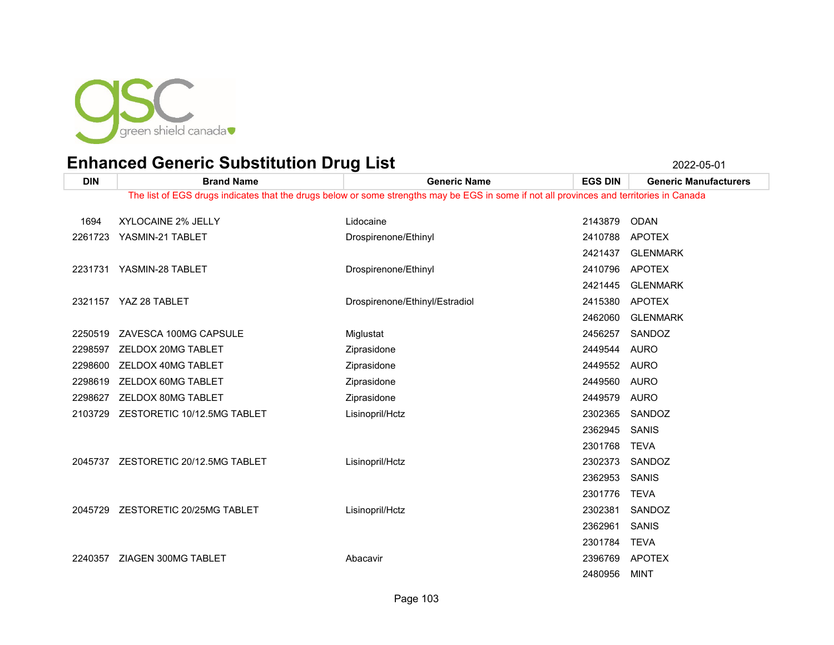

| <b>DIN</b> | <b>Brand Name</b>                                                                                                                        | <b>Generic Name</b>            | <b>EGS DIN</b> | <b>Generic Manufacturers</b> |  |  |
|------------|------------------------------------------------------------------------------------------------------------------------------------------|--------------------------------|----------------|------------------------------|--|--|
|            | The list of EGS drugs indicates that the drugs below or some strengths may be EGS in some if not all provinces and territories in Canada |                                |                |                              |  |  |
| 1694       | XYLOCAINE 2% JELLY                                                                                                                       | Lidocaine                      | 2143879        | <b>ODAN</b>                  |  |  |
| 2261723    | YASMIN-21 TABLET                                                                                                                         | Drospirenone/Ethinyl           | 2410788        | <b>APOTEX</b>                |  |  |
|            |                                                                                                                                          |                                |                |                              |  |  |
|            |                                                                                                                                          |                                | 2421437        | <b>GLENMARK</b>              |  |  |
|            | 2231731 YASMIN-28 TABLET                                                                                                                 | Drospirenone/Ethinyl           | 2410796        | APOTEX                       |  |  |
|            |                                                                                                                                          |                                | 2421445        | <b>GLENMARK</b>              |  |  |
|            | 2321157 YAZ 28 TABLET                                                                                                                    | Drospirenone/Ethinyl/Estradiol | 2415380        | APOTEX                       |  |  |
|            |                                                                                                                                          |                                | 2462060        | <b>GLENMARK</b>              |  |  |
| 2250519    | ZAVESCA 100MG CAPSULE                                                                                                                    | Miglustat                      | 2456257        | SANDOZ                       |  |  |
| 2298597    | ZELDOX 20MG TABLET                                                                                                                       | Ziprasidone                    | 2449544        | <b>AURO</b>                  |  |  |
| 2298600    | ZELDOX 40MG TABLET                                                                                                                       | Ziprasidone                    | 2449552        | AURO                         |  |  |
| 2298619    | ZELDOX 60MG TABLET                                                                                                                       | Ziprasidone                    | 2449560        | AURO                         |  |  |
| 2298627    | ZELDOX 80MG TABLET                                                                                                                       | Ziprasidone                    | 2449579        | AURO                         |  |  |
| 2103729    | ZESTORETIC 10/12.5MG TABLET                                                                                                              | Lisinopril/Hctz                | 2302365        | SANDOZ                       |  |  |
|            |                                                                                                                                          |                                | 2362945        | SANIS                        |  |  |
|            |                                                                                                                                          |                                | 2301768        | <b>TEVA</b>                  |  |  |
|            | 2045737 ZESTORETIC 20/12.5MG TABLET                                                                                                      | Lisinopril/Hctz                | 2302373        | SANDOZ                       |  |  |
|            |                                                                                                                                          |                                | 2362953        | <b>SANIS</b>                 |  |  |
|            |                                                                                                                                          |                                | 2301776        | <b>TEVA</b>                  |  |  |
| 2045729    | ZESTORETIC 20/25MG TABLET                                                                                                                | Lisinopril/Hctz                | 2302381        | SANDOZ                       |  |  |
|            |                                                                                                                                          |                                | 2362961        | <b>SANIS</b>                 |  |  |
|            |                                                                                                                                          |                                | 2301784        | <b>TEVA</b>                  |  |  |
| 2240357    | ZIAGEN 300MG TABLET                                                                                                                      | Abacavir                       | 2396769        | APOTEX                       |  |  |
|            |                                                                                                                                          |                                | 2480956        | <b>MINT</b>                  |  |  |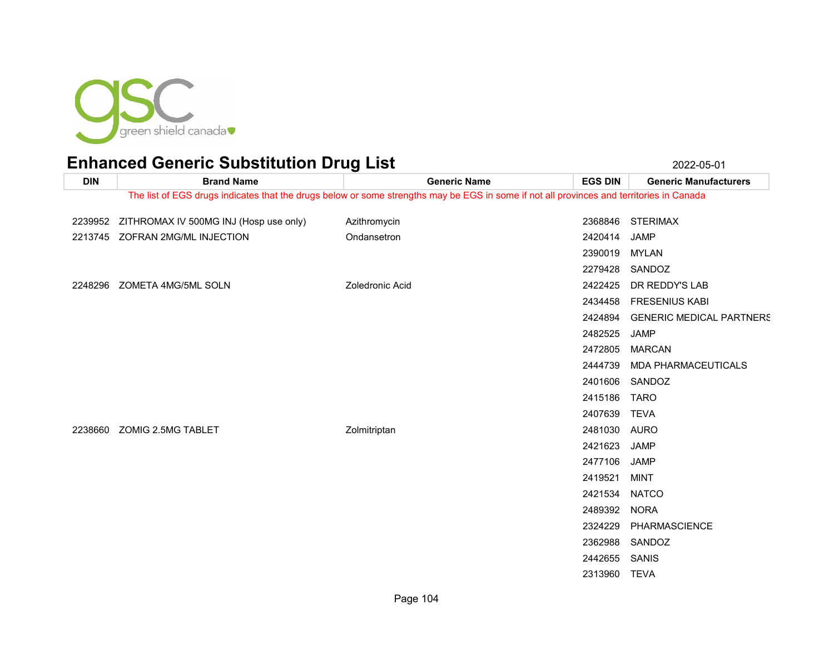

| <b>DIN</b> | <b>Brand Name</b>                      | <b>Generic Name</b>                                                                                                                      | <b>EGS DIN</b> | <b>Generic Manufacturers</b>    |
|------------|----------------------------------------|------------------------------------------------------------------------------------------------------------------------------------------|----------------|---------------------------------|
|            |                                        | The list of EGS drugs indicates that the drugs below or some strengths may be EGS in some if not all provinces and territories in Canada |                |                                 |
| 2239952    | ZITHROMAX IV 500MG INJ (Hosp use only) | Azithromycin                                                                                                                             |                | 2368846 STERIMAX                |
|            | 2213745 ZOFRAN 2MG/ML INJECTION        | Ondansetron                                                                                                                              | 2420414        | <b>JAMP</b>                     |
|            |                                        |                                                                                                                                          | 2390019        | <b>MYLAN</b>                    |
|            |                                        |                                                                                                                                          |                | 2279428 SANDOZ                  |
|            | 2248296 ZOMETA 4MG/5ML SOLN            | Zoledronic Acid                                                                                                                          | 2422425        | DR REDDY'S LAB                  |
|            |                                        |                                                                                                                                          | 2434458        | <b>FRESENIUS KABI</b>           |
|            |                                        |                                                                                                                                          | 2424894        | <b>GENERIC MEDICAL PARTNERS</b> |
|            |                                        |                                                                                                                                          | 2482525        | <b>JAMP</b>                     |
|            |                                        |                                                                                                                                          | 2472805        | <b>MARCAN</b>                   |
|            |                                        |                                                                                                                                          | 2444739        | <b>MDA PHARMACEUTICALS</b>      |
|            |                                        |                                                                                                                                          | 2401606        | SANDOZ                          |
|            |                                        |                                                                                                                                          | 2415186        | <b>TARO</b>                     |
|            |                                        |                                                                                                                                          | 2407639 TEVA   |                                 |
|            | 2238660 ZOMIG 2.5MG TABLET             | Zolmitriptan                                                                                                                             | 2481030 AURO   |                                 |
|            |                                        |                                                                                                                                          | 2421623        | <b>JAMP</b>                     |
|            |                                        |                                                                                                                                          | 2477106        | <b>JAMP</b>                     |
|            |                                        |                                                                                                                                          | 2419521        | <b>MINT</b>                     |
|            |                                        |                                                                                                                                          | 2421534        | <b>NATCO</b>                    |
|            |                                        |                                                                                                                                          | 2489392        | <b>NORA</b>                     |
|            |                                        |                                                                                                                                          | 2324229        | PHARMASCIENCE                   |
|            |                                        |                                                                                                                                          | 2362988        | SANDOZ                          |
|            |                                        |                                                                                                                                          | 2442655        | SANIS                           |
|            |                                        |                                                                                                                                          | 2313960 TEVA   |                                 |
|            |                                        |                                                                                                                                          |                |                                 |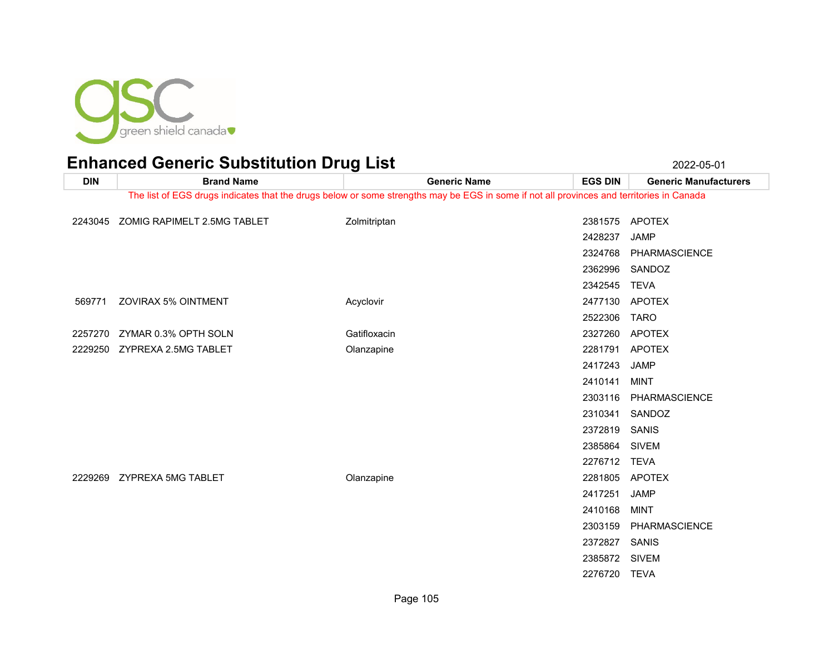

| <b>DIN</b> | <b>Brand Name</b>           | <b>Generic Name</b>                                                                                                                      | <b>EGS DIN</b> | <b>Generic Manufacturers</b> |
|------------|-----------------------------|------------------------------------------------------------------------------------------------------------------------------------------|----------------|------------------------------|
|            |                             | The list of EGS drugs indicates that the drugs below or some strengths may be EGS in some if not all provinces and territories in Canada |                |                              |
| 2243045    | ZOMIG RAPIMELT 2.5MG TABLET | Zolmitriptan                                                                                                                             | 2381575        | <b>APOTEX</b>                |
|            |                             |                                                                                                                                          | 2428237        | <b>JAMP</b>                  |
|            |                             |                                                                                                                                          | 2324768        | PHARMASCIENCE                |
|            |                             |                                                                                                                                          | 2362996        | SANDOZ                       |
|            |                             |                                                                                                                                          | 2342545        | <b>TEVA</b>                  |
| 569771     | <b>ZOVIRAX 5% OINTMENT</b>  | Acyclovir                                                                                                                                | 2477130        | <b>APOTEX</b>                |
|            |                             |                                                                                                                                          | 2522306        | <b>TARO</b>                  |
| 2257270    | ZYMAR 0.3% OPTH SOLN        | Gatifloxacin                                                                                                                             | 2327260        | <b>APOTEX</b>                |
| 2229250    | ZYPREXA 2.5MG TABLET        | Olanzapine                                                                                                                               | 2281791        | <b>APOTEX</b>                |
|            |                             |                                                                                                                                          | 2417243        | <b>JAMP</b>                  |
|            |                             |                                                                                                                                          | 2410141        | <b>MINT</b>                  |
|            |                             |                                                                                                                                          | 2303116        | <b>PHARMASCIENCE</b>         |
|            |                             |                                                                                                                                          | 2310341        | SANDOZ                       |
|            |                             |                                                                                                                                          | 2372819        | SANIS                        |
|            |                             |                                                                                                                                          | 2385864 SIVEM  |                              |
|            |                             |                                                                                                                                          | 2276712 TEVA   |                              |
| 2229269    | <b>ZYPREXA 5MG TABLET</b>   | Olanzapine                                                                                                                               | 2281805        | <b>APOTEX</b>                |
|            |                             |                                                                                                                                          | 2417251        | JAMP                         |
|            |                             |                                                                                                                                          | 2410168        | <b>MINT</b>                  |
|            |                             |                                                                                                                                          | 2303159        | PHARMASCIENCE                |
|            |                             |                                                                                                                                          | 2372827        | SANIS                        |
|            |                             |                                                                                                                                          | 2385872 SIVEM  |                              |
|            |                             |                                                                                                                                          | 2276720        | <b>TEVA</b>                  |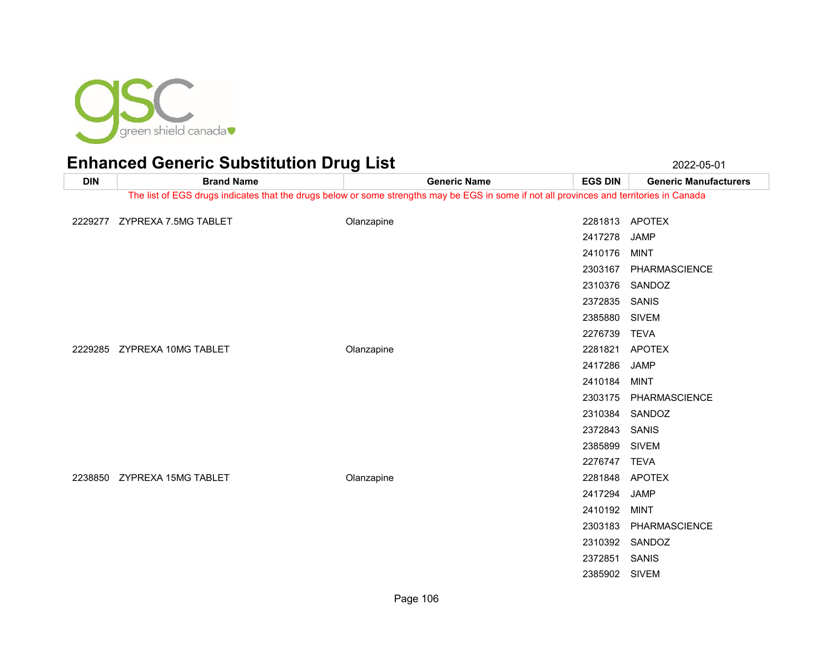

| <b>DIN</b> | <b>Brand Name</b>                                                                                                                        | <b>Generic Name</b> | <b>EGS DIN</b> | <b>Generic Manufacturers</b> |  |  |
|------------|------------------------------------------------------------------------------------------------------------------------------------------|---------------------|----------------|------------------------------|--|--|
|            | The list of EGS drugs indicates that the drugs below or some strengths may be EGS in some if not all provinces and territories in Canada |                     |                |                              |  |  |
|            |                                                                                                                                          |                     |                |                              |  |  |
|            | 2229277 ZYPREXA 7.5MG TABLET                                                                                                             | Olanzapine          |                | 2281813 APOTEX               |  |  |
|            |                                                                                                                                          |                     | 2417278        | <b>JAMP</b>                  |  |  |
|            |                                                                                                                                          |                     | 2410176        | <b>MINT</b>                  |  |  |
|            |                                                                                                                                          |                     | 2303167        | PHARMASCIENCE                |  |  |
|            |                                                                                                                                          |                     |                | 2310376 SANDOZ               |  |  |
|            |                                                                                                                                          |                     | 2372835        | SANIS                        |  |  |
|            |                                                                                                                                          |                     | 2385880        | <b>SIVEM</b>                 |  |  |
|            |                                                                                                                                          |                     | 2276739        | <b>TEVA</b>                  |  |  |
|            | 2229285 ZYPREXA 10MG TABLET                                                                                                              | Olanzapine          | 2281821        | <b>APOTEX</b>                |  |  |
|            |                                                                                                                                          |                     | 2417286        | <b>JAMP</b>                  |  |  |
|            |                                                                                                                                          |                     | 2410184        | <b>MINT</b>                  |  |  |
|            |                                                                                                                                          |                     | 2303175        | PHARMASCIENCE                |  |  |
|            |                                                                                                                                          |                     | 2310384        | SANDOZ                       |  |  |
|            |                                                                                                                                          |                     | 2372843        | SANIS                        |  |  |
|            |                                                                                                                                          |                     | 2385899        | <b>SIVEM</b>                 |  |  |
|            |                                                                                                                                          |                     | 2276747 TEVA   |                              |  |  |
|            | 2238850 ZYPREXA 15MG TABLET                                                                                                              | Olanzapine          |                | 2281848 APOTEX               |  |  |
|            |                                                                                                                                          |                     | 2417294        | <b>JAMP</b>                  |  |  |
|            |                                                                                                                                          |                     | 2410192        | <b>MINT</b>                  |  |  |
|            |                                                                                                                                          |                     | 2303183        | PHARMASCIENCE                |  |  |
|            |                                                                                                                                          |                     | 2310392        | SANDOZ                       |  |  |
|            |                                                                                                                                          |                     | 2372851        | SANIS                        |  |  |
|            |                                                                                                                                          |                     | 2385902        | <b>SIVEM</b>                 |  |  |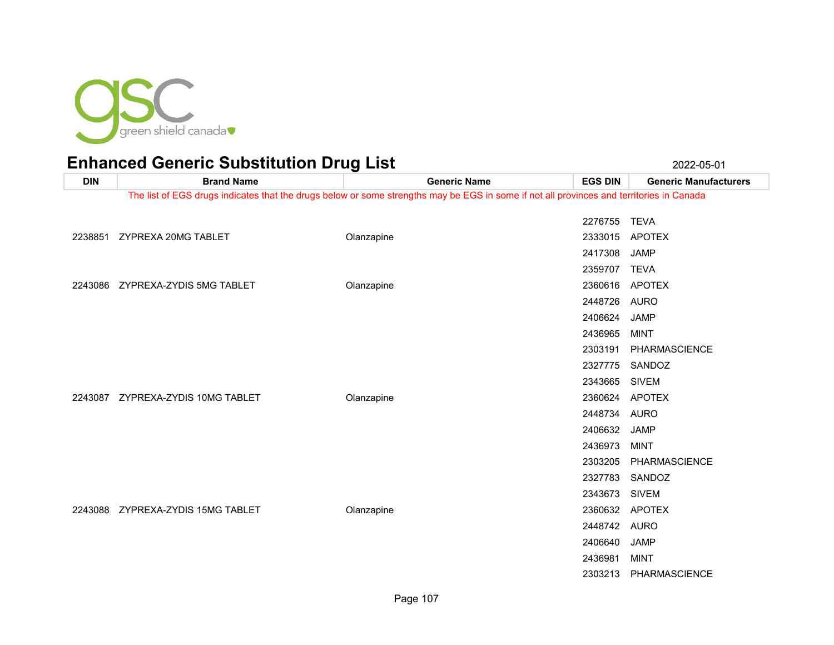

| <b>DIN</b> | <b>Brand Name</b>                 | <b>Generic Name</b>                                                                                                                      | <b>EGS DIN</b> | <b>Generic Manufacturers</b> |
|------------|-----------------------------------|------------------------------------------------------------------------------------------------------------------------------------------|----------------|------------------------------|
|            |                                   | The list of EGS drugs indicates that the drugs below or some strengths may be EGS in some if not all provinces and territories in Canada |                |                              |
|            |                                   |                                                                                                                                          | 2276755        | <b>TEVA</b>                  |
|            | 2238851 ZYPREXA 20MG TABLET       | Olanzapine                                                                                                                               |                | 2333015 APOTEX               |
|            |                                   |                                                                                                                                          | 2417308        | <b>JAMP</b>                  |
|            |                                   |                                                                                                                                          | 2359707 TEVA   |                              |
|            | 2243086 ZYPREXA-ZYDIS 5MG TABLET  | Olanzapine                                                                                                                               | 2360616        | <b>APOTEX</b>                |
|            |                                   |                                                                                                                                          | 2448726 AURO   |                              |
|            |                                   |                                                                                                                                          | 2406624        | <b>JAMP</b>                  |
|            |                                   |                                                                                                                                          | 2436965        | MINT                         |
|            |                                   |                                                                                                                                          | 2303191        | PHARMASCIENCE                |
|            |                                   |                                                                                                                                          |                | 2327775 SANDOZ               |
|            |                                   |                                                                                                                                          | 2343665        | <b>SIVEM</b>                 |
|            | 2243087 ZYPREXA-ZYDIS 10MG TABLET | Olanzapine                                                                                                                               | 2360624 APOTEX |                              |
|            |                                   |                                                                                                                                          | 2448734 AURO   |                              |
|            |                                   |                                                                                                                                          | 2406632        | <b>JAMP</b>                  |
|            |                                   |                                                                                                                                          | 2436973        | <b>MINT</b>                  |
|            |                                   |                                                                                                                                          | 2303205        | PHARMASCIENCE                |
|            |                                   |                                                                                                                                          | 2327783        | SANDOZ                       |
|            |                                   |                                                                                                                                          | 2343673        | <b>SIVEM</b>                 |
|            | 2243088 ZYPREXA-ZYDIS 15MG TABLET | Olanzapine                                                                                                                               | 2360632        | APOTEX                       |
|            |                                   |                                                                                                                                          | 2448742 AURO   |                              |
|            |                                   |                                                                                                                                          | 2406640        | <b>JAMP</b>                  |
|            |                                   |                                                                                                                                          | 2436981        | <b>MINT</b>                  |
|            |                                   |                                                                                                                                          | 2303213        | PHARMASCIENCE                |